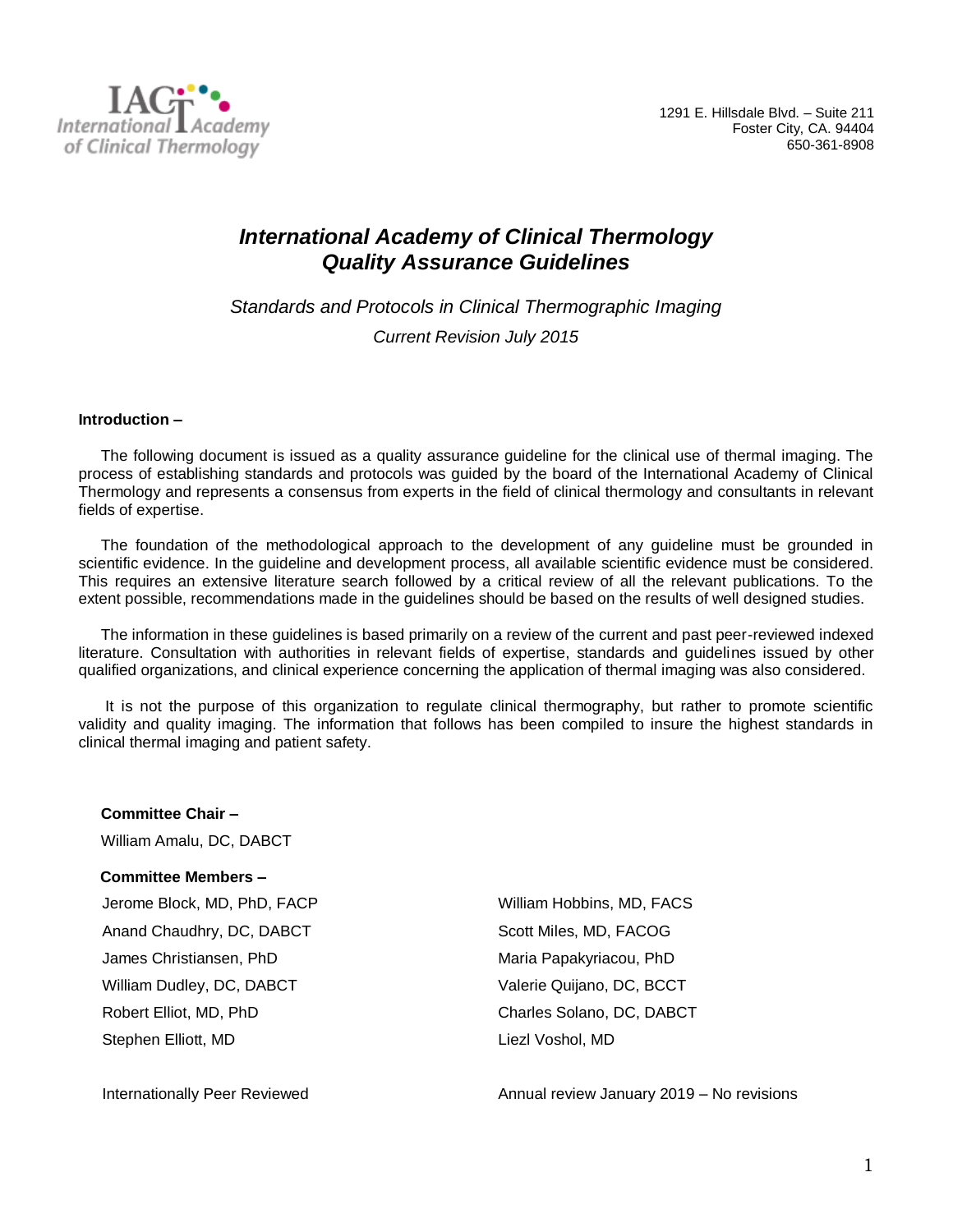

# *International Academy of Clinical Thermology Quality Assurance Guidelines*

*Standards and Protocols in Clinical Thermographic Imaging Current Revision July 2015*

### **Introduction –**

The following document is issued as a quality assurance guideline for the clinical use of thermal imaging. The process of establishing standards and protocols was guided by the board of the International Academy of Clinical Thermology and represents a consensus from experts in the field of clinical thermology and consultants in relevant fields of expertise.

The foundation of the methodological approach to the development of any guideline must be grounded in scientific evidence. In the guideline and development process, all available scientific evidence must be considered. This requires an extensive literature search followed by a critical review of all the relevant publications. To the extent possible, recommendations made in the guidelines should be based on the results of well designed studies.

The information in these guidelines is based primarily on a review of the current and past peer-reviewed indexed literature. Consultation with authorities in relevant fields of expertise, standards and guidelines issued by other qualified organizations, and clinical experience concerning the application of thermal imaging was also considered.

It is not the purpose of this organization to regulate clinical thermography, but rather to promote scientific validity and quality imaging. The information that follows has been compiled to insure the highest standards in clinical thermal imaging and patient safety.

**Committee Chair –** William Amalu, DC, DABCT

#### **Committee Members –**

Jerome Block, MD, PhD, FACP William Hobbins, MD, FACS Anand Chaudhry, DC, DABCT Scott Miles, MD, FACOG James Christiansen, PhD Maria Papakyriacou, PhD William Dudley, DC, DABCT Valerie Quijano, DC, BCCT Robert Elliot, MD, PhD Charles Solano, DC, DABCT Stephen Elliott, MD Liezl Voshol, MD

Internationally Peer Reviewed Annual review January 2019 – No revisions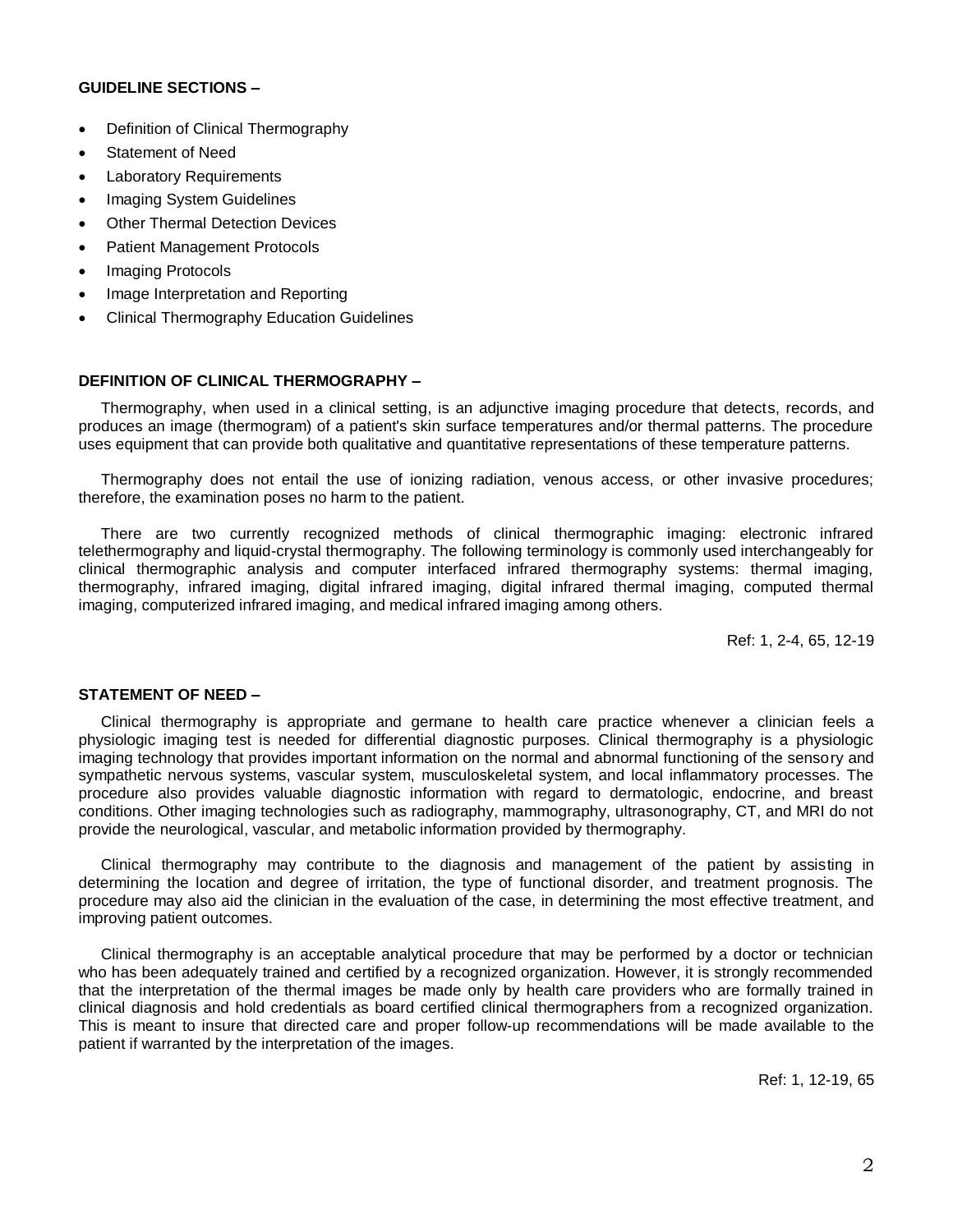### **GUIDELINE SECTIONS –**

- Definition of Clinical Thermography
- Statement of Need
- **Laboratory Requirements**
- Imaging System Guidelines
- **Other Thermal Detection Devices**
- Patient Management Protocols
- Imaging Protocols
- Image Interpretation and Reporting
- Clinical Thermography Education Guidelines

# **DEFINITION OF CLINICAL THERMOGRAPHY –**

Thermography, when used in a clinical setting, is an adjunctive imaging procedure that detects, records, and produces an image (thermogram) of a patient's skin surface temperatures and/or thermal patterns. The procedure uses equipment that can provide both qualitative and quantitative representations of these temperature patterns.

Thermography does not entail the use of ionizing radiation, venous access, or other invasive procedures; therefore, the examination poses no harm to the patient.

There are two currently recognized methods of clinical thermographic imaging: electronic infrared telethermography and liquid-crystal thermography. The following terminology is commonly used interchangeably for clinical thermographic analysis and computer interfaced infrared thermography systems: thermal imaging, thermography, infrared imaging, digital infrared imaging, digital infrared thermal imaging, computed thermal imaging, computerized infrared imaging, and medical infrared imaging among others.

Ref: 1, 2-4, 65, 12-19

# **STATEMENT OF NEED –**

Clinical thermography is appropriate and germane to health care practice whenever a clinician feels a physiologic imaging test is needed for differential diagnostic purposes. Clinical thermography is a physiologic imaging technology that provides important information on the normal and abnormal functioning of the sensory and sympathetic nervous systems, vascular system, musculoskeletal system, and local inflammatory processes. The procedure also provides valuable diagnostic information with regard to dermatologic, endocrine, and breast conditions. Other imaging technologies such as radiography, mammography, ultrasonography, CT, and MRI do not provide the neurological, vascular, and metabolic information provided by thermography.

Clinical thermography may contribute to the diagnosis and management of the patient by assisting in determining the location and degree of irritation, the type of functional disorder, and treatment prognosis. The procedure may also aid the clinician in the evaluation of the case, in determining the most effective treatment, and improving patient outcomes.

Clinical thermography is an acceptable analytical procedure that may be performed by a doctor or technician who has been adequately trained and certified by a recognized organization. However, it is strongly recommended that the interpretation of the thermal images be made only by health care providers who are formally trained in clinical diagnosis and hold credentials as board certified clinical thermographers from a recognized organization. This is meant to insure that directed care and proper follow-up recommendations will be made available to the patient if warranted by the interpretation of the images.

Ref: 1, 12-19, 65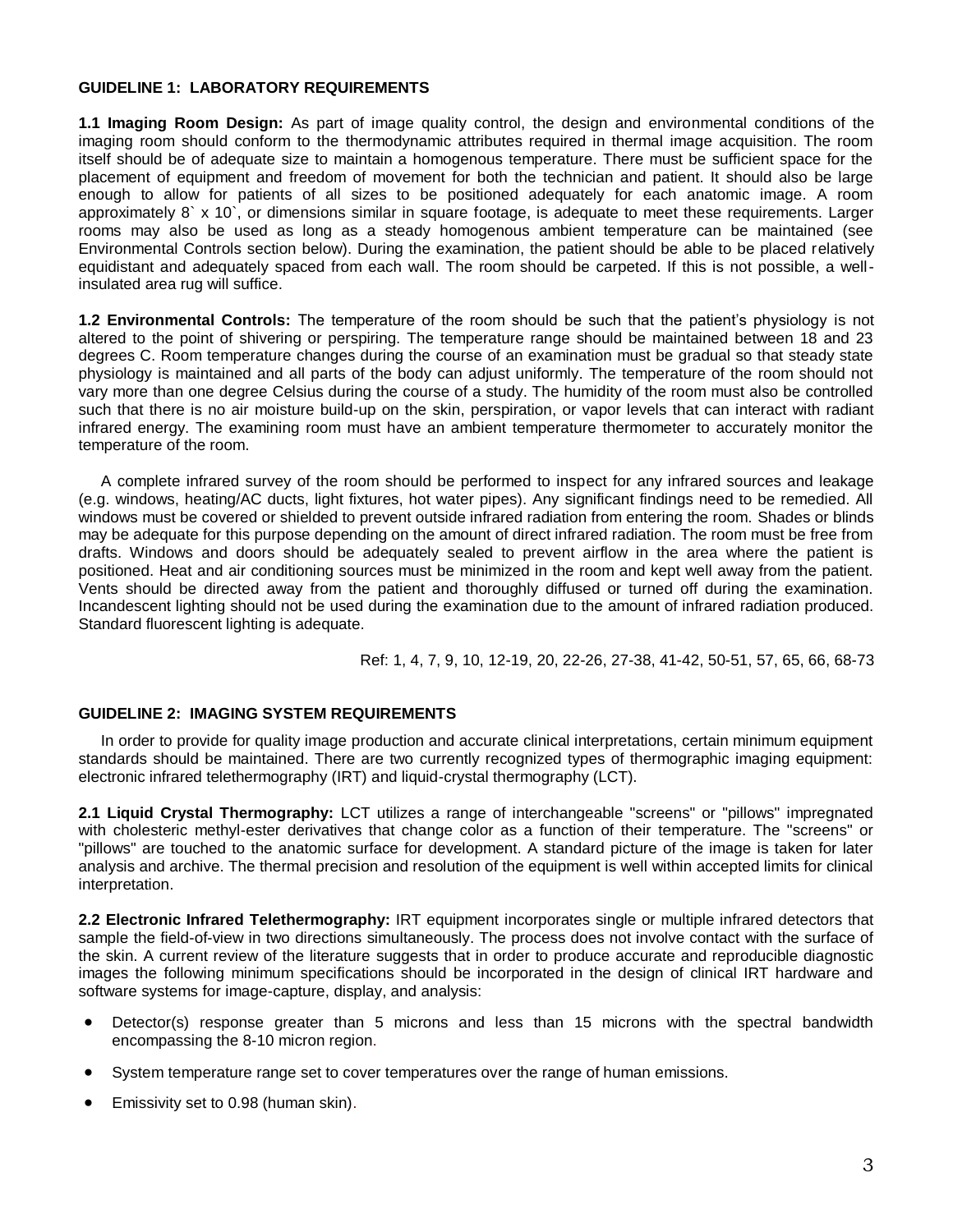### **GUIDELINE 1: LABORATORY REQUIREMENTS**

**1.1 Imaging Room Design:** As part of image quality control, the design and environmental conditions of the imaging room should conform to the thermodynamic attributes required in thermal image acquisition. The room itself should be of adequate size to maintain a homogenous temperature. There must be sufficient space for the placement of equipment and freedom of movement for both the technician and patient. It should also be large enough to allow for patients of all sizes to be positioned adequately for each anatomic image. A room approximately 8` x 10`, or dimensions similar in square footage, is adequate to meet these requirements. Larger rooms may also be used as long as a steady homogenous ambient temperature can be maintained (see Environmental Controls section below). During the examination, the patient should be able to be placed relatively equidistant and adequately spaced from each wall. The room should be carpeted. If this is not possible, a wellinsulated area rug will suffice.

**1.2 Environmental Controls:** The temperature of the room should be such that the patient's physiology is not altered to the point of shivering or perspiring. The temperature range should be maintained between 18 and 23 degrees C. Room temperature changes during the course of an examination must be gradual so that steady state physiology is maintained and all parts of the body can adjust uniformly. The temperature of the room should not vary more than one degree Celsius during the course of a study. The humidity of the room must also be controlled such that there is no air moisture build-up on the skin, perspiration, or vapor levels that can interact with radiant infrared energy. The examining room must have an ambient temperature thermometer to accurately monitor the temperature of the room.

A complete infrared survey of the room should be performed to inspect for any infrared sources and leakage (e.g. windows, heating/AC ducts, light fixtures, hot water pipes). Any significant findings need to be remedied. All windows must be covered or shielded to prevent outside infrared radiation from entering the room. Shades or blinds may be adequate for this purpose depending on the amount of direct infrared radiation. The room must be free from drafts. Windows and doors should be adequately sealed to prevent airflow in the area where the patient is positioned. Heat and air conditioning sources must be minimized in the room and kept well away from the patient. Vents should be directed away from the patient and thoroughly diffused or turned off during the examination. Incandescent lighting should not be used during the examination due to the amount of infrared radiation produced. Standard fluorescent lighting is adequate.

Ref: 1, 4, 7, 9, 10, 12-19, 20, 22-26, 27-38, 41-42, 50-51, 57, 65, 66, 68-73

# **GUIDELINE 2: IMAGING SYSTEM REQUIREMENTS**

In order to provide for quality image production and accurate clinical interpretations, certain minimum equipment standards should be maintained. There are two currently recognized types of thermographic imaging equipment: electronic infrared telethermography (IRT) and liquid-crystal thermography (LCT).

**2.1 Liquid Crystal Thermography:** LCT utilizes a range of interchangeable "screens" or "pillows" impregnated with cholesteric methyl-ester derivatives that change color as a function of their temperature. The "screens" or "pillows" are touched to the anatomic surface for development. A standard picture of the image is taken for later analysis and archive. The thermal precision and resolution of the equipment is well within accepted limits for clinical interpretation.

**2.2 Electronic Infrared Telethermography:** IRT equipment incorporates single or multiple infrared detectors that sample the field-of-view in two directions simultaneously. The process does not involve contact with the surface of the skin. A current review of the literature suggests that in order to produce accurate and reproducible diagnostic images the following minimum specifications should be incorporated in the design of clinical IRT hardware and software systems for image-capture, display, and analysis:

- Detector(s) response greater than 5 microns and less than 15 microns with the spectral bandwidth encompassing the 8-10 micron region.
- System temperature range set to cover temperatures over the range of human emissions.
- Emissivity set to 0.98 (human skin).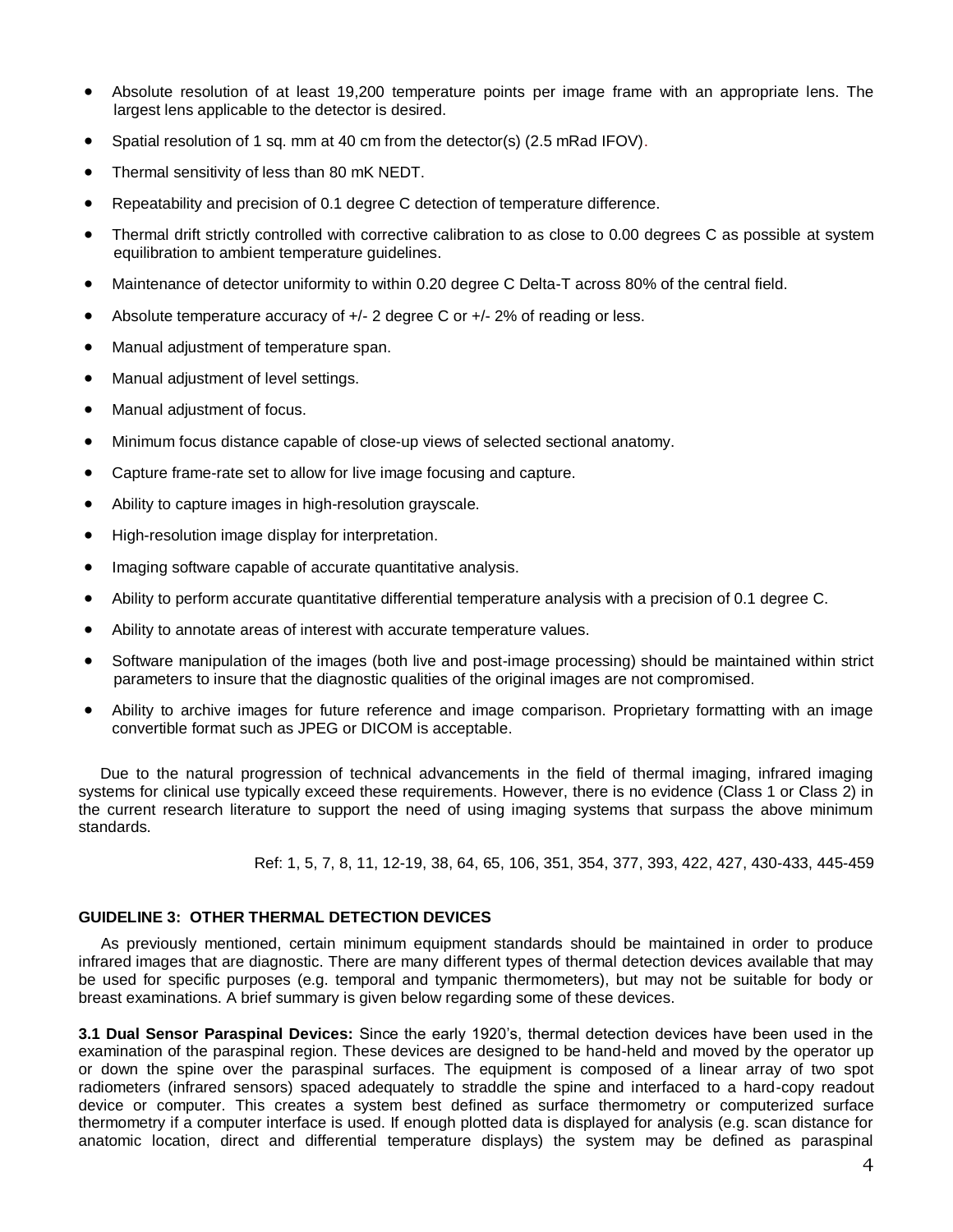- Absolute resolution of at least 19,200 temperature points per image frame with an appropriate lens. The largest lens applicable to the detector is desired.
- Spatial resolution of 1 sq. mm at 40 cm from the detector(s) (2.5 mRad IFOV).
- Thermal sensitivity of less than 80 mK NEDT.
- Repeatability and precision of 0.1 degree C detection of temperature difference.
- Thermal drift strictly controlled with corrective calibration to as close to 0.00 degrees C as possible at system equilibration to ambient temperature guidelines.
- Maintenance of detector uniformity to within 0.20 degree C Delta-T across 80% of the central field.
- Absolute temperature accuracy of  $+/- 2$  degree C or  $+/- 2\%$  of reading or less.
- Manual adjustment of temperature span.
- Manual adjustment of level settings.
- Manual adjustment of focus.
- Minimum focus distance capable of close-up views of selected sectional anatomy.
- Capture frame-rate set to allow for live image focusing and capture.
- Ability to capture images in high-resolution grayscale.
- High-resolution image display for interpretation.
- Imaging software capable of accurate quantitative analysis.
- Ability to perform accurate quantitative differential temperature analysis with a precision of 0.1 degree C.
- Ability to annotate areas of interest with accurate temperature values.
- Software manipulation of the images (both live and post-image processing) should be maintained within strict parameters to insure that the diagnostic qualities of the original images are not compromised.
- Ability to archive images for future reference and image comparison. Proprietary formatting with an image convertible format such as JPEG or DICOM is acceptable.

 Due to the natural progression of technical advancements in the field of thermal imaging, infrared imaging systems for clinical use typically exceed these requirements. However, there is no evidence (Class 1 or Class 2) in the current research literature to support the need of using imaging systems that surpass the above minimum standards.

Ref: 1, 5, 7, 8, 11, 12-19, 38, 64, 65, 106, 351, 354, 377, 393, 422, 427, 430-433, 445-459

# **GUIDELINE 3: OTHER THERMAL DETECTION DEVICES**

As previously mentioned, certain minimum equipment standards should be maintained in order to produce infrared images that are diagnostic. There are many different types of thermal detection devices available that may be used for specific purposes (e.g. temporal and tympanic thermometers), but may not be suitable for body or breast examinations. A brief summary is given below regarding some of these devices.

**3.1 Dual Sensor Paraspinal Devices:** Since the early 1920's, thermal detection devices have been used in the examination of the paraspinal region. These devices are designed to be hand-held and moved by the operator up or down the spine over the paraspinal surfaces. The equipment is composed of a linear array of two spot radiometers (infrared sensors) spaced adequately to straddle the spine and interfaced to a hard-copy readout device or computer. This creates a system best defined as surface thermometry or computerized surface thermometry if a computer interface is used. If enough plotted data is displayed for analysis (e.g. scan distance for anatomic location, direct and differential temperature displays) the system may be defined as paraspinal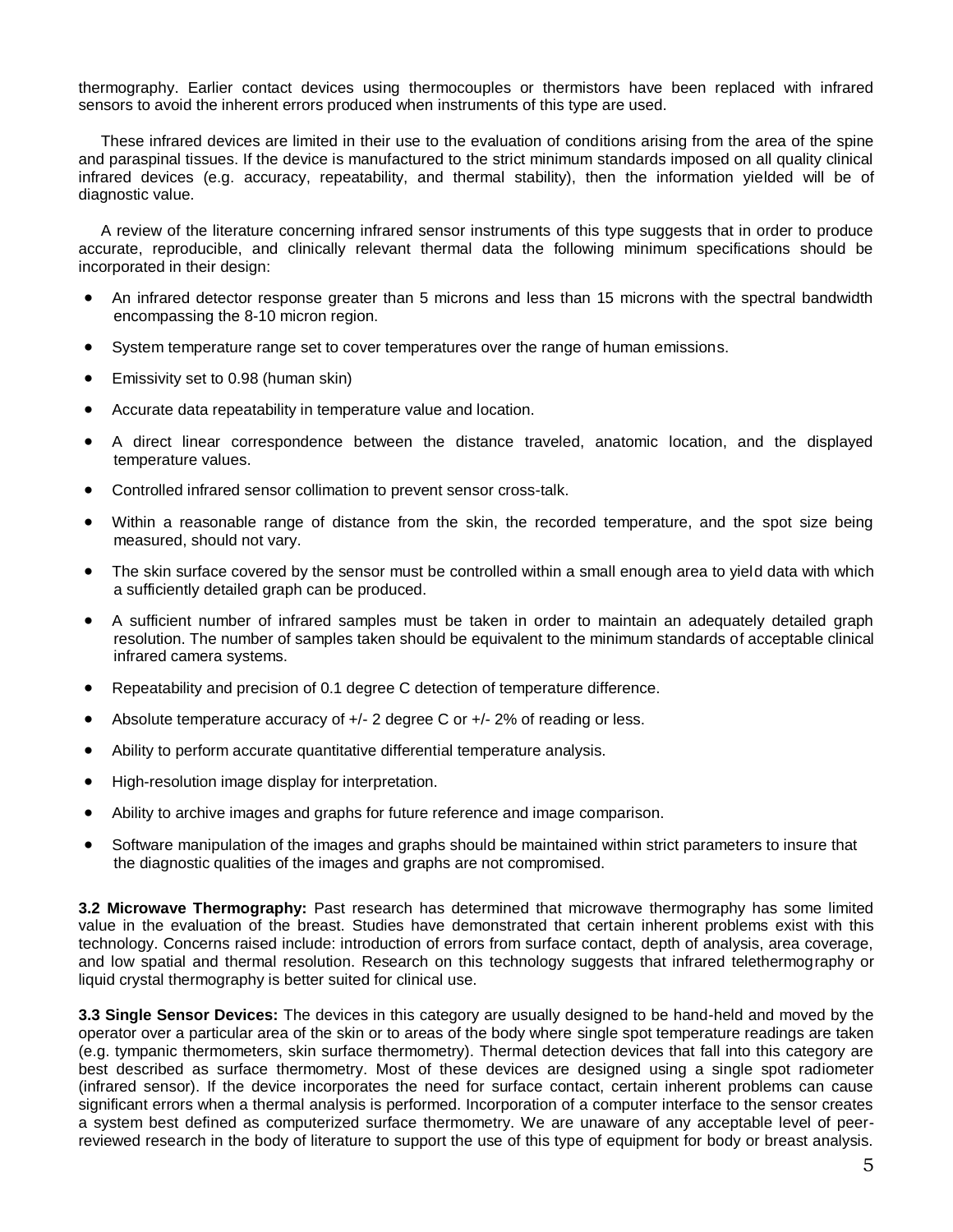thermography. Earlier contact devices using thermocouples or thermistors have been replaced with infrared sensors to avoid the inherent errors produced when instruments of this type are used.

These infrared devices are limited in their use to the evaluation of conditions arising from the area of the spine and paraspinal tissues. If the device is manufactured to the strict minimum standards imposed on all quality clinical infrared devices (e.g. accuracy, repeatability, and thermal stability), then the information yielded will be of diagnostic value.

A review of the literature concerning infrared sensor instruments of this type suggests that in order to produce accurate, reproducible, and clinically relevant thermal data the following minimum specifications should be incorporated in their design:

- An infrared detector response greater than 5 microns and less than 15 microns with the spectral bandwidth encompassing the 8-10 micron region.
- System temperature range set to cover temperatures over the range of human emissions.
- Emissivity set to 0.98 (human skin)
- Accurate data repeatability in temperature value and location.
- A direct linear correspondence between the distance traveled, anatomic location, and the displayed temperature values.
- Controlled infrared sensor collimation to prevent sensor cross-talk.
- Within a reasonable range of distance from the skin, the recorded temperature, and the spot size being measured, should not vary.
- The skin surface covered by the sensor must be controlled within a small enough area to yield data with which a sufficiently detailed graph can be produced.
- A sufficient number of infrared samples must be taken in order to maintain an adequately detailed graph resolution. The number of samples taken should be equivalent to the minimum standards of acceptable clinical infrared camera systems.
- Repeatability and precision of 0.1 degree C detection of temperature difference.
- Absolute temperature accuracy of +/- 2 degree C or +/- 2% of reading or less.
- Ability to perform accurate quantitative differential temperature analysis.
- High-resolution image display for interpretation.
- Ability to archive images and graphs for future reference and image comparison.
- Software manipulation of the images and graphs should be maintained within strict parameters to insure that the diagnostic qualities of the images and graphs are not compromised.

**3.2 Microwave Thermography:** Past research has determined that microwave thermography has some limited value in the evaluation of the breast. Studies have demonstrated that certain inherent problems exist with this technology. Concerns raised include: introduction of errors from surface contact, depth of analysis, area coverage, and low spatial and thermal resolution. Research on this technology suggests that infrared telethermography or liquid crystal thermography is better suited for clinical use.

**3.3 Single Sensor Devices:** The devices in this category are usually designed to be hand-held and moved by the operator over a particular area of the skin or to areas of the body where single spot temperature readings are taken (e.g. tympanic thermometers, skin surface thermometry). Thermal detection devices that fall into this category are best described as surface thermometry. Most of these devices are designed using a single spot radiometer (infrared sensor). If the device incorporates the need for surface contact, certain inherent problems can cause significant errors when a thermal analysis is performed. Incorporation of a computer interface to the sensor creates a system best defined as computerized surface thermometry. We are unaware of any acceptable level of peerreviewed research in the body of literature to support the use of this type of equipment for body or breast analysis.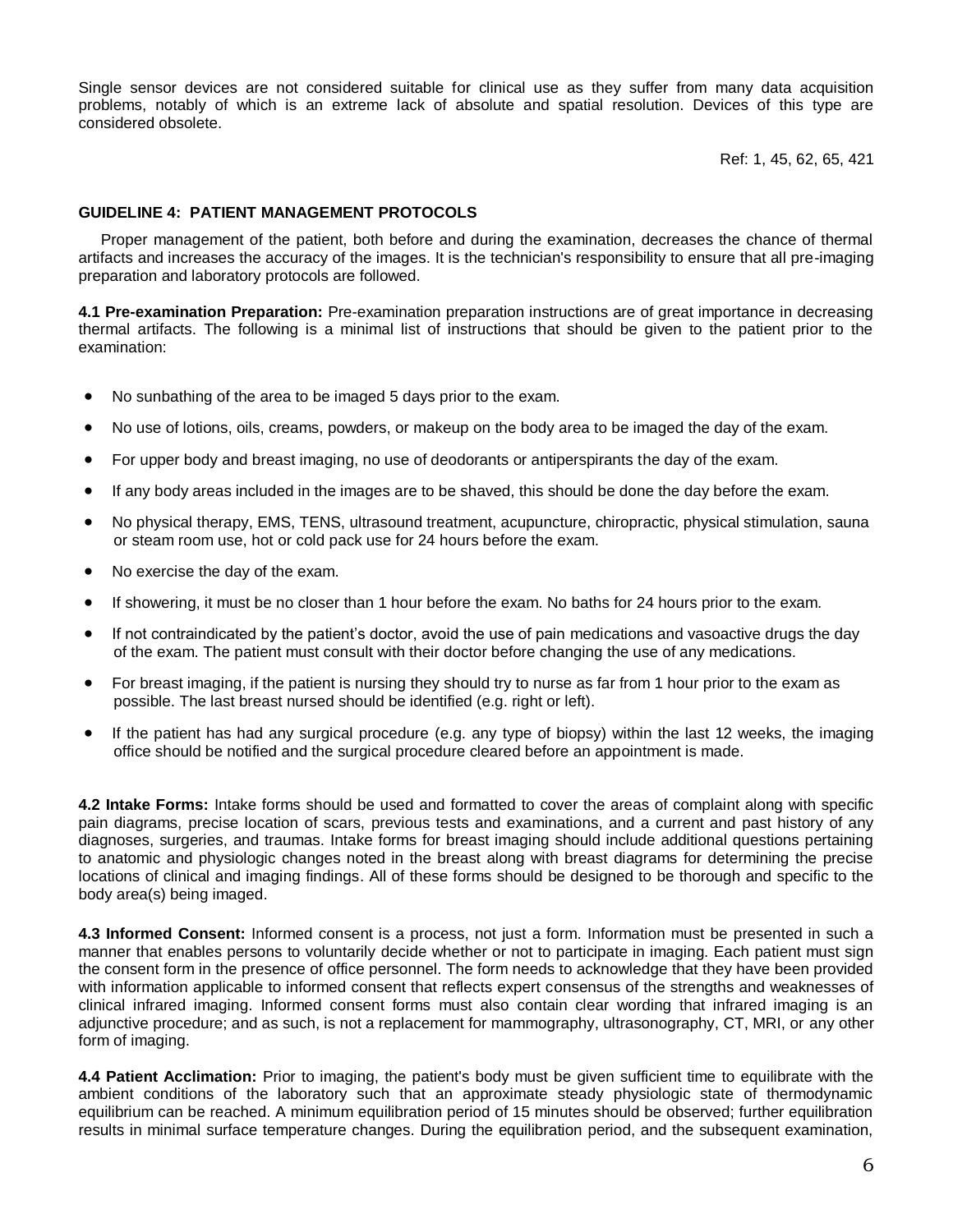Single sensor devices are not considered suitable for clinical use as they suffer from many data acquisition problems, notably of which is an extreme lack of absolute and spatial resolution. Devices of this type are considered obsolete.

Ref: 1, 45, 62, 65, 421

### **GUIDELINE 4: PATIENT MANAGEMENT PROTOCOLS**

Proper management of the patient, both before and during the examination, decreases the chance of thermal artifacts and increases the accuracy of the images. It is the technician's responsibility to ensure that all pre-imaging preparation and laboratory protocols are followed.

**4.1 Pre-examination Preparation:** Pre-examination preparation instructions are of great importance in decreasing thermal artifacts. The following is a minimal list of instructions that should be given to the patient prior to the examination:

- No sunbathing of the area to be imaged 5 days prior to the exam.
- No use of lotions, oils, creams, powders, or makeup on the body area to be imaged the day of the exam.
- For upper body and breast imaging, no use of deodorants or antiperspirants the day of the exam.
- If any body areas included in the images are to be shaved, this should be done the day before the exam.
- No physical therapy, EMS, TENS, ultrasound treatment, acupuncture, chiropractic, physical stimulation, sauna or steam room use, hot or cold pack use for 24 hours before the exam.
- No exercise the day of the exam.
- If showering, it must be no closer than 1 hour before the exam. No baths for 24 hours prior to the exam.
- If not contraindicated by the patient's doctor, avoid the use of pain medications and vasoactive drugs the day of the exam. The patient must consult with their doctor before changing the use of any medications.
- For breast imaging, if the patient is nursing they should try to nurse as far from 1 hour prior to the exam as possible. The last breast nursed should be identified (e.g. right or left).
- If the patient has had any surgical procedure (e.g. any type of biopsy) within the last 12 weeks, the imaging office should be notified and the surgical procedure cleared before an appointment is made.

**4.2 Intake Forms:** Intake forms should be used and formatted to cover the areas of complaint along with specific pain diagrams, precise location of scars, previous tests and examinations, and a current and past history of any diagnoses, surgeries, and traumas. Intake forms for breast imaging should include additional questions pertaining to anatomic and physiologic changes noted in the breast along with breast diagrams for determining the precise locations of clinical and imaging findings. All of these forms should be designed to be thorough and specific to the body area(s) being imaged.

**4.3 Informed Consent:** Informed consent is a process, not just a form. Information must be presented in such a manner that enables persons to voluntarily decide whether or not to participate in imaging. Each patient must sign the consent form in the presence of office personnel. The form needs to acknowledge that they have been provided with information applicable to informed consent that reflects expert consensus of the strengths and weaknesses of clinical infrared imaging. Informed consent forms must also contain clear wording that infrared imaging is an adjunctive procedure; and as such, is not a replacement for mammography, ultrasonography, CT, MRI, or any other form of imaging.

**4.4 Patient Acclimation:** Prior to imaging, the patient's body must be given sufficient time to equilibrate with the ambient conditions of the laboratory such that an approximate steady physiologic state of thermodynamic equilibrium can be reached. A minimum equilibration period of 15 minutes should be observed; further equilibration results in minimal surface temperature changes. During the equilibration period, and the subsequent examination,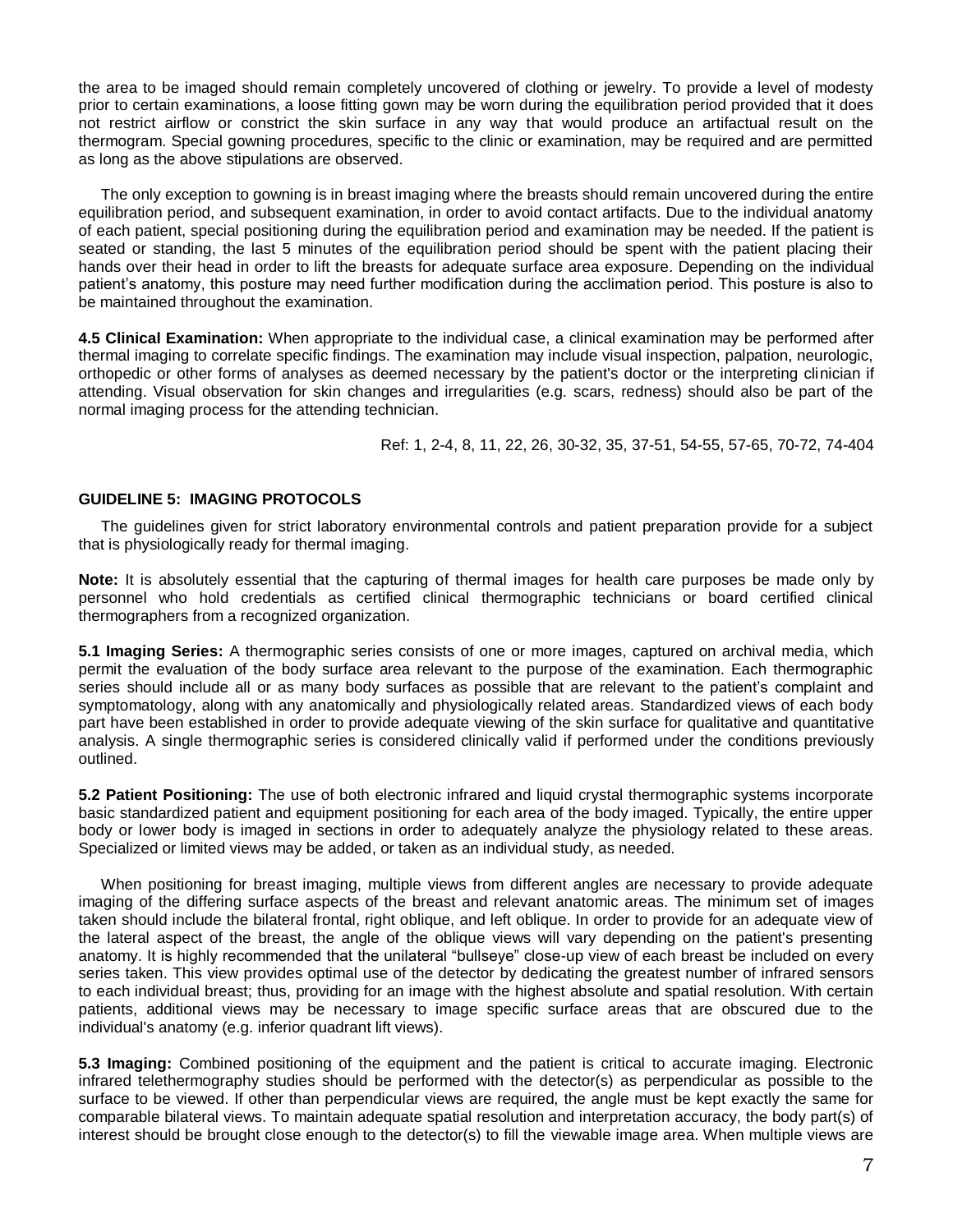the area to be imaged should remain completely uncovered of clothing or jewelry. To provide a level of modesty prior to certain examinations, a loose fitting gown may be worn during the equilibration period provided that it does not restrict airflow or constrict the skin surface in any way that would produce an artifactual result on the thermogram. Special gowning procedures, specific to the clinic or examination, may be required and are permitted as long as the above stipulations are observed.

The only exception to gowning is in breast imaging where the breasts should remain uncovered during the entire equilibration period, and subsequent examination, in order to avoid contact artifacts. Due to the individual anatomy of each patient, special positioning during the equilibration period and examination may be needed. If the patient is seated or standing, the last 5 minutes of the equilibration period should be spent with the patient placing their hands over their head in order to lift the breasts for adequate surface area exposure. Depending on the individual patient's anatomy, this posture may need further modification during the acclimation period. This posture is also to be maintained throughout the examination.

**4.5 Clinical Examination:** When appropriate to the individual case, a clinical examination may be performed after thermal imaging to correlate specific findings. The examination may include visual inspection, palpation, neurologic, orthopedic or other forms of analyses as deemed necessary by the patient's doctor or the interpreting clinician if attending. Visual observation for skin changes and irregularities (e.g. scars, redness) should also be part of the normal imaging process for the attending technician.

Ref: 1, 2-4, 8, 11, 22, 26, 30-32, 35, 37-51, 54-55, 57-65, 70-72, 74-404

# **GUIDELINE 5: IMAGING PROTOCOLS**

The guidelines given for strict laboratory environmental controls and patient preparation provide for a subject that is physiologically ready for thermal imaging.

**Note:** It is absolutely essential that the capturing of thermal images for health care purposes be made only by personnel who hold credentials as certified clinical thermographic technicians or board certified clinical thermographers from a recognized organization.

**5.1 Imaging Series:** A thermographic series consists of one or more images, captured on archival media, which permit the evaluation of the body surface area relevant to the purpose of the examination. Each thermographic series should include all or as many body surfaces as possible that are relevant to the patient's complaint and symptomatology, along with any anatomically and physiologically related areas. Standardized views of each body part have been established in order to provide adequate viewing of the skin surface for qualitative and quantitative analysis. A single thermographic series is considered clinically valid if performed under the conditions previously outlined.

**5.2 Patient Positioning:** The use of both electronic infrared and liquid crystal thermographic systems incorporate basic standardized patient and equipment positioning for each area of the body imaged. Typically, the entire upper body or lower body is imaged in sections in order to adequately analyze the physiology related to these areas. Specialized or limited views may be added, or taken as an individual study, as needed.

When positioning for breast imaging, multiple views from different angles are necessary to provide adequate imaging of the differing surface aspects of the breast and relevant anatomic areas. The minimum set of images taken should include the bilateral frontal, right oblique, and left oblique. In order to provide for an adequate view of the lateral aspect of the breast, the angle of the oblique views will vary depending on the patient's presenting anatomy. It is highly recommended that the unilateral "bullseye" close-up view of each breast be included on every series taken. This view provides optimal use of the detector by dedicating the greatest number of infrared sensors to each individual breast; thus, providing for an image with the highest absolute and spatial resolution. With certain patients, additional views may be necessary to image specific surface areas that are obscured due to the individual's anatomy (e.g. inferior quadrant lift views).

**5.3 Imaging:** Combined positioning of the equipment and the patient is critical to accurate imaging. Electronic infrared telethermography studies should be performed with the detector(s) as perpendicular as possible to the surface to be viewed. If other than perpendicular views are required, the angle must be kept exactly the same for comparable bilateral views. To maintain adequate spatial resolution and interpretation accuracy, the body part(s) of interest should be brought close enough to the detector(s) to fill the viewable image area. When multiple views are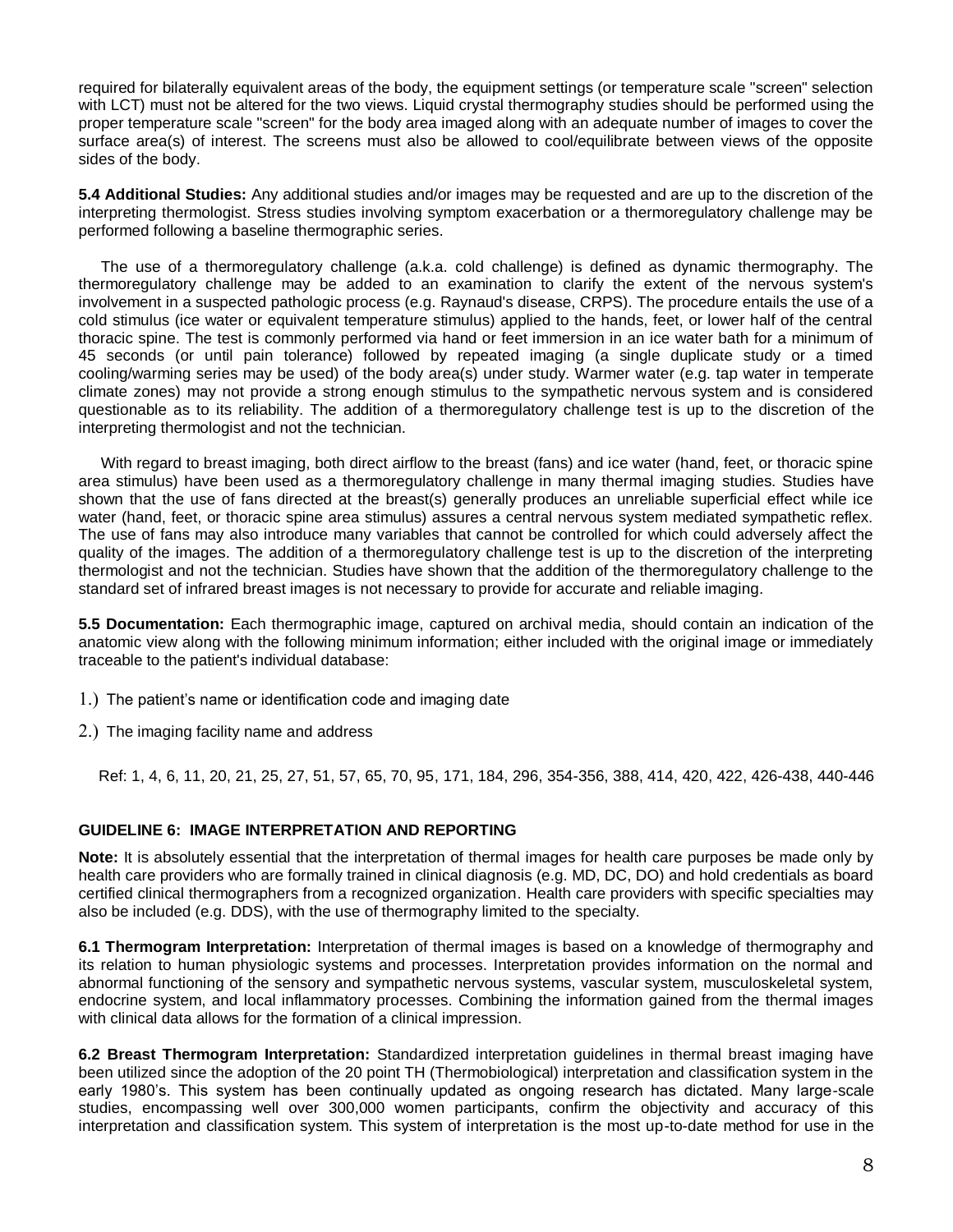required for bilaterally equivalent areas of the body, the equipment settings (or temperature scale "screen" selection with LCT) must not be altered for the two views. Liquid crystal thermography studies should be performed using the proper temperature scale "screen" for the body area imaged along with an adequate number of images to cover the surface area(s) of interest. The screens must also be allowed to cool/equilibrate between views of the opposite sides of the body.

**5.4 Additional Studies:** Any additional studies and/or images may be requested and are up to the discretion of the interpreting thermologist. Stress studies involving symptom exacerbation or a thermoregulatory challenge may be performed following a baseline thermographic series.

The use of a thermoregulatory challenge (a.k.a. cold challenge) is defined as dynamic thermography. The thermoregulatory challenge may be added to an examination to clarify the extent of the nervous system's involvement in a suspected pathologic process (e.g. Raynaud's disease, CRPS). The procedure entails the use of a cold stimulus (ice water or equivalent temperature stimulus) applied to the hands, feet, or lower half of the central thoracic spine. The test is commonly performed via hand or feet immersion in an ice water bath for a minimum of 45 seconds (or until pain tolerance) followed by repeated imaging (a single duplicate study or a timed cooling/warming series may be used) of the body area(s) under study. Warmer water (e.g. tap water in temperate climate zones) may not provide a strong enough stimulus to the sympathetic nervous system and is considered questionable as to its reliability. The addition of a thermoregulatory challenge test is up to the discretion of the interpreting thermologist and not the technician.

With regard to breast imaging, both direct airflow to the breast (fans) and ice water (hand, feet, or thoracic spine area stimulus) have been used as a thermoregulatory challenge in many thermal imaging studies. Studies have shown that the use of fans directed at the breast(s) generally produces an unreliable superficial effect while ice water (hand, feet, or thoracic spine area stimulus) assures a central nervous system mediated sympathetic reflex. The use of fans may also introduce many variables that cannot be controlled for which could adversely affect the quality of the images. The addition of a thermoregulatory challenge test is up to the discretion of the interpreting thermologist and not the technician. Studies have shown that the addition of the thermoregulatory challenge to the standard set of infrared breast images is not necessary to provide for accurate and reliable imaging.

**5.5 Documentation:** Each thermographic image, captured on archival media, should contain an indication of the anatomic view along with the following minimum information; either included with the original image or immediately traceable to the patient's individual database:

) The patient's name or identification code and imaging date

) The imaging facility name and address

Ref: 1, 4, 6, 11, 20, 21, 25, 27, 51, 57, 65, 70, 95, 171, 184, 296, 354-356, 388, 414, 420, 422, 426-438, 440-446

# **GUIDELINE 6: IMAGE INTERPRETATION AND REPORTING**

**Note:** It is absolutely essential that the interpretation of thermal images for health care purposes be made only by health care providers who are formally trained in clinical diagnosis (e.g. MD, DC, DO) and hold credentials as board certified clinical thermographers from a recognized organization. Health care providers with specific specialties may also be included (e.g. DDS), with the use of thermography limited to the specialty.

**6.1 Thermogram Interpretation:** Interpretation of thermal images is based on a knowledge of thermography and its relation to human physiologic systems and processes. Interpretation provides information on the normal and abnormal functioning of the sensory and sympathetic nervous systems, vascular system, musculoskeletal system, endocrine system, and local inflammatory processes. Combining the information gained from the thermal images with clinical data allows for the formation of a clinical impression.

**6.2 Breast Thermogram Interpretation:** Standardized interpretation guidelines in thermal breast imaging have been utilized since the adoption of the 20 point TH (Thermobiological) interpretation and classification system in the early 1980's. This system has been continually updated as ongoing research has dictated. Many large-scale studies, encompassing well over 300,000 women participants, confirm the objectivity and accuracy of this interpretation and classification system. This system of interpretation is the most up-to-date method for use in the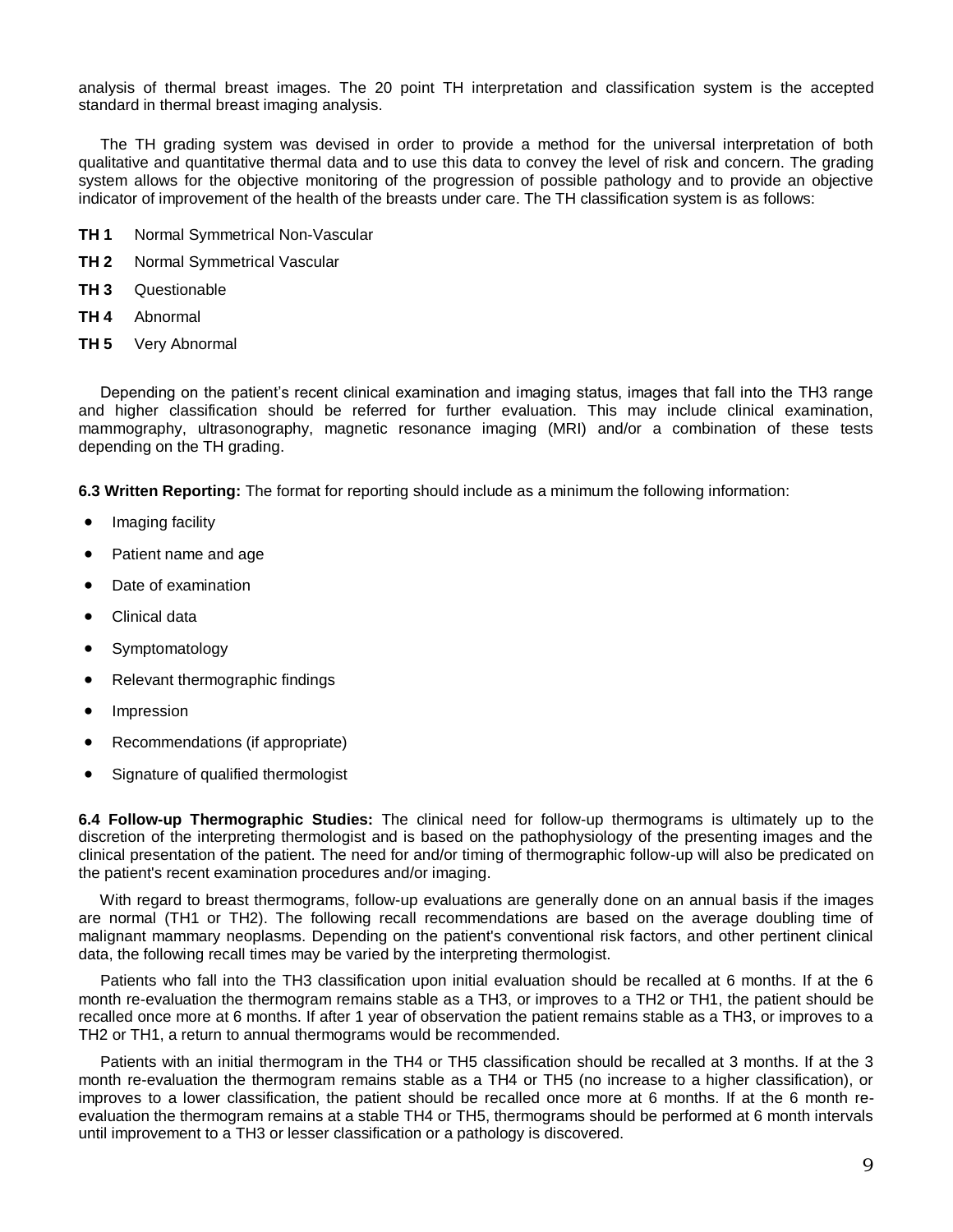analysis of thermal breast images. The 20 point TH interpretation and classification system is the accepted standard in thermal breast imaging analysis.

 The TH grading system was devised in order to provide a method for the universal interpretation of both qualitative and quantitative thermal data and to use this data to convey the level of risk and concern. The grading system allows for the objective monitoring of the progression of possible pathology and to provide an objective indicator of improvement of the health of the breasts under care. The TH classification system is as follows:

- **TH 1** Normal Symmetrical Non-Vascular
- **TH 2** Normal Symmetrical Vascular
- **TH 3** Questionable
- **TH 4** Abnormal
- **TH 5** Very Abnormal

 Depending on the patient's recent clinical examination and imaging status, images that fall into the TH3 range and higher classification should be referred for further evaluation. This may include clinical examination, mammography, ultrasonography, magnetic resonance imaging (MRI) and/or a combination of these tests depending on the TH grading.

**6.3 Written Reporting:** The format for reporting should include as a minimum the following information:

- Imaging facility
- Patient name and age
- Date of examination
- Clinical data
- **Symptomatology**
- Relevant thermographic findings
- **Impression**
- Recommendations (if appropriate)
- Signature of qualified thermologist

**6.4 Follow-up Thermographic Studies:** The clinical need for follow-up thermograms is ultimately up to the discretion of the interpreting thermologist and is based on the pathophysiology of the presenting images and the clinical presentation of the patient. The need for and/or timing of thermographic follow-up will also be predicated on the patient's recent examination procedures and/or imaging.

 With regard to breast thermograms, follow-up evaluations are generally done on an annual basis if the images are normal (TH1 or TH2). The following recall recommendations are based on the average doubling time of malignant mammary neoplasms. Depending on the patient's conventional risk factors, and other pertinent clinical data, the following recall times may be varied by the interpreting thermologist.

 Patients who fall into the TH3 classification upon initial evaluation should be recalled at 6 months. If at the 6 month re-evaluation the thermogram remains stable as a TH3, or improves to a TH2 or TH1, the patient should be recalled once more at 6 months. If after 1 year of observation the patient remains stable as a TH3, or improves to a TH2 or TH1, a return to annual thermograms would be recommended.

 Patients with an initial thermogram in the TH4 or TH5 classification should be recalled at 3 months. If at the 3 month re-evaluation the thermogram remains stable as a TH4 or TH5 (no increase to a higher classification), or improves to a lower classification, the patient should be recalled once more at 6 months. If at the 6 month reevaluation the thermogram remains at a stable TH4 or TH5, thermograms should be performed at 6 month intervals until improvement to a TH3 or lesser classification or a pathology is discovered.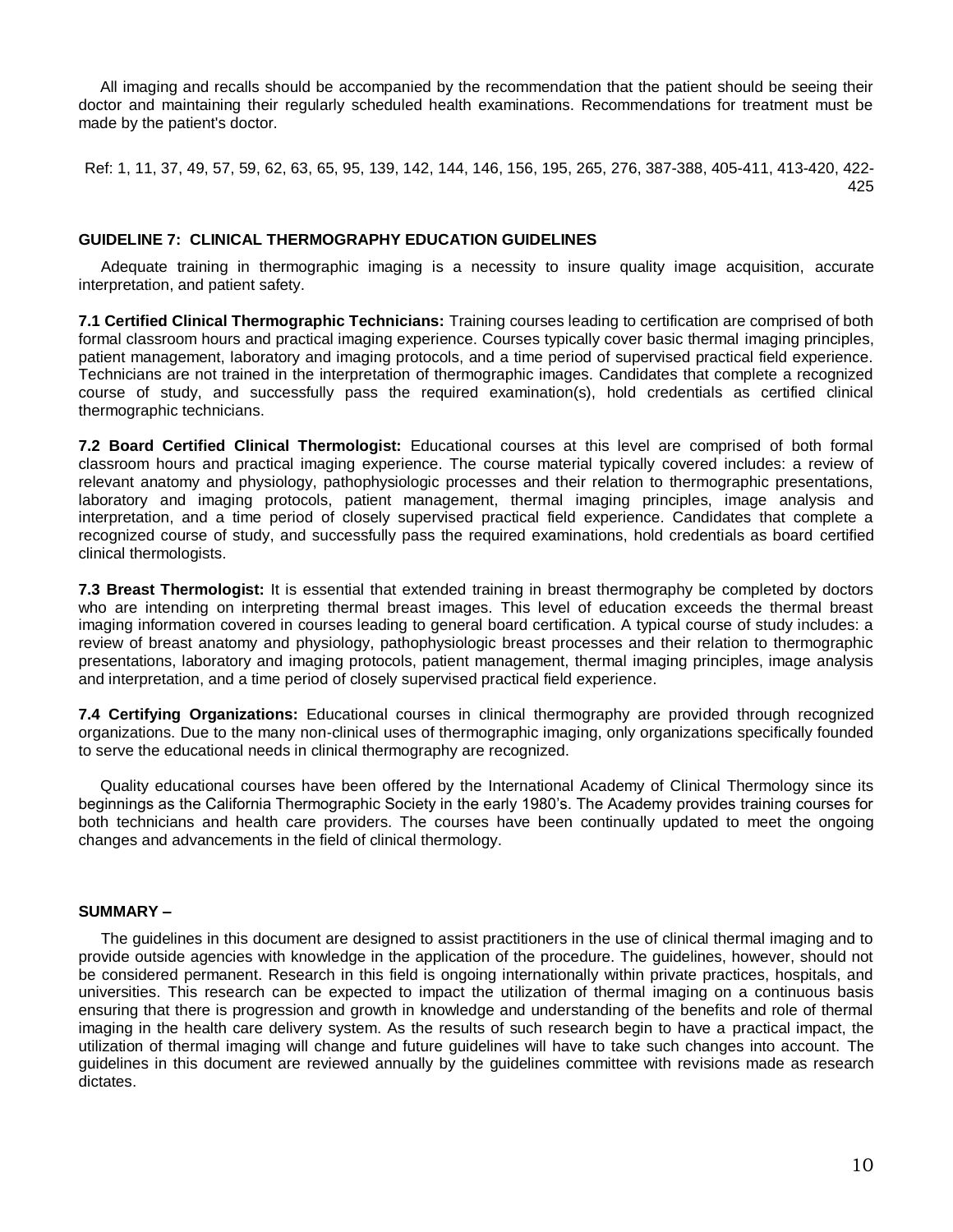All imaging and recalls should be accompanied by the recommendation that the patient should be seeing their doctor and maintaining their regularly scheduled health examinations. Recommendations for treatment must be made by the patient's doctor.

Ref: 1, 11, 37, 49, 57, 59, 62, 63, 65, 95, 139, 142, 144, 146, 156, 195, 265, 276, 387-388, 405-411, 413-420, 422- 425

### **GUIDELINE 7: CLINICAL THERMOGRAPHY EDUCATION GUIDELINES**

Adequate training in thermographic imaging is a necessity to insure quality image acquisition, accurate interpretation, and patient safety.

**7.1 Certified Clinical Thermographic Technicians:** Training courses leading to certification are comprised of both formal classroom hours and practical imaging experience. Courses typically cover basic thermal imaging principles, patient management, laboratory and imaging protocols, and a time period of supervised practical field experience. Technicians are not trained in the interpretation of thermographic images. Candidates that complete a recognized course of study, and successfully pass the required examination(s), hold credentials as certified clinical thermographic technicians.

**7.2 Board Certified Clinical Thermologist:** Educational courses at this level are comprised of both formal classroom hours and practical imaging experience. The course material typically covered includes: a review of relevant anatomy and physiology, pathophysiologic processes and their relation to thermographic presentations, laboratory and imaging protocols, patient management, thermal imaging principles, image analysis and interpretation, and a time period of closely supervised practical field experience. Candidates that complete a recognized course of study, and successfully pass the required examinations, hold credentials as board certified clinical thermologists.

**7.3 Breast Thermologist:** It is essential that extended training in breast thermography be completed by doctors who are intending on interpreting thermal breast images. This level of education exceeds the thermal breast imaging information covered in courses leading to general board certification. A typical course of study includes: a review of breast anatomy and physiology, pathophysiologic breast processes and their relation to thermographic presentations, laboratory and imaging protocols, patient management, thermal imaging principles, image analysis and interpretation, and a time period of closely supervised practical field experience.

**7.4 Certifying Organizations:** Educational courses in clinical thermography are provided through recognized organizations. Due to the many non-clinical uses of thermographic imaging, only organizations specifically founded to serve the educational needs in clinical thermography are recognized.

 Quality educational courses have been offered by the International Academy of Clinical Thermology since its beginnings as the California Thermographic Society in the early 1980's. The Academy provides training courses for both technicians and health care providers. The courses have been continually updated to meet the ongoing changes and advancements in the field of clinical thermology.

#### **SUMMARY –**

The guidelines in this document are designed to assist practitioners in the use of clinical thermal imaging and to provide outside agencies with knowledge in the application of the procedure. The guidelines, however, should not be considered permanent. Research in this field is ongoing internationally within private practices, hospitals, and universities. This research can be expected to impact the utilization of thermal imaging on a continuous basis ensuring that there is progression and growth in knowledge and understanding of the benefits and role of thermal imaging in the health care delivery system. As the results of such research begin to have a practical impact, the utilization of thermal imaging will change and future guidelines will have to take such changes into account. The guidelines in this document are reviewed annually by the guidelines committee with revisions made as research dictates.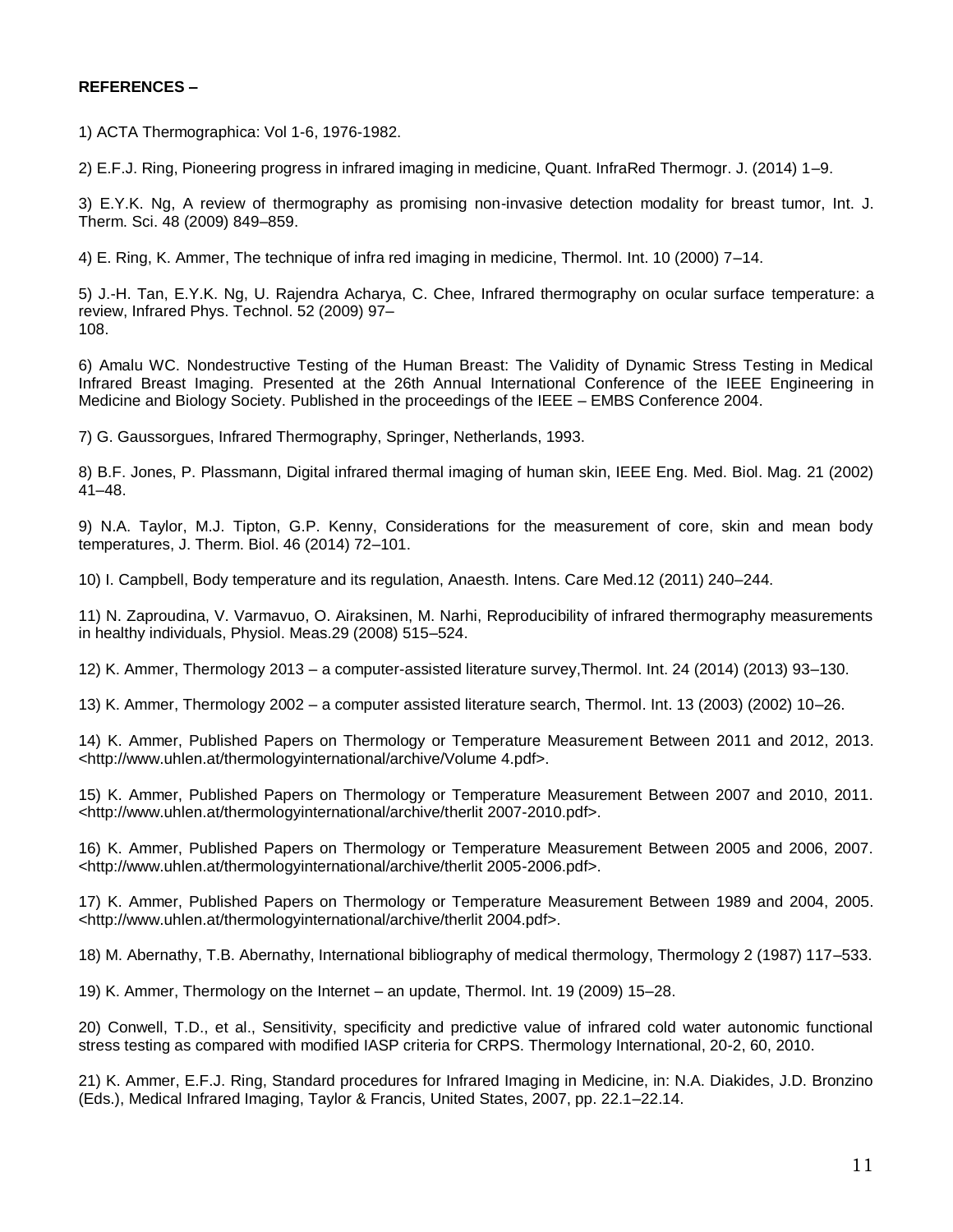# **REFERENCES –**

1) ACTA Thermographica: Vol 1-6, 1976-1982.

2) E.F.J. Ring, Pioneering progress in infrared imaging in medicine, Quant. InfraRed Thermogr. J. (2014) 1–9.

3) E.Y.K. Ng, A review of thermography as promising non-invasive detection modality for breast tumor, Int. J. Therm. Sci. 48 (2009) 849–859.

4) E. Ring, K. Ammer, The technique of infra red imaging in medicine, Thermol. Int. 10 (2000) 7–14.

5) J.-H. Tan, E.Y.K. Ng, U. Rajendra Acharya, C. Chee, Infrared thermography on ocular surface temperature: a review, Infrared Phys. Technol. 52 (2009) 97– 108.

6) Amalu WC. Nondestructive Testing of the Human Breast: The Validity of Dynamic Stress Testing in Medical Infrared Breast Imaging. Presented at the 26th Annual International Conference of the IEEE Engineering in Medicine and Biology Society. Published in the proceedings of the IEEE – EMBS Conference 2004.

7) G. Gaussorgues, Infrared Thermography, Springer, Netherlands, 1993.

8) B.F. Jones, P. Plassmann, Digital infrared thermal imaging of human skin, IEEE Eng. Med. Biol. Mag. 21 (2002) 41–48.

9) N.A. Taylor, M.J. Tipton, G.P. Kenny, Considerations for the measurement of core, skin and mean body temperatures, J. Therm. Biol. 46 (2014) 72–101.

10) I. Campbell, Body temperature and its regulation, Anaesth. Intens. Care Med.12 (2011) 240–244.

11) N. Zaproudina, V. Varmavuo, O. Airaksinen, M. Narhi, Reproducibility of infrared thermography measurements in healthy individuals, Physiol. Meas.29 (2008) 515–524.

12) K. Ammer, Thermology 2013 – a computer-assisted literature survey,Thermol. Int. 24 (2014) (2013) 93–130.

13) K. Ammer, Thermology 2002 – a computer assisted literature search, Thermol. Int. 13 (2003) (2002) 10–26.

14) K. Ammer, Published Papers on Thermology or Temperature Measurement Between 2011 and 2012, 2013. <http://www.uhlen.at/thermologyinternational/archive/Volume 4.pdf>.

15) K. Ammer, Published Papers on Thermology or Temperature Measurement Between 2007 and 2010, 2011. <http://www.uhlen.at/thermologyinternational/archive/therlit 2007-2010.pdf>.

16) K. Ammer, Published Papers on Thermology or Temperature Measurement Between 2005 and 2006, 2007. <http://www.uhlen.at/thermologyinternational/archive/therlit 2005-2006.pdf>.

17) K. Ammer, Published Papers on Thermology or Temperature Measurement Between 1989 and 2004, 2005. <http://www.uhlen.at/thermologyinternational/archive/therlit 2004.pdf>.

18) M. Abernathy, T.B. Abernathy, International bibliography of medical thermology, Thermology 2 (1987) 117–533.

19) K. Ammer, Thermology on the Internet – an update, Thermol. Int. 19 (2009) 15–28.

20) Conwell, T.D., et al., Sensitivity, specificity and predictive value of infrared cold water autonomic functional stress testing as compared with modified IASP criteria for CRPS. Thermology International, 20-2, 60, 2010.

21) K. Ammer, E.F.J. Ring, Standard procedures for Infrared Imaging in Medicine, in: N.A. Diakides, J.D. Bronzino (Eds.), Medical Infrared Imaging, Taylor & Francis, United States, 2007, pp. 22.1–22.14.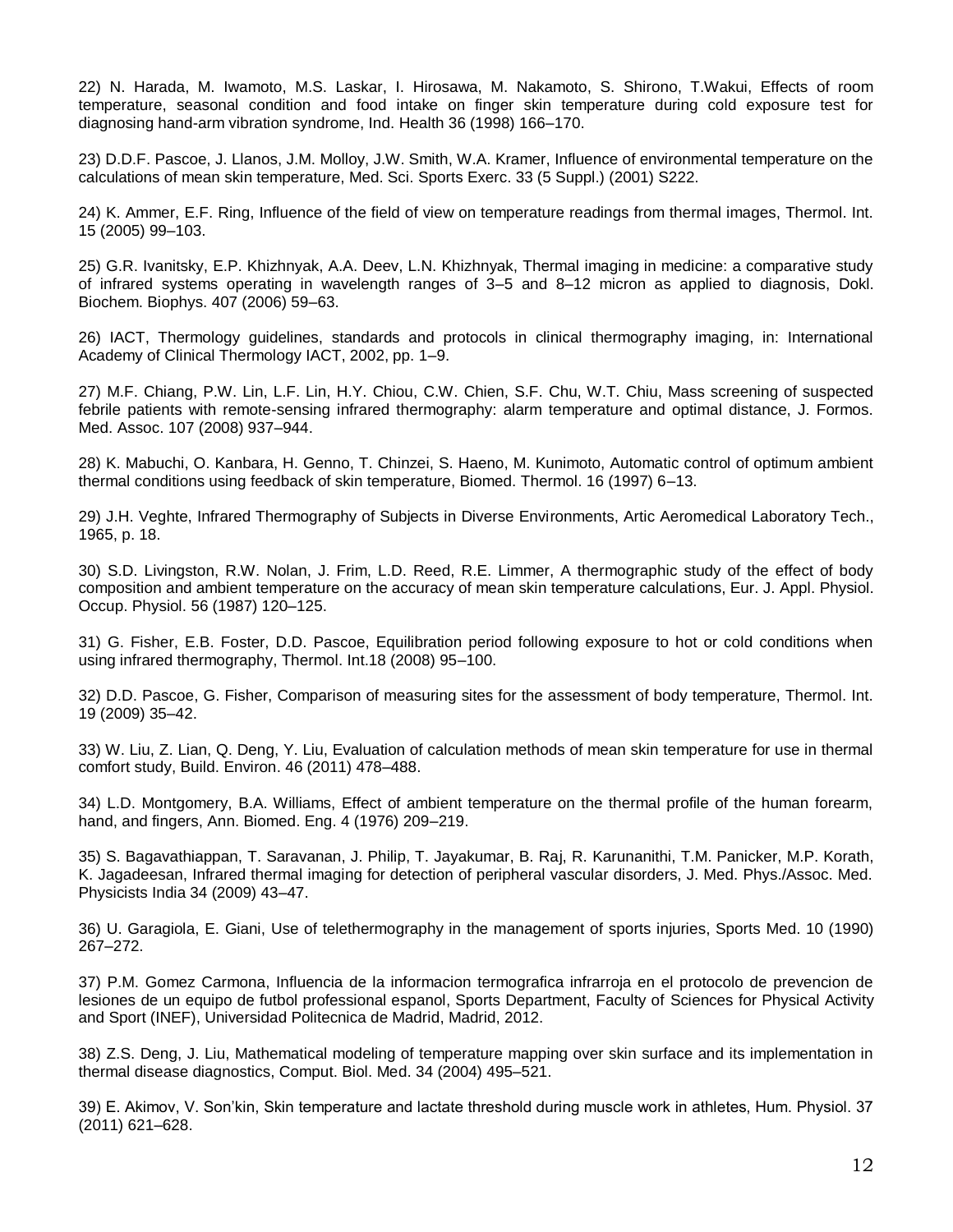22) N. Harada, M. Iwamoto, M.S. Laskar, I. Hirosawa, M. Nakamoto, S. Shirono, T.Wakui, Effects of room temperature, seasonal condition and food intake on finger skin temperature during cold exposure test for diagnosing hand-arm vibration syndrome, Ind. Health 36 (1998) 166–170.

23) D.D.F. Pascoe, J. Llanos, J.M. Molloy, J.W. Smith, W.A. Kramer, Influence of environmental temperature on the calculations of mean skin temperature, Med. Sci. Sports Exerc. 33 (5 Suppl.) (2001) S222.

24) K. Ammer, E.F. Ring, Influence of the field of view on temperature readings from thermal images, Thermol. Int. 15 (2005) 99–103.

25) G.R. Ivanitsky, E.P. Khizhnyak, A.A. Deev, L.N. Khizhnyak, Thermal imaging in medicine: a comparative study of infrared systems operating in wavelength ranges of 3–5 and 8–12 micron as applied to diagnosis, Dokl. Biochem. Biophys. 407 (2006) 59–63.

26) IACT, Thermology guidelines, standards and protocols in clinical thermography imaging, in: International Academy of Clinical Thermology IACT, 2002, pp. 1–9.

27) M.F. Chiang, P.W. Lin, L.F. Lin, H.Y. Chiou, C.W. Chien, S.F. Chu, W.T. Chiu, Mass screening of suspected febrile patients with remote-sensing infrared thermography: alarm temperature and optimal distance, J. Formos. Med. Assoc. 107 (2008) 937–944.

28) K. Mabuchi, O. Kanbara, H. Genno, T. Chinzei, S. Haeno, M. Kunimoto, Automatic control of optimum ambient thermal conditions using feedback of skin temperature, Biomed. Thermol. 16 (1997) 6–13.

29) J.H. Veghte, Infrared Thermography of Subjects in Diverse Environments, Artic Aeromedical Laboratory Tech., 1965, p. 18.

30) S.D. Livingston, R.W. Nolan, J. Frim, L.D. Reed, R.E. Limmer, A thermographic study of the effect of body composition and ambient temperature on the accuracy of mean skin temperature calculations, Eur. J. Appl. Physiol. Occup. Physiol. 56 (1987) 120–125.

31) G. Fisher, E.B. Foster, D.D. Pascoe, Equilibration period following exposure to hot or cold conditions when using infrared thermography, Thermol. Int.18 (2008) 95–100.

32) D.D. Pascoe, G. Fisher, Comparison of measuring sites for the assessment of body temperature, Thermol. Int. 19 (2009) 35–42.

33) W. Liu, Z. Lian, Q. Deng, Y. Liu, Evaluation of calculation methods of mean skin temperature for use in thermal comfort study, Build. Environ. 46 (2011) 478–488.

34) L.D. Montgomery, B.A. Williams, Effect of ambient temperature on the thermal profile of the human forearm, hand, and fingers, Ann. Biomed. Eng. 4 (1976) 209–219.

35) S. Bagavathiappan, T. Saravanan, J. Philip, T. Jayakumar, B. Raj, R. Karunanithi, T.M. Panicker, M.P. Korath, K. Jagadeesan, Infrared thermal imaging for detection of peripheral vascular disorders, J. Med. Phys./Assoc. Med. Physicists India 34 (2009) 43–47.

36) U. Garagiola, E. Giani, Use of telethermography in the management of sports injuries, Sports Med. 10 (1990) 267–272.

37) P.M. Gomez Carmona, Influencia de la informacion termografica infrarroja en el protocolo de prevencion de lesiones de un equipo de futbol professional espanol, Sports Department, Faculty of Sciences for Physical Activity and Sport (INEF), Universidad Politecnica de Madrid, Madrid, 2012.

38) Z.S. Deng, J. Liu, Mathematical modeling of temperature mapping over skin surface and its implementation in thermal disease diagnostics, Comput. Biol. Med. 34 (2004) 495–521.

39) E. Akimov, V. Son'kin, Skin temperature and lactate threshold during muscle work in athletes, Hum. Physiol. 37 (2011) 621–628.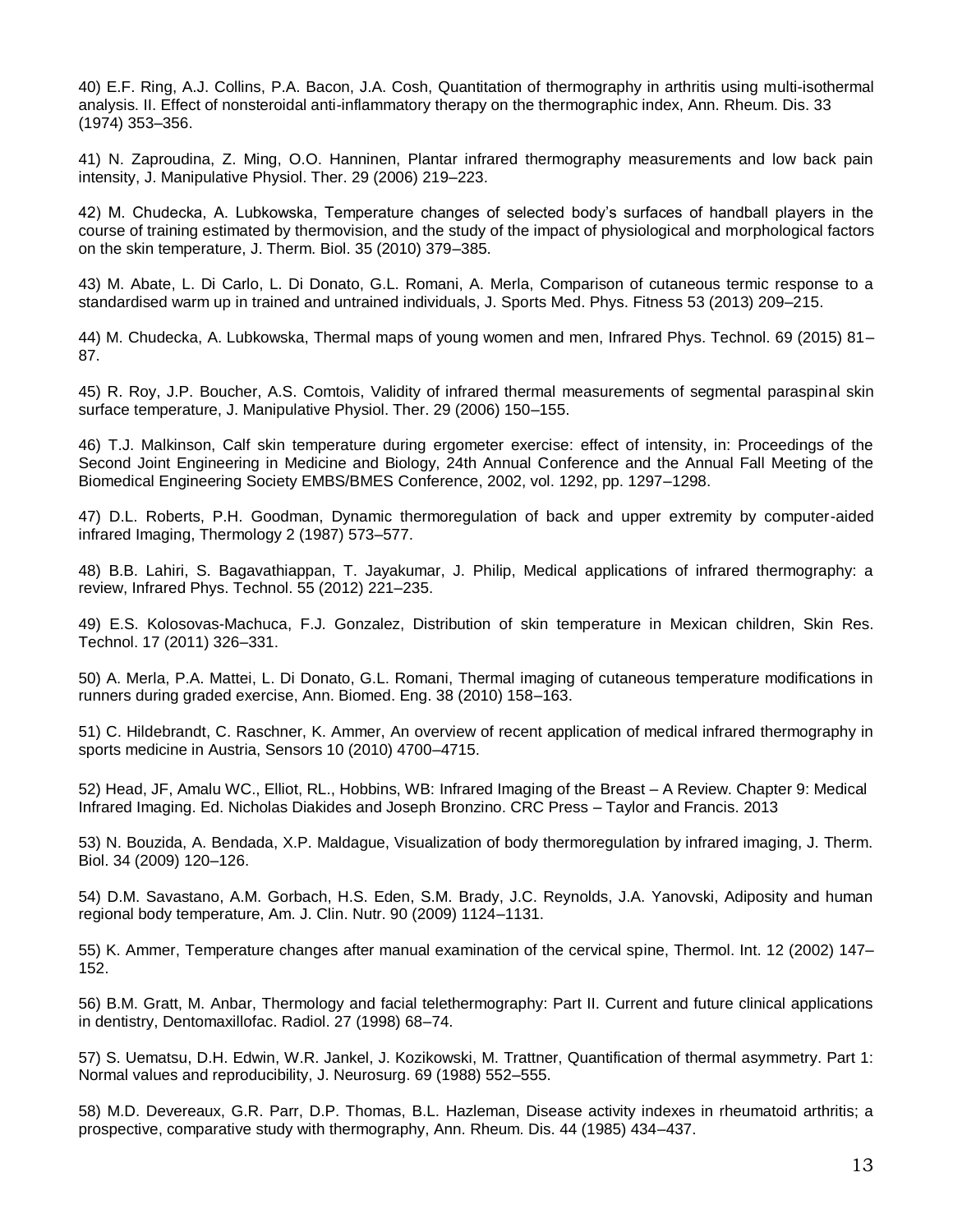40) E.F. Ring, A.J. Collins, P.A. Bacon, J.A. Cosh, Quantitation of thermography in arthritis using multi-isothermal analysis. II. Effect of nonsteroidal anti-inflammatory therapy on the thermographic index, Ann. Rheum. Dis. 33 (1974) 353–356.

41) N. Zaproudina, Z. Ming, O.O. Hanninen, Plantar infrared thermography measurements and low back pain intensity, J. Manipulative Physiol. Ther. 29 (2006) 219–223.

42) M. Chudecka, A. Lubkowska, Temperature changes of selected body's surfaces of handball players in the course of training estimated by thermovision, and the study of the impact of physiological and morphological factors on the skin temperature, J. Therm. Biol. 35 (2010) 379–385.

43) M. Abate, L. Di Carlo, L. Di Donato, G.L. Romani, A. Merla, Comparison of cutaneous termic response to a standardised warm up in trained and untrained individuals, J. Sports Med. Phys. Fitness 53 (2013) 209–215.

44) M. Chudecka, A. Lubkowska, Thermal maps of young women and men, Infrared Phys. Technol. 69 (2015) 81– 87.

45) R. Roy, J.P. Boucher, A.S. Comtois, Validity of infrared thermal measurements of segmental paraspinal skin surface temperature, J. Manipulative Physiol. Ther. 29 (2006) 150–155.

46) T.J. Malkinson, Calf skin temperature during ergometer exercise: effect of intensity, in: Proceedings of the Second Joint Engineering in Medicine and Biology, 24th Annual Conference and the Annual Fall Meeting of the Biomedical Engineering Society EMBS/BMES Conference, 2002, vol. 1292, pp. 1297–1298.

47) D.L. Roberts, P.H. Goodman, Dynamic thermoregulation of back and upper extremity by computer-aided infrared Imaging, Thermology 2 (1987) 573–577.

48) B.B. Lahiri, S. Bagavathiappan, T. Jayakumar, J. Philip, Medical applications of infrared thermography: a review, Infrared Phys. Technol. 55 (2012) 221–235.

49) E.S. Kolosovas-Machuca, F.J. Gonzalez, Distribution of skin temperature in Mexican children, Skin Res. Technol. 17 (2011) 326–331.

50) A. Merla, P.A. Mattei, L. Di Donato, G.L. Romani, Thermal imaging of cutaneous temperature modifications in runners during graded exercise, Ann. Biomed. Eng. 38 (2010) 158–163.

51) C. Hildebrandt, C. Raschner, K. Ammer, An overview of recent application of medical infrared thermography in sports medicine in Austria, Sensors 10 (2010) 4700–4715.

52) Head, JF, Amalu WC., Elliot, RL., Hobbins, WB: Infrared Imaging of the Breast – A Review. Chapter 9: Medical Infrared Imaging. Ed. Nicholas Diakides and Joseph Bronzino. CRC Press – Taylor and Francis. 2013

53) N. Bouzida, A. Bendada, X.P. Maldague, Visualization of body thermoregulation by infrared imaging, J. Therm. Biol. 34 (2009) 120–126.

54) D.M. Savastano, A.M. Gorbach, H.S. Eden, S.M. Brady, J.C. Reynolds, J.A. Yanovski, Adiposity and human regional body temperature, Am. J. Clin. Nutr. 90 (2009) 1124–1131.

55) K. Ammer, Temperature changes after manual examination of the cervical spine, Thermol. Int. 12 (2002) 147– 152.

56) B.M. Gratt, M. Anbar, Thermology and facial telethermography: Part II. Current and future clinical applications in dentistry, Dentomaxillofac. Radiol. 27 (1998) 68–74.

57) S. Uematsu, D.H. Edwin, W.R. Jankel, J. Kozikowski, M. Trattner, Quantification of thermal asymmetry. Part 1: Normal values and reproducibility, J. Neurosurg. 69 (1988) 552–555.

58) M.D. Devereaux, G.R. Parr, D.P. Thomas, B.L. Hazleman, Disease activity indexes in rheumatoid arthritis; a prospective, comparative study with thermography, Ann. Rheum. Dis. 44 (1985) 434–437.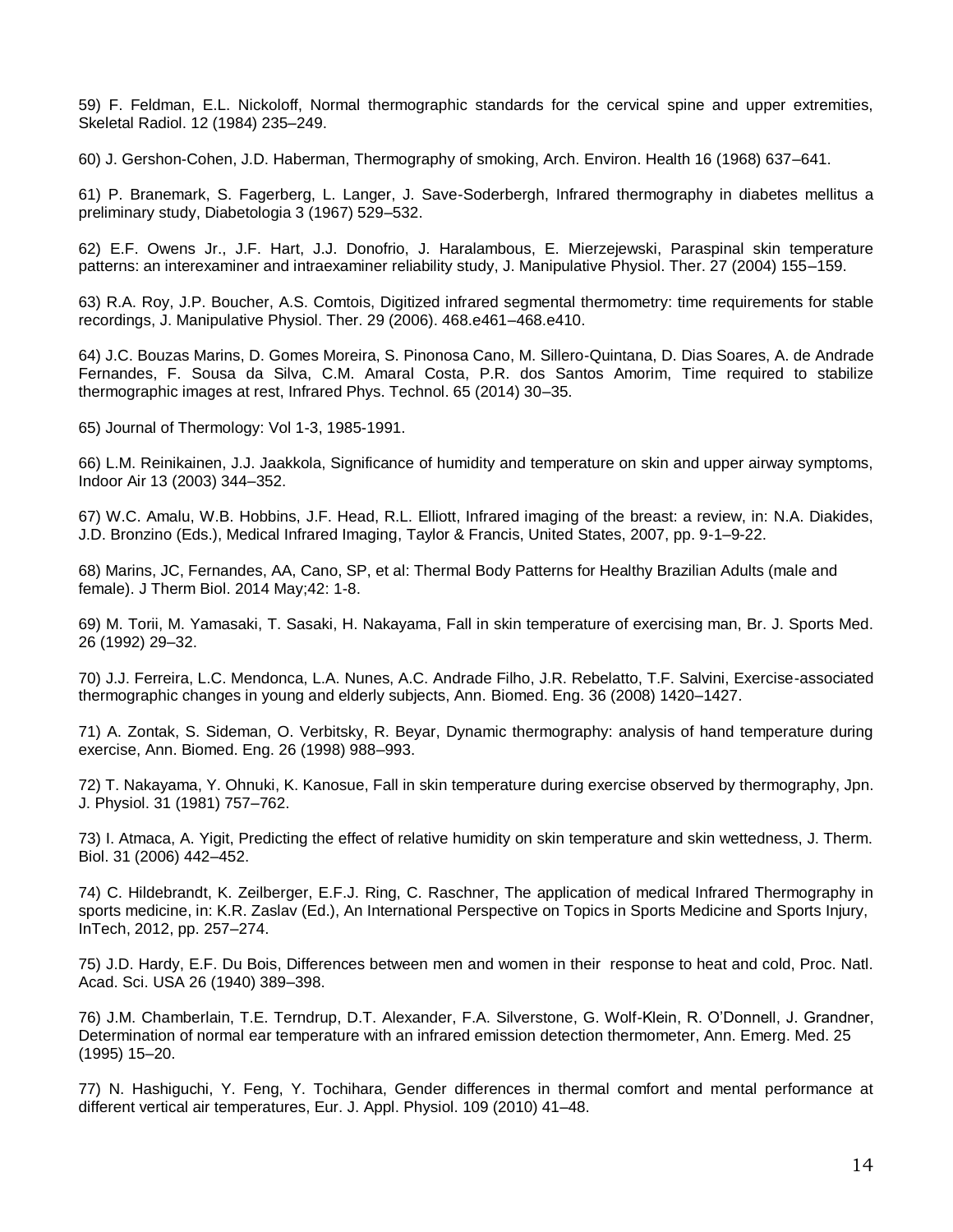59) F. Feldman, E.L. Nickoloff, Normal thermographic standards for the cervical spine and upper extremities, Skeletal Radiol. 12 (1984) 235–249.

60) J. Gershon-Cohen, J.D. Haberman, Thermography of smoking, Arch. Environ. Health 16 (1968) 637–641.

61) P. Branemark, S. Fagerberg, L. Langer, J. Save-Soderbergh, Infrared thermography in diabetes mellitus a preliminary study, Diabetologia 3 (1967) 529–532.

62) E.F. Owens Jr., J.F. Hart, J.J. Donofrio, J. Haralambous, E. Mierzejewski, Paraspinal skin temperature patterns: an interexaminer and intraexaminer reliability study, J. Manipulative Physiol. Ther. 27 (2004) 155–159.

63) R.A. Roy, J.P. Boucher, A.S. Comtois, Digitized infrared segmental thermometry: time requirements for stable recordings, J. Manipulative Physiol. Ther. 29 (2006). 468.e461–468.e410.

64) J.C. Bouzas Marins, D. Gomes Moreira, S. Pinonosa Cano, M. Sillero-Quintana, D. Dias Soares, A. de Andrade Fernandes, F. Sousa da Silva, C.M. Amaral Costa, P.R. dos Santos Amorim, Time required to stabilize thermographic images at rest, Infrared Phys. Technol. 65 (2014) 30–35.

65) Journal of Thermology: Vol 1-3, 1985-1991.

66) L.M. Reinikainen, J.J. Jaakkola, Significance of humidity and temperature on skin and upper airway symptoms, Indoor Air 13 (2003) 344–352.

67) W.C. Amalu, W.B. Hobbins, J.F. Head, R.L. Elliott, Infrared imaging of the breast: a review, in: N.A. Diakides, J.D. Bronzino (Eds.), Medical Infrared Imaging, Taylor & Francis, United States, 2007, pp. 9-1–9-22.

68) Marins, JC, Fernandes, AA, Cano, SP, et al: Thermal Body Patterns for Healthy Brazilian Adults (male and female). J Therm Biol. 2014 May;42: 1-8.

69) M. Torii, M. Yamasaki, T. Sasaki, H. Nakayama, Fall in skin temperature of exercising man, Br. J. Sports Med. 26 (1992) 29–32.

70) J.J. Ferreira, L.C. Mendonca, L.A. Nunes, A.C. Andrade Filho, J.R. Rebelatto, T.F. Salvini, Exercise-associated thermographic changes in young and elderly subjects, Ann. Biomed. Eng. 36 (2008) 1420–1427.

71) A. Zontak, S. Sideman, O. Verbitsky, R. Beyar, Dynamic thermography: analysis of hand temperature during exercise, Ann. Biomed. Eng. 26 (1998) 988–993.

72) T. Nakayama, Y. Ohnuki, K. Kanosue, Fall in skin temperature during exercise observed by thermography, Jpn. J. Physiol. 31 (1981) 757–762.

73) I. Atmaca, A. Yigit, Predicting the effect of relative humidity on skin temperature and skin wettedness, J. Therm. Biol. 31 (2006) 442–452.

74) C. Hildebrandt, K. Zeilberger, E.F.J. Ring, C. Raschner, The application of medical Infrared Thermography in sports medicine, in: K.R. Zaslav (Ed.), An International Perspective on Topics in Sports Medicine and Sports Injury, InTech, 2012, pp. 257–274.

75) J.D. Hardy, E.F. Du Bois, Differences between men and women in their response to heat and cold, Proc. Natl. Acad. Sci. USA 26 (1940) 389–398.

76) J.M. Chamberlain, T.E. Terndrup, D.T. Alexander, F.A. Silverstone, G. Wolf-Klein, R. O'Donnell, J. Grandner, Determination of normal ear temperature with an infrared emission detection thermometer, Ann. Emerg. Med. 25 (1995) 15–20.

77) N. Hashiguchi, Y. Feng, Y. Tochihara, Gender differences in thermal comfort and mental performance at different vertical air temperatures, Eur. J. Appl. Physiol. 109 (2010) 41–48.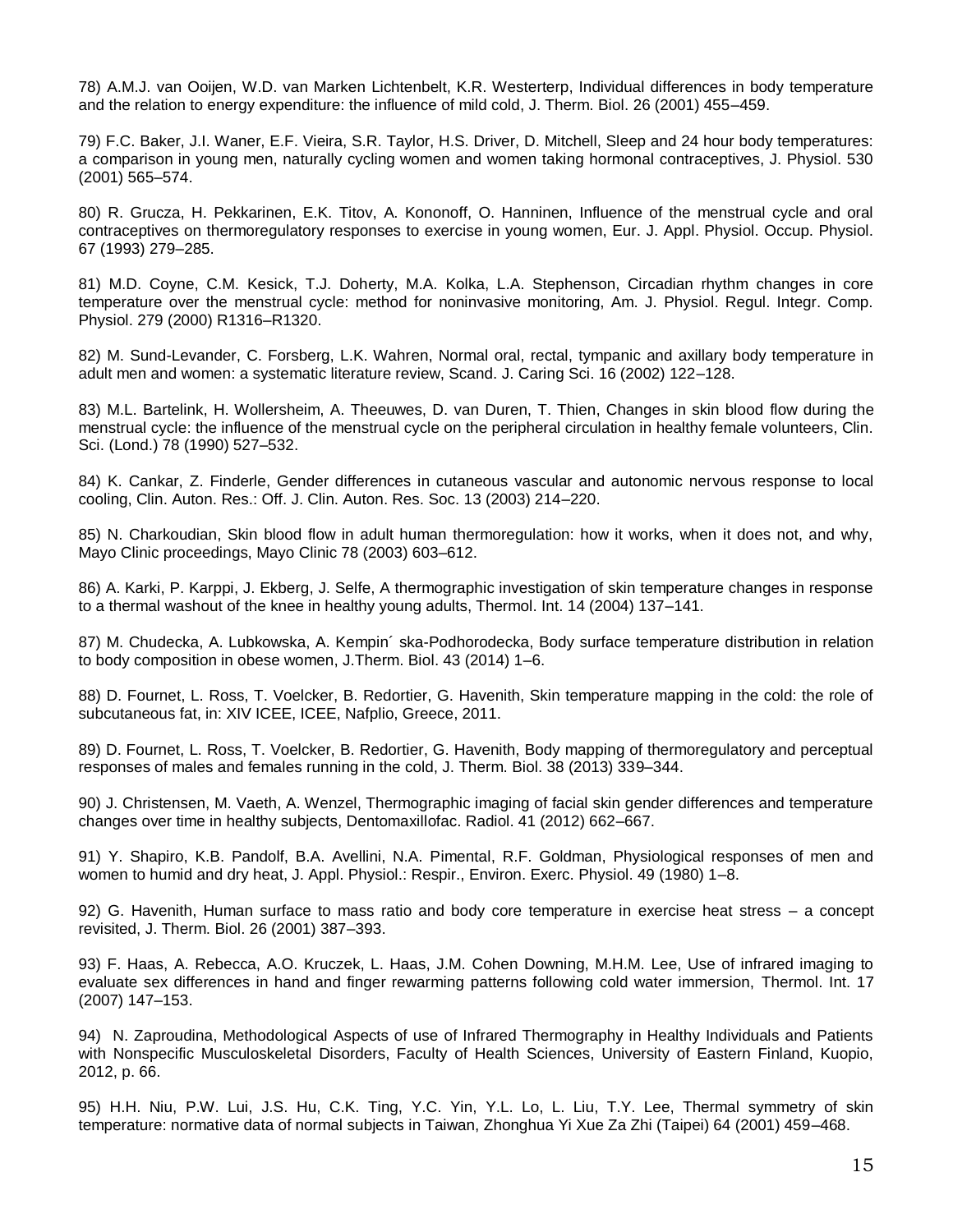78) A.M.J. van Ooijen, W.D. van Marken Lichtenbelt, K.R. Westerterp, Individual differences in body temperature and the relation to energy expenditure: the influence of mild cold, J. Therm. Biol. 26 (2001) 455–459.

79) F.C. Baker, J.I. Waner, E.F. Vieira, S.R. Taylor, H.S. Driver, D. Mitchell, Sleep and 24 hour body temperatures: a comparison in young men, naturally cycling women and women taking hormonal contraceptives, J. Physiol. 530 (2001) 565–574.

80) R. Grucza, H. Pekkarinen, E.K. Titov, A. Kononoff, O. Hanninen, Influence of the menstrual cycle and oral contraceptives on thermoregulatory responses to exercise in young women, Eur. J. Appl. Physiol. Occup. Physiol. 67 (1993) 279–285.

81) M.D. Coyne, C.M. Kesick, T.J. Doherty, M.A. Kolka, L.A. Stephenson, Circadian rhythm changes in core temperature over the menstrual cycle: method for noninvasive monitoring, Am. J. Physiol. Regul. Integr. Comp. Physiol. 279 (2000) R1316–R1320.

82) M. Sund-Levander, C. Forsberg, L.K. Wahren, Normal oral, rectal, tympanic and axillary body temperature in adult men and women: a systematic literature review, Scand. J. Caring Sci. 16 (2002) 122–128.

83) M.L. Bartelink, H. Wollersheim, A. Theeuwes, D. van Duren, T. Thien, Changes in skin blood flow during the menstrual cycle: the influence of the menstrual cycle on the peripheral circulation in healthy female volunteers, Clin. Sci. (Lond.) 78 (1990) 527–532.

84) K. Cankar, Z. Finderle, Gender differences in cutaneous vascular and autonomic nervous response to local cooling, Clin. Auton. Res.: Off. J. Clin. Auton. Res. Soc. 13 (2003) 214–220.

85) N. Charkoudian, Skin blood flow in adult human thermoregulation: how it works, when it does not, and why, Mayo Clinic proceedings, Mayo Clinic 78 (2003) 603–612.

86) A. Karki, P. Karppi, J. Ekberg, J. Selfe, A thermographic investigation of skin temperature changes in response to a thermal washout of the knee in healthy young adults, Thermol. Int. 14 (2004) 137–141.

87) M. Chudecka, A. Lubkowska, A. Kempin´ ska-Podhorodecka, Body surface temperature distribution in relation to body composition in obese women, J.Therm. Biol. 43 (2014) 1–6.

88) D. Fournet, L. Ross, T. Voelcker, B. Redortier, G. Havenith, Skin temperature mapping in the cold: the role of subcutaneous fat, in: XIV ICEE, ICEE, Nafplio, Greece, 2011.

89) D. Fournet, L. Ross, T. Voelcker, B. Redortier, G. Havenith, Body mapping of thermoregulatory and perceptual responses of males and females running in the cold, J. Therm. Biol. 38 (2013) 339–344.

90) J. Christensen, M. Vaeth, A. Wenzel, Thermographic imaging of facial skin gender differences and temperature changes over time in healthy subjects, Dentomaxillofac. Radiol. 41 (2012) 662–667.

91) Y. Shapiro, K.B. Pandolf, B.A. Avellini, N.A. Pimental, R.F. Goldman, Physiological responses of men and women to humid and dry heat, J. Appl. Physiol.: Respir., Environ. Exerc. Physiol. 49 (1980) 1–8.

92) G. Havenith, Human surface to mass ratio and body core temperature in exercise heat stress – a concept revisited, J. Therm. Biol. 26 (2001) 387–393.

93) F. Haas, A. Rebecca, A.O. Kruczek, L. Haas, J.M. Cohen Downing, M.H.M. Lee, Use of infrared imaging to evaluate sex differences in hand and finger rewarming patterns following cold water immersion, Thermol. Int. 17 (2007) 147–153.

94) N. Zaproudina, Methodological Aspects of use of Infrared Thermography in Healthy Individuals and Patients with Nonspecific Musculoskeletal Disorders, Faculty of Health Sciences, University of Eastern Finland, Kuopio, 2012, p. 66.

95) H.H. Niu, P.W. Lui, J.S. Hu, C.K. Ting, Y.C. Yin, Y.L. Lo, L. Liu, T.Y. Lee, Thermal symmetry of skin temperature: normative data of normal subjects in Taiwan, Zhonghua Yi Xue Za Zhi (Taipei) 64 (2001) 459–468.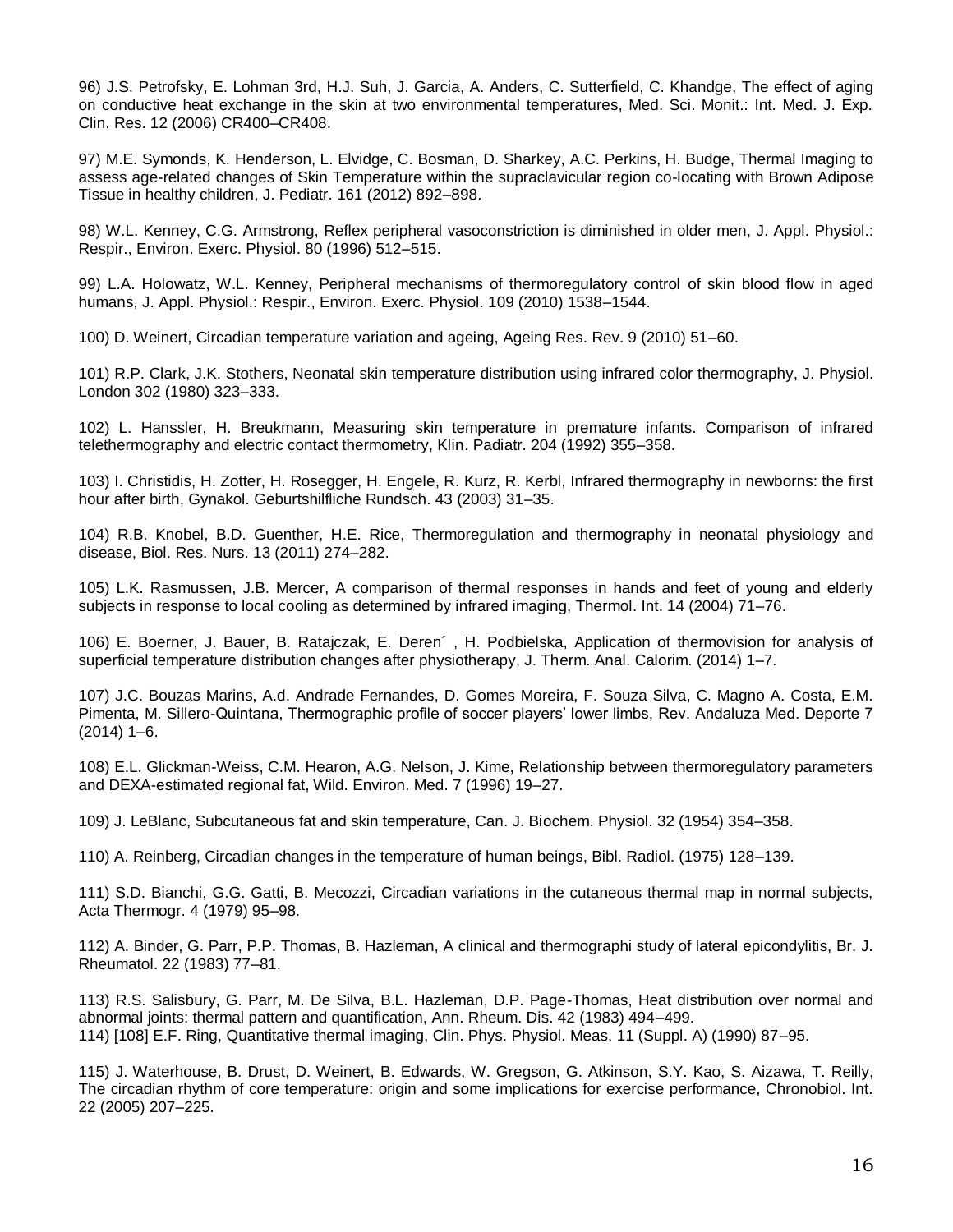96) J.S. Petrofsky, E. Lohman 3rd, H.J. Suh, J. Garcia, A. Anders, C. Sutterfield, C. Khandge, The effect of aging on conductive heat exchange in the skin at two environmental temperatures, Med. Sci. Monit.: Int. Med. J. Exp. Clin. Res. 12 (2006) CR400–CR408.

97) M.E. Symonds, K. Henderson, L. Elvidge, C. Bosman, D. Sharkey, A.C. Perkins, H. Budge, Thermal Imaging to assess age-related changes of Skin Temperature within the supraclavicular region co-locating with Brown Adipose Tissue in healthy children, J. Pediatr. 161 (2012) 892–898.

98) W.L. Kenney, C.G. Armstrong, Reflex peripheral vasoconstriction is diminished in older men, J. Appl. Physiol.: Respir., Environ. Exerc. Physiol. 80 (1996) 512–515.

99) L.A. Holowatz, W.L. Kenney, Peripheral mechanisms of thermoregulatory control of skin blood flow in aged humans, J. Appl. Physiol.: Respir., Environ. Exerc. Physiol. 109 (2010) 1538–1544.

100) D. Weinert, Circadian temperature variation and ageing, Ageing Res. Rev. 9 (2010) 51–60.

101) R.P. Clark, J.K. Stothers, Neonatal skin temperature distribution using infrared color thermography, J. Physiol. London 302 (1980) 323–333.

102) L. Hanssler, H. Breukmann, Measuring skin temperature in premature infants. Comparison of infrared telethermography and electric contact thermometry, Klin. Padiatr. 204 (1992) 355–358.

103) I. Christidis, H. Zotter, H. Rosegger, H. Engele, R. Kurz, R. Kerbl, Infrared thermography in newborns: the first hour after birth, Gynakol. Geburtshilfliche Rundsch. 43 (2003) 31–35.

104) R.B. Knobel, B.D. Guenther, H.E. Rice, Thermoregulation and thermography in neonatal physiology and disease, Biol. Res. Nurs. 13 (2011) 274–282.

105) L.K. Rasmussen, J.B. Mercer, A comparison of thermal responses in hands and feet of young and elderly subjects in response to local cooling as determined by infrared imaging, Thermol. Int. 14 (2004) 71–76.

106) E. Boerner, J. Bauer, B. Ratajczak, E. Deren´ , H. Podbielska, Application of thermovision for analysis of superficial temperature distribution changes after physiotherapy, J. Therm. Anal. Calorim. (2014) 1–7.

107) J.C. Bouzas Marins, A.d. Andrade Fernandes, D. Gomes Moreira, F. Souza Silva, C. Magno A. Costa, E.M. Pimenta, M. Sillero-Quintana, Thermographic profile of soccer players' lower limbs, Rev. Andaluza Med. Deporte 7 (2014) 1–6.

108) E.L. Glickman-Weiss, C.M. Hearon, A.G. Nelson, J. Kime, Relationship between thermoregulatory parameters and DEXA-estimated regional fat, Wild. Environ. Med. 7 (1996) 19–27.

109) J. LeBlanc, Subcutaneous fat and skin temperature, Can. J. Biochem. Physiol. 32 (1954) 354–358.

110) A. Reinberg, Circadian changes in the temperature of human beings, Bibl. Radiol. (1975) 128–139.

111) S.D. Bianchi, G.G. Gatti, B. Mecozzi, Circadian variations in the cutaneous thermal map in normal subjects, Acta Thermogr. 4 (1979) 95–98.

112) A. Binder, G. Parr, P.P. Thomas, B. Hazleman, A clinical and thermographi study of lateral epicondylitis, Br. J. Rheumatol. 22 (1983) 77–81.

113) R.S. Salisbury, G. Parr, M. De Silva, B.L. Hazleman, D.P. Page-Thomas, Heat distribution over normal and abnormal joints: thermal pattern and quantification, Ann. Rheum. Dis. 42 (1983) 494–499. 114) [108] E.F. Ring, Quantitative thermal imaging, Clin. Phys. Physiol. Meas. 11 (Suppl. A) (1990) 87–95.

115) J. Waterhouse, B. Drust, D. Weinert, B. Edwards, W. Gregson, G. Atkinson, S.Y. Kao, S. Aizawa, T. Reilly, The circadian rhythm of core temperature: origin and some implications for exercise performance, Chronobiol. Int. 22 (2005) 207–225.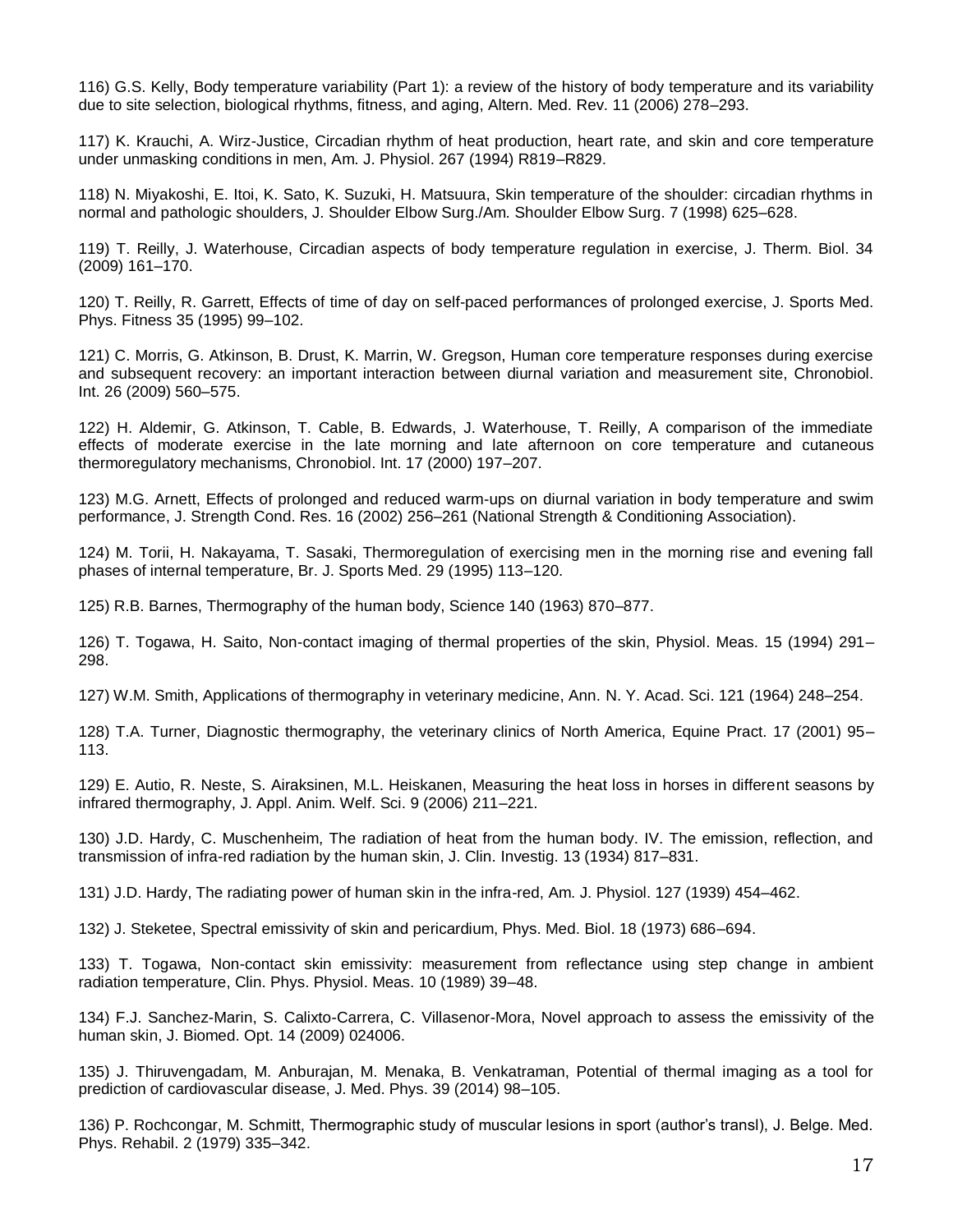116) G.S. Kelly, Body temperature variability (Part 1): a review of the history of body temperature and its variability due to site selection, biological rhythms, fitness, and aging, Altern. Med. Rev. 11 (2006) 278–293.

117) K. Krauchi, A. Wirz-Justice, Circadian rhythm of heat production, heart rate, and skin and core temperature under unmasking conditions in men, Am. J. Physiol. 267 (1994) R819–R829.

118) N. Miyakoshi, E. Itoi, K. Sato, K. Suzuki, H. Matsuura, Skin temperature of the shoulder: circadian rhythms in normal and pathologic shoulders, J. Shoulder Elbow Surg./Am. Shoulder Elbow Surg. 7 (1998) 625–628.

119) T. Reilly, J. Waterhouse, Circadian aspects of body temperature regulation in exercise, J. Therm. Biol. 34 (2009) 161–170.

120) T. Reilly, R. Garrett, Effects of time of day on self-paced performances of prolonged exercise, J. Sports Med. Phys. Fitness 35 (1995) 99–102.

121) C. Morris, G. Atkinson, B. Drust, K. Marrin, W. Gregson, Human core temperature responses during exercise and subsequent recovery: an important interaction between diurnal variation and measurement site, Chronobiol. Int. 26 (2009) 560–575.

122) H. Aldemir, G. Atkinson, T. Cable, B. Edwards, J. Waterhouse, T. Reilly, A comparison of the immediate effects of moderate exercise in the late morning and late afternoon on core temperature and cutaneous thermoregulatory mechanisms, Chronobiol. Int. 17 (2000) 197–207.

123) M.G. Arnett, Effects of prolonged and reduced warm-ups on diurnal variation in body temperature and swim performance, J. Strength Cond. Res. 16 (2002) 256–261 (National Strength & Conditioning Association).

124) M. Torii, H. Nakayama, T. Sasaki, Thermoregulation of exercising men in the morning rise and evening fall phases of internal temperature, Br. J. Sports Med. 29 (1995) 113–120.

125) R.B. Barnes, Thermography of the human body, Science 140 (1963) 870–877.

126) T. Togawa, H. Saito, Non-contact imaging of thermal properties of the skin, Physiol. Meas. 15 (1994) 291– 298.

127) W.M. Smith, Applications of thermography in veterinary medicine, Ann. N. Y. Acad. Sci. 121 (1964) 248–254.

128) T.A. Turner, Diagnostic thermography, the veterinary clinics of North America, Equine Pract. 17 (2001) 95– 113.

129) E. Autio, R. Neste, S. Airaksinen, M.L. Heiskanen, Measuring the heat loss in horses in different seasons by infrared thermography, J. Appl. Anim. Welf. Sci. 9 (2006) 211–221.

130) J.D. Hardy, C. Muschenheim, The radiation of heat from the human body. IV. The emission, reflection, and transmission of infra-red radiation by the human skin, J. Clin. Investig. 13 (1934) 817–831.

131) J.D. Hardy, The radiating power of human skin in the infra-red, Am. J. Physiol. 127 (1939) 454–462.

132) J. Steketee, Spectral emissivity of skin and pericardium, Phys. Med. Biol. 18 (1973) 686–694.

133) T. Togawa, Non-contact skin emissivity: measurement from reflectance using step change in ambient radiation temperature, Clin. Phys. Physiol. Meas. 10 (1989) 39–48.

134) F.J. Sanchez-Marin, S. Calixto-Carrera, C. Villasenor-Mora, Novel approach to assess the emissivity of the human skin, J. Biomed. Opt. 14 (2009) 024006.

135) J. Thiruvengadam, M. Anburajan, M. Menaka, B. Venkatraman, Potential of thermal imaging as a tool for prediction of cardiovascular disease, J. Med. Phys. 39 (2014) 98–105.

136) P. Rochcongar, M. Schmitt, Thermographic study of muscular lesions in sport (author's transl), J. Belge. Med. Phys. Rehabil. 2 (1979) 335–342.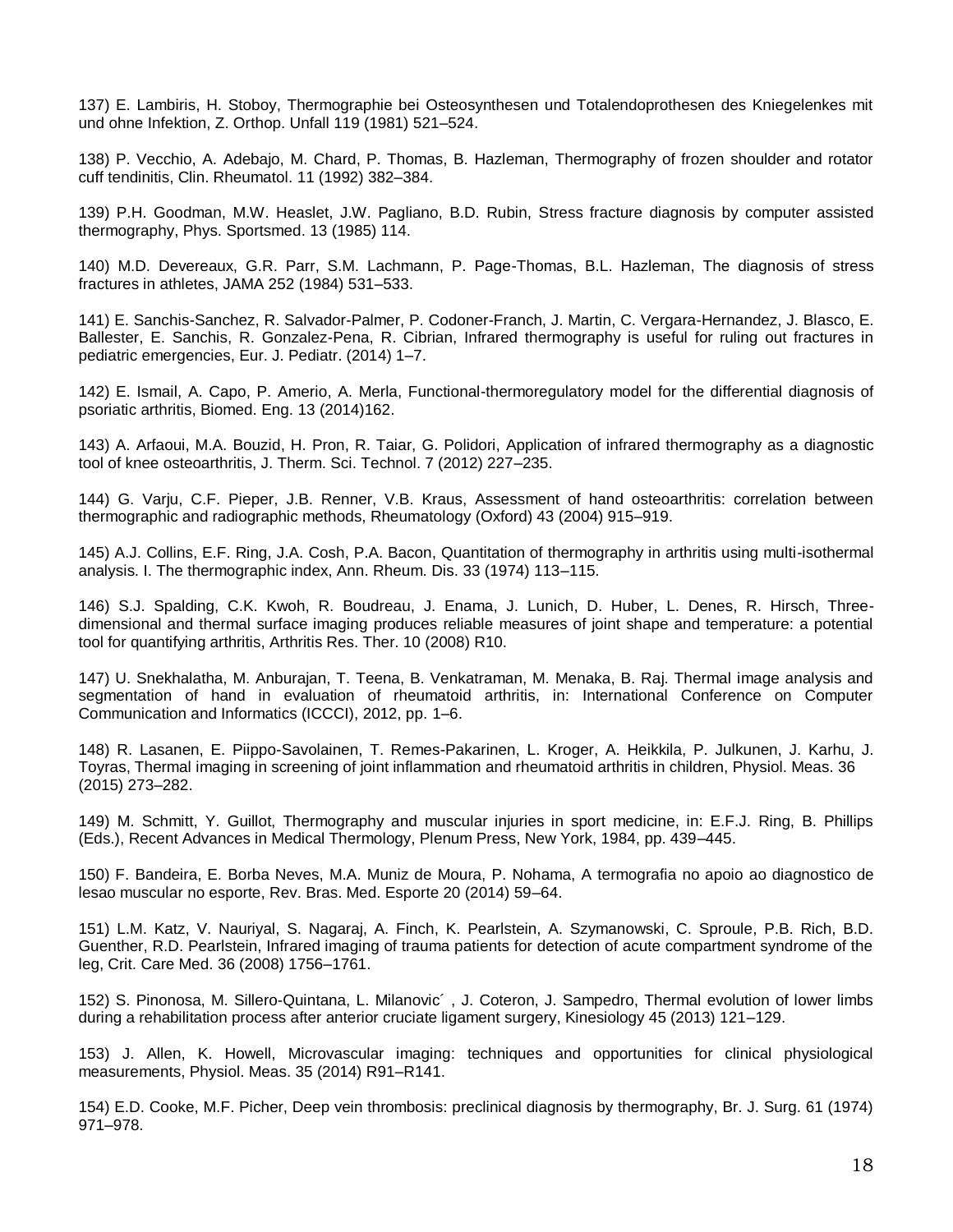137) E. Lambiris, H. Stoboy, Thermographie bei Osteosynthesen und Totalendoprothesen des Kniegelenkes mit und ohne Infektion, Z. Orthop. Unfall 119 (1981) 521–524.

138) P. Vecchio, A. Adebajo, M. Chard, P. Thomas, B. Hazleman, Thermography of frozen shoulder and rotator cuff tendinitis, Clin. Rheumatol. 11 (1992) 382–384.

139) P.H. Goodman, M.W. Heaslet, J.W. Pagliano, B.D. Rubin, Stress fracture diagnosis by computer assisted thermography, Phys. Sportsmed. 13 (1985) 114.

140) M.D. Devereaux, G.R. Parr, S.M. Lachmann, P. Page-Thomas, B.L. Hazleman, The diagnosis of stress fractures in athletes, JAMA 252 (1984) 531–533.

141) E. Sanchis-Sanchez, R. Salvador-Palmer, P. Codoner-Franch, J. Martin, C. Vergara-Hernandez, J. Blasco, E. Ballester, E. Sanchis, R. Gonzalez-Pena, R. Cibrian, Infrared thermography is useful for ruling out fractures in pediatric emergencies, Eur. J. Pediatr. (2014) 1–7.

142) E. Ismail, A. Capo, P. Amerio, A. Merla, Functional-thermoregulatory model for the differential diagnosis of psoriatic arthritis, Biomed. Eng. 13 (2014)162.

143) A. Arfaoui, M.A. Bouzid, H. Pron, R. Taiar, G. Polidori, Application of infrared thermography as a diagnostic tool of knee osteoarthritis, J. Therm. Sci. Technol. 7 (2012) 227–235.

144) G. Varju, C.F. Pieper, J.B. Renner, V.B. Kraus, Assessment of hand osteoarthritis: correlation between thermographic and radiographic methods, Rheumatology (Oxford) 43 (2004) 915–919.

145) A.J. Collins, E.F. Ring, J.A. Cosh, P.A. Bacon, Quantitation of thermography in arthritis using multi-isothermal analysis. I. The thermographic index, Ann. Rheum. Dis. 33 (1974) 113–115.

146) S.J. Spalding, C.K. Kwoh, R. Boudreau, J. Enama, J. Lunich, D. Huber, L. Denes, R. Hirsch, Threedimensional and thermal surface imaging produces reliable measures of joint shape and temperature: a potential tool for quantifying arthritis, Arthritis Res. Ther. 10 (2008) R10.

147) U. Snekhalatha, M. Anburajan, T. Teena, B. Venkatraman, M. Menaka, B. Raj. Thermal image analysis and segmentation of hand in evaluation of rheumatoid arthritis, in: International Conference on Computer Communication and Informatics (ICCCI), 2012, pp. 1–6.

148) R. Lasanen, E. Piippo-Savolainen, T. Remes-Pakarinen, L. Kroger, A. Heikkila, P. Julkunen, J. Karhu, J. Toyras, Thermal imaging in screening of joint inflammation and rheumatoid arthritis in children, Physiol. Meas. 36 (2015) 273–282.

149) M. Schmitt, Y. Guillot, Thermography and muscular injuries in sport medicine, in: E.F.J. Ring, B. Phillips (Eds.), Recent Advances in Medical Thermology, Plenum Press, New York, 1984, pp. 439–445.

150) F. Bandeira, E. Borba Neves, M.A. Muniz de Moura, P. Nohama, A termografia no apoio ao diagnostico de lesao muscular no esporte, Rev. Bras. Med. Esporte 20 (2014) 59–64.

151) L.M. Katz, V. Nauriyal, S. Nagaraj, A. Finch, K. Pearlstein, A. Szymanowski, C. Sproule, P.B. Rich, B.D. Guenther, R.D. Pearlstein, Infrared imaging of trauma patients for detection of acute compartment syndrome of the leg, Crit. Care Med. 36 (2008) 1756–1761.

152) S. Pinonosa, M. Sillero-Quintana, L. Milanovic´ , J. Coteron, J. Sampedro, Thermal evolution of lower limbs during a rehabilitation process after anterior cruciate ligament surgery, Kinesiology 45 (2013) 121–129.

153) J. Allen, K. Howell, Microvascular imaging: techniques and opportunities for clinical physiological measurements, Physiol. Meas. 35 (2014) R91–R141.

154) E.D. Cooke, M.F. Picher, Deep vein thrombosis: preclinical diagnosis by thermography, Br. J. Surg. 61 (1974) 971–978.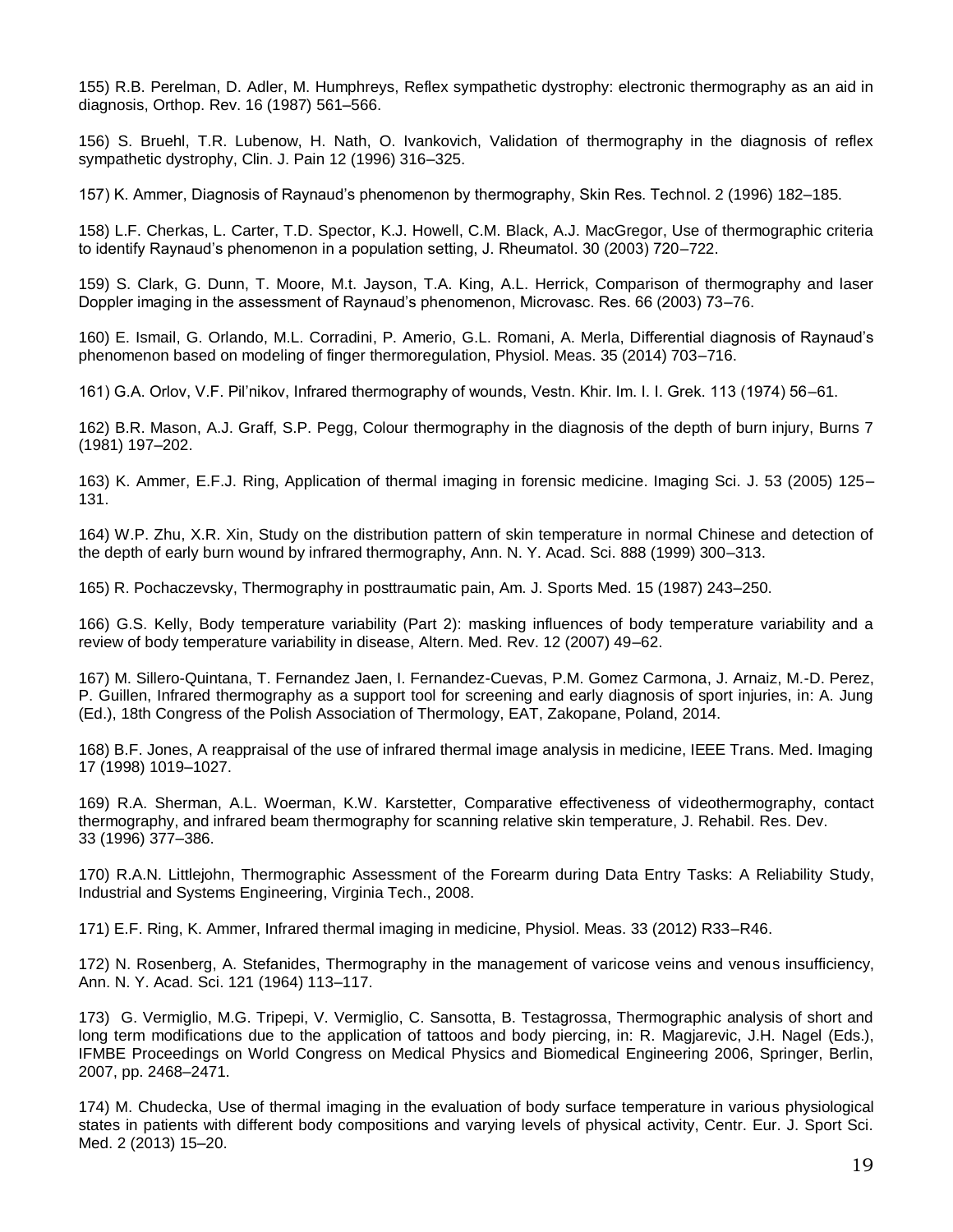155) R.B. Perelman, D. Adler, M. Humphreys, Reflex sympathetic dystrophy: electronic thermography as an aid in diagnosis, Orthop. Rev. 16 (1987) 561–566.

156) S. Bruehl, T.R. Lubenow, H. Nath, O. Ivankovich, Validation of thermography in the diagnosis of reflex sympathetic dystrophy, Clin. J. Pain 12 (1996) 316–325.

157) K. Ammer, Diagnosis of Raynaud's phenomenon by thermography, Skin Res. Technol. 2 (1996) 182–185.

158) L.F. Cherkas, L. Carter, T.D. Spector, K.J. Howell, C.M. Black, A.J. MacGregor, Use of thermographic criteria to identify Raynaud's phenomenon in a population setting, J. Rheumatol. 30 (2003) 720–722.

159) S. Clark, G. Dunn, T. Moore, M.t. Jayson, T.A. King, A.L. Herrick, Comparison of thermography and laser Doppler imaging in the assessment of Raynaud's phenomenon, Microvasc. Res. 66 (2003) 73–76.

160) E. Ismail, G. Orlando, M.L. Corradini, P. Amerio, G.L. Romani, A. Merla, Differential diagnosis of Raynaud's phenomenon based on modeling of finger thermoregulation, Physiol. Meas. 35 (2014) 703–716.

161) G.A. Orlov, V.F. Pil'nikov, Infrared thermography of wounds, Vestn. Khir. Im. I. I. Grek. 113 (1974) 56–61.

162) B.R. Mason, A.J. Graff, S.P. Pegg, Colour thermography in the diagnosis of the depth of burn injury, Burns 7 (1981) 197–202.

163) K. Ammer, E.F.J. Ring, Application of thermal imaging in forensic medicine. Imaging Sci. J. 53 (2005) 125– 131.

164) W.P. Zhu, X.R. Xin, Study on the distribution pattern of skin temperature in normal Chinese and detection of the depth of early burn wound by infrared thermography, Ann. N. Y. Acad. Sci. 888 (1999) 300–313.

165) R. Pochaczevsky, Thermography in posttraumatic pain, Am. J. Sports Med. 15 (1987) 243–250.

166) G.S. Kelly, Body temperature variability (Part 2): masking influences of body temperature variability and a review of body temperature variability in disease, Altern. Med. Rev. 12 (2007) 49–62.

167) M. Sillero-Quintana, T. Fernandez Jaen, I. Fernandez-Cuevas, P.M. Gomez Carmona, J. Arnaiz, M.-D. Perez, P. Guillen, Infrared thermography as a support tool for screening and early diagnosis of sport injuries, in: A. Jung (Ed.), 18th Congress of the Polish Association of Thermology, EAT, Zakopane, Poland, 2014.

168) B.F. Jones, A reappraisal of the use of infrared thermal image analysis in medicine, IEEE Trans. Med. Imaging 17 (1998) 1019–1027.

169) R.A. Sherman, A.L. Woerman, K.W. Karstetter, Comparative effectiveness of videothermography, contact thermography, and infrared beam thermography for scanning relative skin temperature, J. Rehabil. Res. Dev. 33 (1996) 377–386.

170) R.A.N. Littlejohn, Thermographic Assessment of the Forearm during Data Entry Tasks: A Reliability Study, Industrial and Systems Engineering, Virginia Tech., 2008.

171) E.F. Ring, K. Ammer, Infrared thermal imaging in medicine, Physiol. Meas. 33 (2012) R33–R46.

172) N. Rosenberg, A. Stefanides, Thermography in the management of varicose veins and venous insufficiency, Ann. N. Y. Acad. Sci. 121 (1964) 113–117.

173) G. Vermiglio, M.G. Tripepi, V. Vermiglio, C. Sansotta, B. Testagrossa, Thermographic analysis of short and long term modifications due to the application of tattoos and body piercing, in: R. Magjarevic, J.H. Nagel (Eds.), IFMBE Proceedings on World Congress on Medical Physics and Biomedical Engineering 2006, Springer, Berlin, 2007, pp. 2468–2471.

174) M. Chudecka, Use of thermal imaging in the evaluation of body surface temperature in various physiological states in patients with different body compositions and varying levels of physical activity, Centr. Eur. J. Sport Sci. Med. 2 (2013) 15–20.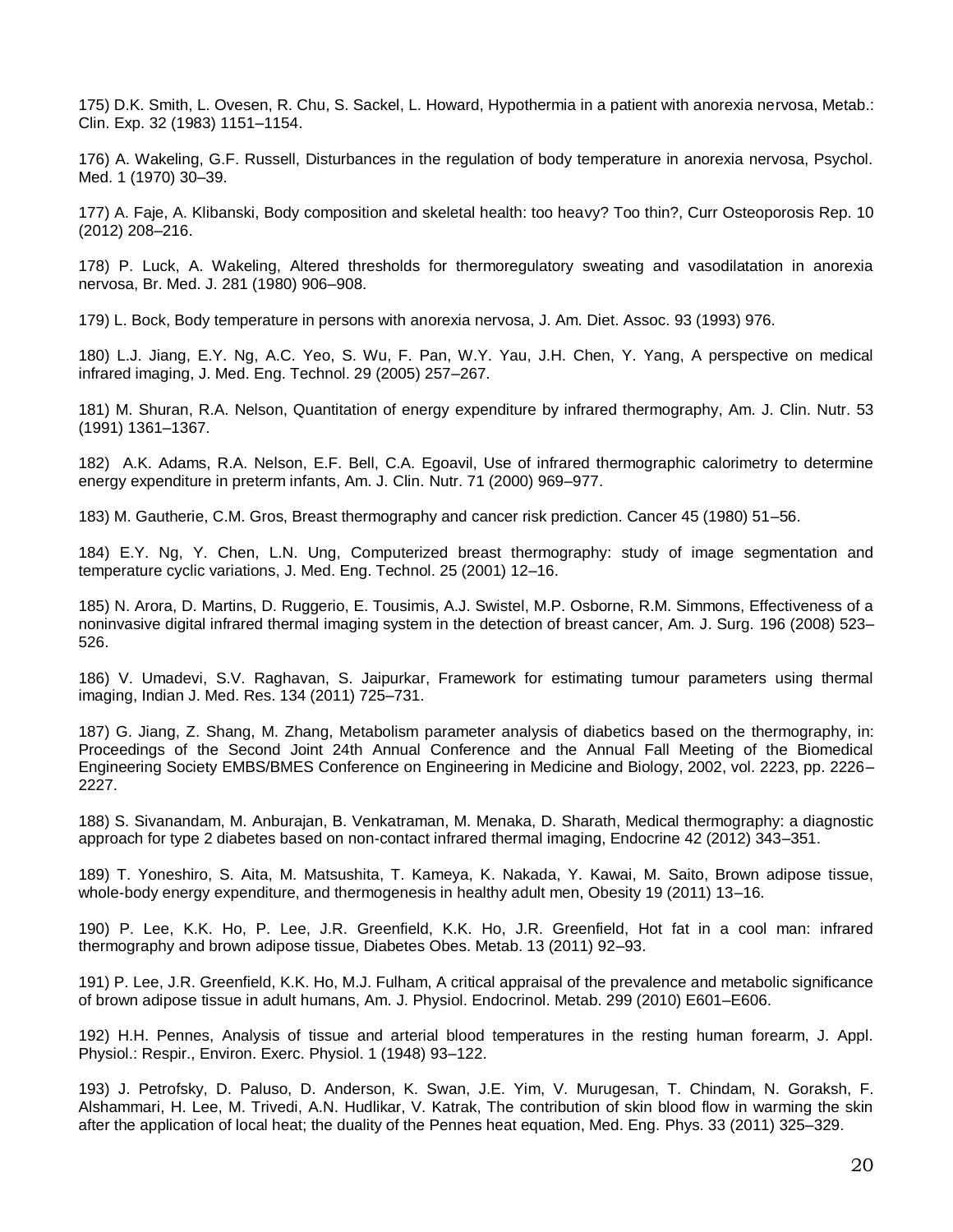175) D.K. Smith, L. Ovesen, R. Chu, S. Sackel, L. Howard, Hypothermia in a patient with anorexia nervosa, Metab.: Clin. Exp. 32 (1983) 1151–1154.

176) A. Wakeling, G.F. Russell, Disturbances in the regulation of body temperature in anorexia nervosa, Psychol. Med. 1 (1970) 30–39.

177) A. Faje, A. Klibanski, Body composition and skeletal health: too heavy? Too thin?, Curr Osteoporosis Rep. 10 (2012) 208–216.

178) P. Luck, A. Wakeling, Altered thresholds for thermoregulatory sweating and vasodilatation in anorexia nervosa, Br. Med. J. 281 (1980) 906–908.

179) L. Bock, Body temperature in persons with anorexia nervosa, J. Am. Diet. Assoc. 93 (1993) 976.

180) L.J. Jiang, E.Y. Ng, A.C. Yeo, S. Wu, F. Pan, W.Y. Yau, J.H. Chen, Y. Yang, A perspective on medical infrared imaging, J. Med. Eng. Technol. 29 (2005) 257–267.

181) M. Shuran, R.A. Nelson, Quantitation of energy expenditure by infrared thermography, Am. J. Clin. Nutr. 53 (1991) 1361–1367.

182) A.K. Adams, R.A. Nelson, E.F. Bell, C.A. Egoavil, Use of infrared thermographic calorimetry to determine energy expenditure in preterm infants, Am. J. Clin. Nutr. 71 (2000) 969–977.

183) M. Gautherie, C.M. Gros, Breast thermography and cancer risk prediction. Cancer 45 (1980) 51–56.

184) E.Y. Ng, Y. Chen, L.N. Ung, Computerized breast thermography: study of image segmentation and temperature cyclic variations, J. Med. Eng. Technol. 25 (2001) 12–16.

185) N. Arora, D. Martins, D. Ruggerio, E. Tousimis, A.J. Swistel, M.P. Osborne, R.M. Simmons, Effectiveness of a noninvasive digital infrared thermal imaging system in the detection of breast cancer, Am. J. Surg. 196 (2008) 523– 526.

186) V. Umadevi, S.V. Raghavan, S. Jaipurkar, Framework for estimating tumour parameters using thermal imaging, Indian J. Med. Res. 134 (2011) 725–731.

187) G. Jiang, Z. Shang, M. Zhang, Metabolism parameter analysis of diabetics based on the thermography, in: Proceedings of the Second Joint 24th Annual Conference and the Annual Fall Meeting of the Biomedical Engineering Society EMBS/BMES Conference on Engineering in Medicine and Biology, 2002, vol. 2223, pp. 2226– 2227.

188) S. Sivanandam, M. Anburajan, B. Venkatraman, M. Menaka, D. Sharath, Medical thermography: a diagnostic approach for type 2 diabetes based on non-contact infrared thermal imaging, Endocrine 42 (2012) 343–351.

189) T. Yoneshiro, S. Aita, M. Matsushita, T. Kameya, K. Nakada, Y. Kawai, M. Saito, Brown adipose tissue, whole-body energy expenditure, and thermogenesis in healthy adult men, Obesity 19 (2011) 13–16.

190) P. Lee, K.K. Ho, P. Lee, J.R. Greenfield, K.K. Ho, J.R. Greenfield, Hot fat in a cool man: infrared thermography and brown adipose tissue, Diabetes Obes. Metab. 13 (2011) 92–93.

191) P. Lee, J.R. Greenfield, K.K. Ho, M.J. Fulham, A critical appraisal of the prevalence and metabolic significance of brown adipose tissue in adult humans, Am. J. Physiol. Endocrinol. Metab. 299 (2010) E601–E606.

192) H.H. Pennes, Analysis of tissue and arterial blood temperatures in the resting human forearm, J. Appl. Physiol.: Respir., Environ. Exerc. Physiol. 1 (1948) 93–122.

193) J. Petrofsky, D. Paluso, D. Anderson, K. Swan, J.E. Yim, V. Murugesan, T. Chindam, N. Goraksh, F. Alshammari, H. Lee, M. Trivedi, A.N. Hudlikar, V. Katrak, The contribution of skin blood flow in warming the skin after the application of local heat; the duality of the Pennes heat equation, Med. Eng. Phys. 33 (2011) 325–329.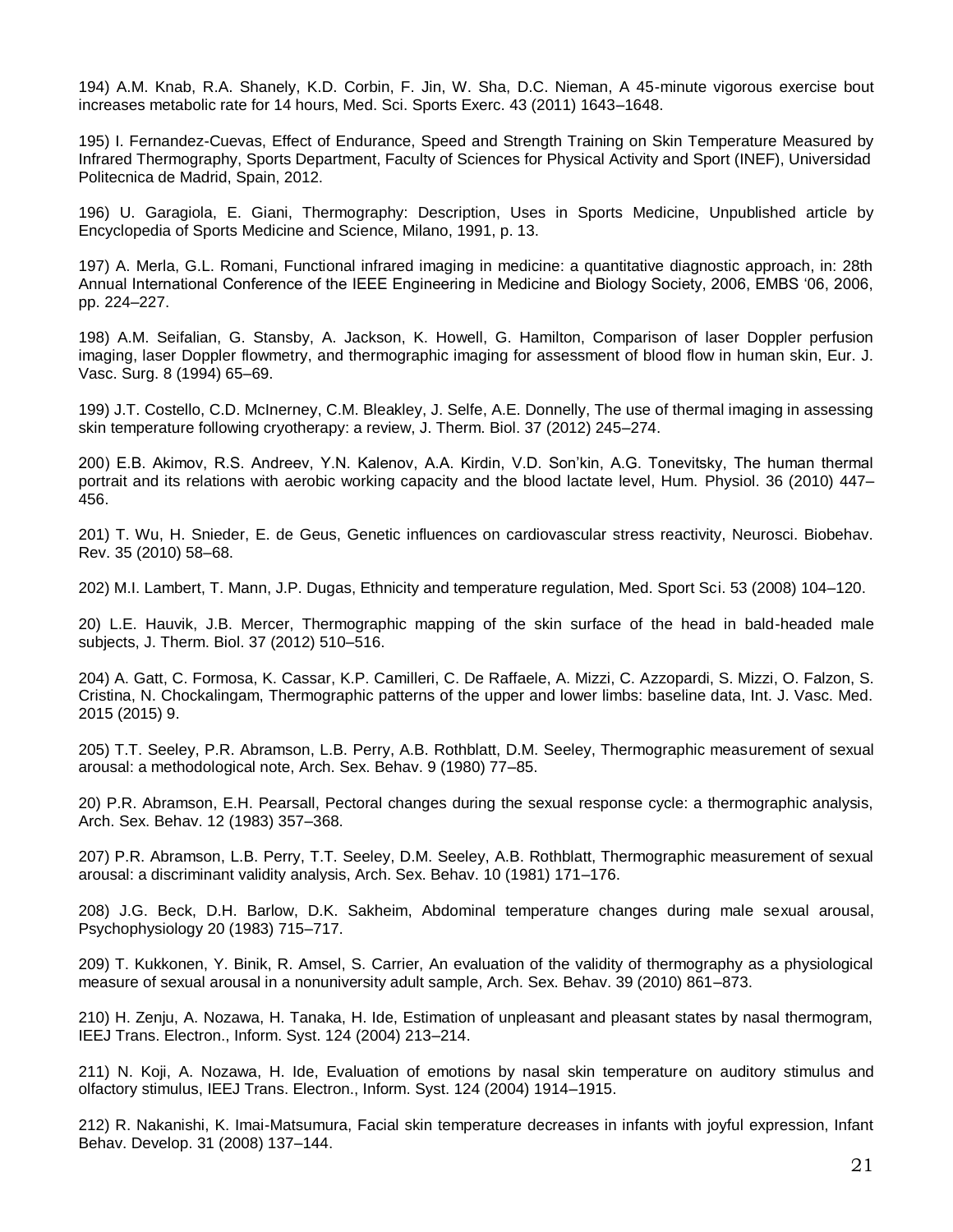194) A.M. Knab, R.A. Shanely, K.D. Corbin, F. Jin, W. Sha, D.C. Nieman, A 45-minute vigorous exercise bout increases metabolic rate for 14 hours, Med. Sci. Sports Exerc. 43 (2011) 1643–1648.

195) I. Fernandez-Cuevas, Effect of Endurance, Speed and Strength Training on Skin Temperature Measured by Infrared Thermography, Sports Department, Faculty of Sciences for Physical Activity and Sport (INEF), Universidad Politecnica de Madrid, Spain, 2012.

196) U. Garagiola, E. Giani, Thermography: Description, Uses in Sports Medicine, Unpublished article by Encyclopedia of Sports Medicine and Science, Milano, 1991, p. 13.

197) A. Merla, G.L. Romani, Functional infrared imaging in medicine: a quantitative diagnostic approach, in: 28th Annual International Conference of the IEEE Engineering in Medicine and Biology Society, 2006, EMBS '06, 2006, pp. 224–227.

198) A.M. Seifalian, G. Stansby, A. Jackson, K. Howell, G. Hamilton, Comparison of laser Doppler perfusion imaging, laser Doppler flowmetry, and thermographic imaging for assessment of blood flow in human skin, Eur. J. Vasc. Surg. 8 (1994) 65–69.

199) J.T. Costello, C.D. McInerney, C.M. Bleakley, J. Selfe, A.E. Donnelly, The use of thermal imaging in assessing skin temperature following cryotherapy: a review, J. Therm. Biol. 37 (2012) 245–274.

200) E.B. Akimov, R.S. Andreev, Y.N. Kalenov, A.A. Kirdin, V.D. Son'kin, A.G. Tonevitsky, The human thermal portrait and its relations with aerobic working capacity and the blood lactate level, Hum. Physiol. 36 (2010) 447– 456.

201) T. Wu, H. Snieder, E. de Geus, Genetic influences on cardiovascular stress reactivity, Neurosci. Biobehav. Rev. 35 (2010) 58–68.

202) M.I. Lambert, T. Mann, J.P. Dugas, Ethnicity and temperature regulation, Med. Sport Sci. 53 (2008) 104–120.

20) L.E. Hauvik, J.B. Mercer, Thermographic mapping of the skin surface of the head in bald-headed male subjects, J. Therm. Biol. 37 (2012) 510–516.

204) A. Gatt, C. Formosa, K. Cassar, K.P. Camilleri, C. De Raffaele, A. Mizzi, C. Azzopardi, S. Mizzi, O. Falzon, S. Cristina, N. Chockalingam, Thermographic patterns of the upper and lower limbs: baseline data, Int. J. Vasc. Med. 2015 (2015) 9.

205) T.T. Seeley, P.R. Abramson, L.B. Perry, A.B. Rothblatt, D.M. Seeley, Thermographic measurement of sexual arousal: a methodological note, Arch. Sex. Behav. 9 (1980) 77–85.

20) P.R. Abramson, E.H. Pearsall, Pectoral changes during the sexual response cycle: a thermographic analysis, Arch. Sex. Behav. 12 (1983) 357–368.

207) P.R. Abramson, L.B. Perry, T.T. Seeley, D.M. Seeley, A.B. Rothblatt, Thermographic measurement of sexual arousal: a discriminant validity analysis, Arch. Sex. Behav. 10 (1981) 171–176.

208) J.G. Beck, D.H. Barlow, D.K. Sakheim, Abdominal temperature changes during male sexual arousal, Psychophysiology 20 (1983) 715–717.

209) T. Kukkonen, Y. Binik, R. Amsel, S. Carrier, An evaluation of the validity of thermography as a physiological measure of sexual arousal in a nonuniversity adult sample, Arch. Sex. Behav. 39 (2010) 861–873.

210) H. Zenju, A. Nozawa, H. Tanaka, H. Ide, Estimation of unpleasant and pleasant states by nasal thermogram, IEEJ Trans. Electron., Inform. Syst. 124 (2004) 213–214.

211) N. Koji, A. Nozawa, H. Ide, Evaluation of emotions by nasal skin temperature on auditory stimulus and olfactory stimulus, IEEJ Trans. Electron., Inform. Syst. 124 (2004) 1914–1915.

212) R. Nakanishi, K. Imai-Matsumura, Facial skin temperature decreases in infants with joyful expression, Infant Behav. Develop. 31 (2008) 137–144.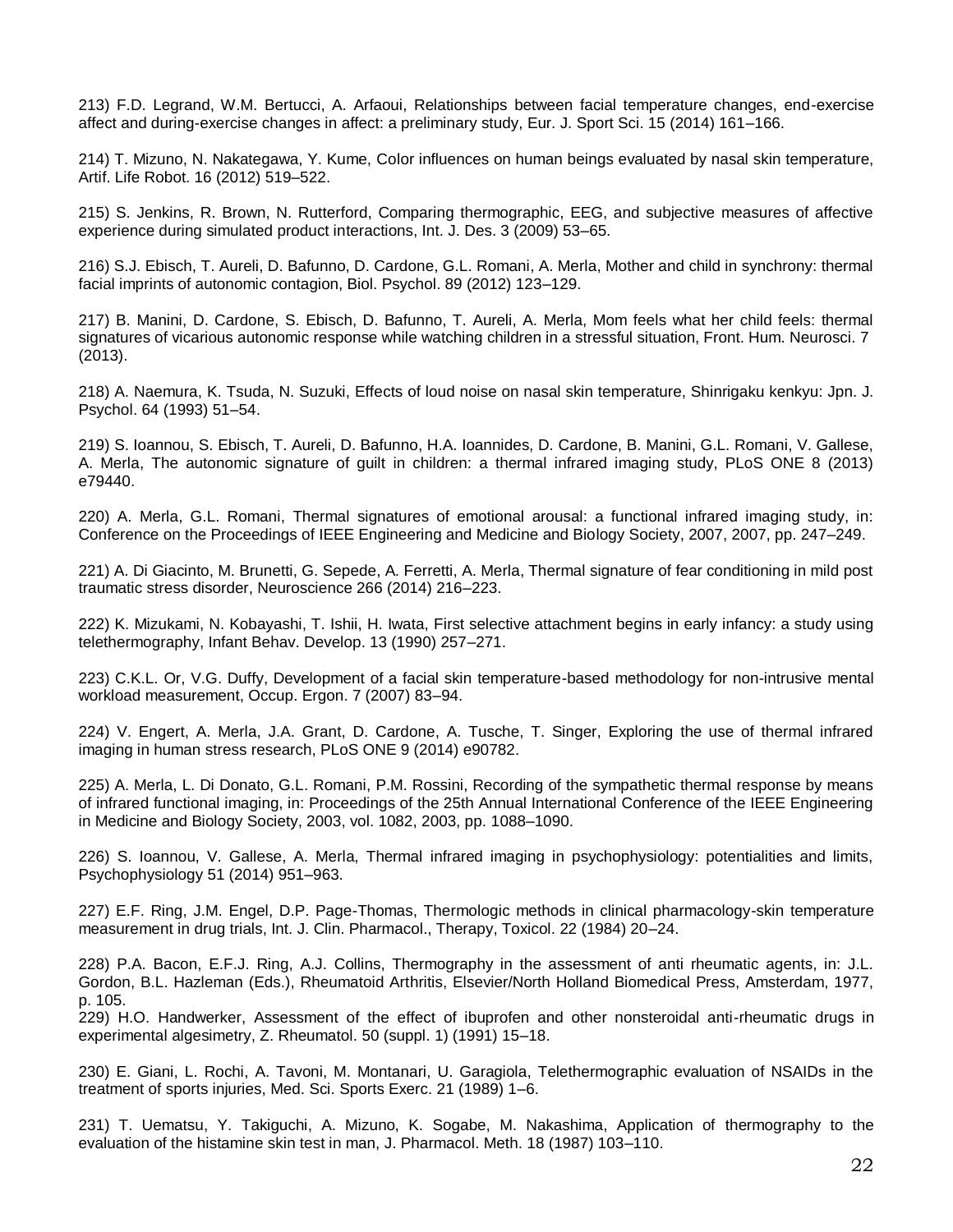213) F.D. Legrand, W.M. Bertucci, A. Arfaoui, Relationships between facial temperature changes, end-exercise affect and during-exercise changes in affect: a preliminary study, Eur. J. Sport Sci. 15 (2014) 161–166.

214) T. Mizuno, N. Nakategawa, Y. Kume, Color influences on human beings evaluated by nasal skin temperature, Artif. Life Robot. 16 (2012) 519–522.

215) S. Jenkins, R. Brown, N. Rutterford, Comparing thermographic, EEG, and subjective measures of affective experience during simulated product interactions, Int. J. Des. 3 (2009) 53–65.

216) S.J. Ebisch, T. Aureli, D. Bafunno, D. Cardone, G.L. Romani, A. Merla, Mother and child in synchrony: thermal facial imprints of autonomic contagion, Biol. Psychol. 89 (2012) 123–129.

217) B. Manini, D. Cardone, S. Ebisch, D. Bafunno, T. Aureli, A. Merla, Mom feels what her child feels: thermal signatures of vicarious autonomic response while watching children in a stressful situation, Front. Hum. Neurosci. 7 (2013).

218) A. Naemura, K. Tsuda, N. Suzuki, Effects of loud noise on nasal skin temperature, Shinrigaku kenkyu: Jpn. J. Psychol. 64 (1993) 51–54.

219) S. Ioannou, S. Ebisch, T. Aureli, D. Bafunno, H.A. Ioannides, D. Cardone, B. Manini, G.L. Romani, V. Gallese, A. Merla, The autonomic signature of guilt in children: a thermal infrared imaging study, PLoS ONE 8 (2013) e79440.

220) A. Merla, G.L. Romani, Thermal signatures of emotional arousal: a functional infrared imaging study, in: Conference on the Proceedings of IEEE Engineering and Medicine and Biology Society, 2007, 2007, pp. 247–249.

221) A. Di Giacinto, M. Brunetti, G. Sepede, A. Ferretti, A. Merla, Thermal signature of fear conditioning in mild post traumatic stress disorder, Neuroscience 266 (2014) 216–223.

222) K. Mizukami, N. Kobayashi, T. Ishii, H. Iwata, First selective attachment begins in early infancy: a study using telethermography, Infant Behav. Develop. 13 (1990) 257–271.

223) C.K.L. Or, V.G. Duffy, Development of a facial skin temperature-based methodology for non-intrusive mental workload measurement, Occup. Ergon. 7 (2007) 83–94.

224) V. Engert, A. Merla, J.A. Grant, D. Cardone, A. Tusche, T. Singer, Exploring the use of thermal infrared imaging in human stress research, PLoS ONE 9 (2014) e90782.

225) A. Merla, L. Di Donato, G.L. Romani, P.M. Rossini, Recording of the sympathetic thermal response by means of infrared functional imaging, in: Proceedings of the 25th Annual International Conference of the IEEE Engineering in Medicine and Biology Society, 2003, vol. 1082, 2003, pp. 1088–1090.

226) S. Ioannou, V. Gallese, A. Merla, Thermal infrared imaging in psychophysiology: potentialities and limits, Psychophysiology 51 (2014) 951–963.

227) E.F. Ring, J.M. Engel, D.P. Page-Thomas, Thermologic methods in clinical pharmacology-skin temperature measurement in drug trials, Int. J. Clin. Pharmacol., Therapy, Toxicol. 22 (1984) 20–24.

228) P.A. Bacon, E.F.J. Ring, A.J. Collins, Thermography in the assessment of anti rheumatic agents, in: J.L. Gordon, B.L. Hazleman (Eds.), Rheumatoid Arthritis, Elsevier/North Holland Biomedical Press, Amsterdam, 1977, p. 105.

229) H.O. Handwerker, Assessment of the effect of ibuprofen and other nonsteroidal anti-rheumatic drugs in experimental algesimetry, Z. Rheumatol. 50 (suppl. 1) (1991) 15–18.

230) E. Giani, L. Rochi, A. Tavoni, M. Montanari, U. Garagiola, Telethermographic evaluation of NSAIDs in the treatment of sports injuries, Med. Sci. Sports Exerc. 21 (1989) 1–6.

231) T. Uematsu, Y. Takiguchi, A. Mizuno, K. Sogabe, M. Nakashima, Application of thermography to the evaluation of the histamine skin test in man, J. Pharmacol. Meth. 18 (1987) 103–110.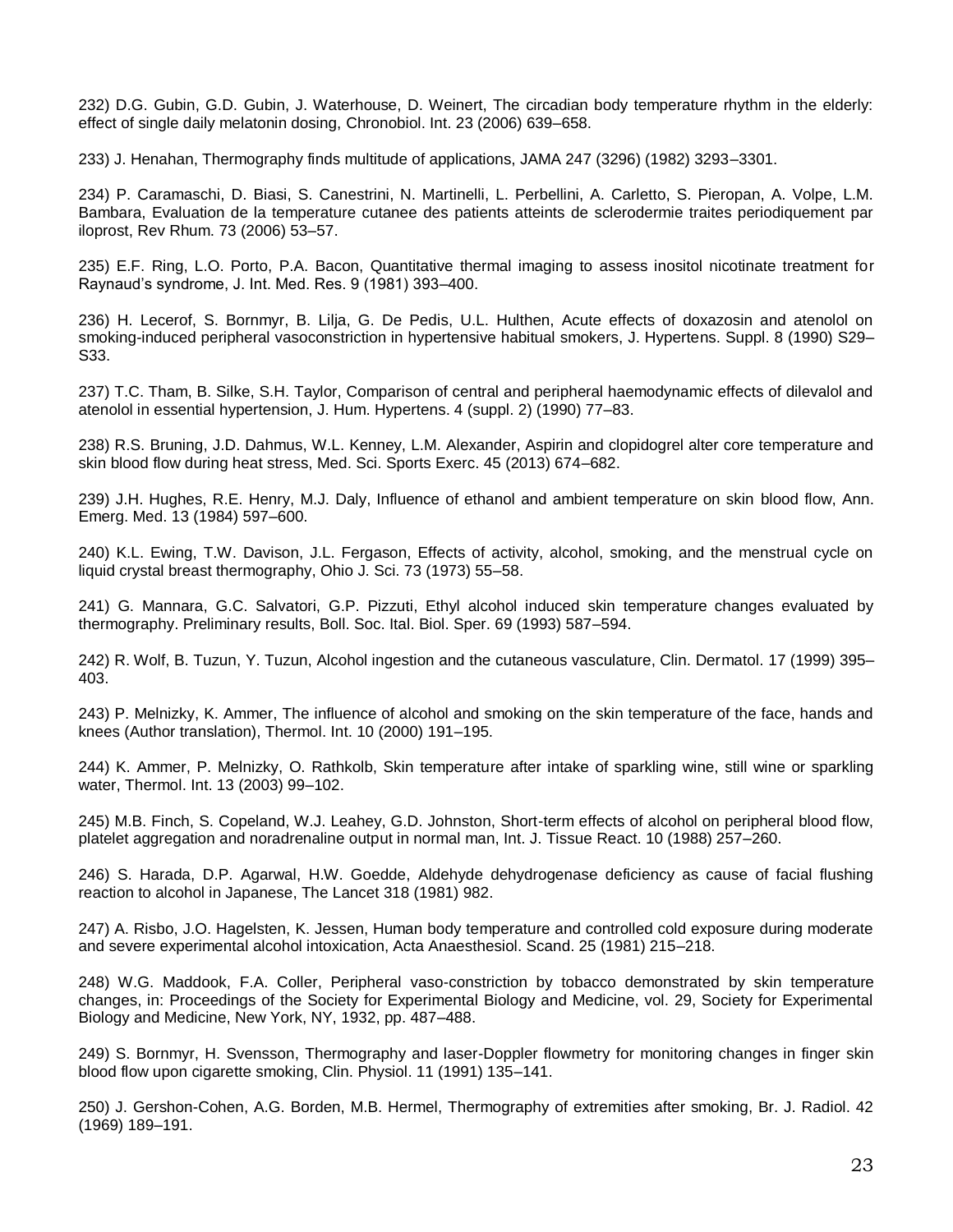232) D.G. Gubin, G.D. Gubin, J. Waterhouse, D. Weinert, The circadian body temperature rhythm in the elderly: effect of single daily melatonin dosing, Chronobiol. Int. 23 (2006) 639–658.

233) J. Henahan, Thermography finds multitude of applications, JAMA 247 (3296) (1982) 3293–3301.

234) P. Caramaschi, D. Biasi, S. Canestrini, N. Martinelli, L. Perbellini, A. Carletto, S. Pieropan, A. Volpe, L.M. Bambara, Evaluation de la temperature cutanee des patients atteints de sclerodermie traites periodiquement par iloprost, Rev Rhum. 73 (2006) 53–57.

235) E.F. Ring, L.O. Porto, P.A. Bacon, Quantitative thermal imaging to assess inositol nicotinate treatment for Raynaud's syndrome, J. Int. Med. Res. 9 (1981) 393–400.

236) H. Lecerof, S. Bornmyr, B. Lilja, G. De Pedis, U.L. Hulthen, Acute effects of doxazosin and atenolol on smoking-induced peripheral vasoconstriction in hypertensive habitual smokers, J. Hypertens. Suppl. 8 (1990) S29– S33.

237) T.C. Tham, B. Silke, S.H. Taylor, Comparison of central and peripheral haemodynamic effects of dilevalol and atenolol in essential hypertension, J. Hum. Hypertens. 4 (suppl. 2) (1990) 77–83.

238) R.S. Bruning, J.D. Dahmus, W.L. Kenney, L.M. Alexander, Aspirin and clopidogrel alter core temperature and skin blood flow during heat stress, Med. Sci. Sports Exerc. 45 (2013) 674–682.

239) J.H. Hughes, R.E. Henry, M.J. Daly, Influence of ethanol and ambient temperature on skin blood flow, Ann. Emerg. Med. 13 (1984) 597–600.

240) K.L. Ewing, T.W. Davison, J.L. Fergason, Effects of activity, alcohol, smoking, and the menstrual cycle on liquid crystal breast thermography, Ohio J. Sci. 73 (1973) 55–58.

241) G. Mannara, G.C. Salvatori, G.P. Pizzuti, Ethyl alcohol induced skin temperature changes evaluated by thermography. Preliminary results, Boll. Soc. Ital. Biol. Sper. 69 (1993) 587–594.

242) R. Wolf, B. Tuzun, Y. Tuzun, Alcohol ingestion and the cutaneous vasculature, Clin. Dermatol. 17 (1999) 395– 403.

243) P. Melnizky, K. Ammer, The influence of alcohol and smoking on the skin temperature of the face, hands and knees (Author translation), Thermol. Int. 10 (2000) 191–195.

244) K. Ammer, P. Melnizky, O. Rathkolb, Skin temperature after intake of sparkling wine, still wine or sparkling water, Thermol. Int. 13 (2003) 99–102.

245) M.B. Finch, S. Copeland, W.J. Leahey, G.D. Johnston, Short-term effects of alcohol on peripheral blood flow, platelet aggregation and noradrenaline output in normal man, Int. J. Tissue React. 10 (1988) 257–260.

246) S. Harada, D.P. Agarwal, H.W. Goedde, Aldehyde dehydrogenase deficiency as cause of facial flushing reaction to alcohol in Japanese, The Lancet 318 (1981) 982.

247) A. Risbo, J.O. Hagelsten, K. Jessen, Human body temperature and controlled cold exposure during moderate and severe experimental alcohol intoxication, Acta Anaesthesiol. Scand. 25 (1981) 215–218.

248) W.G. Maddook, F.A. Coller, Peripheral vaso-constriction by tobacco demonstrated by skin temperature changes, in: Proceedings of the Society for Experimental Biology and Medicine, vol. 29, Society for Experimental Biology and Medicine, New York, NY, 1932, pp. 487–488.

249) S. Bornmyr, H. Svensson, Thermography and laser-Doppler flowmetry for monitoring changes in finger skin blood flow upon cigarette smoking, Clin. Physiol. 11 (1991) 135–141.

250) J. Gershon-Cohen, A.G. Borden, M.B. Hermel, Thermography of extremities after smoking, Br. J. Radiol. 42 (1969) 189–191.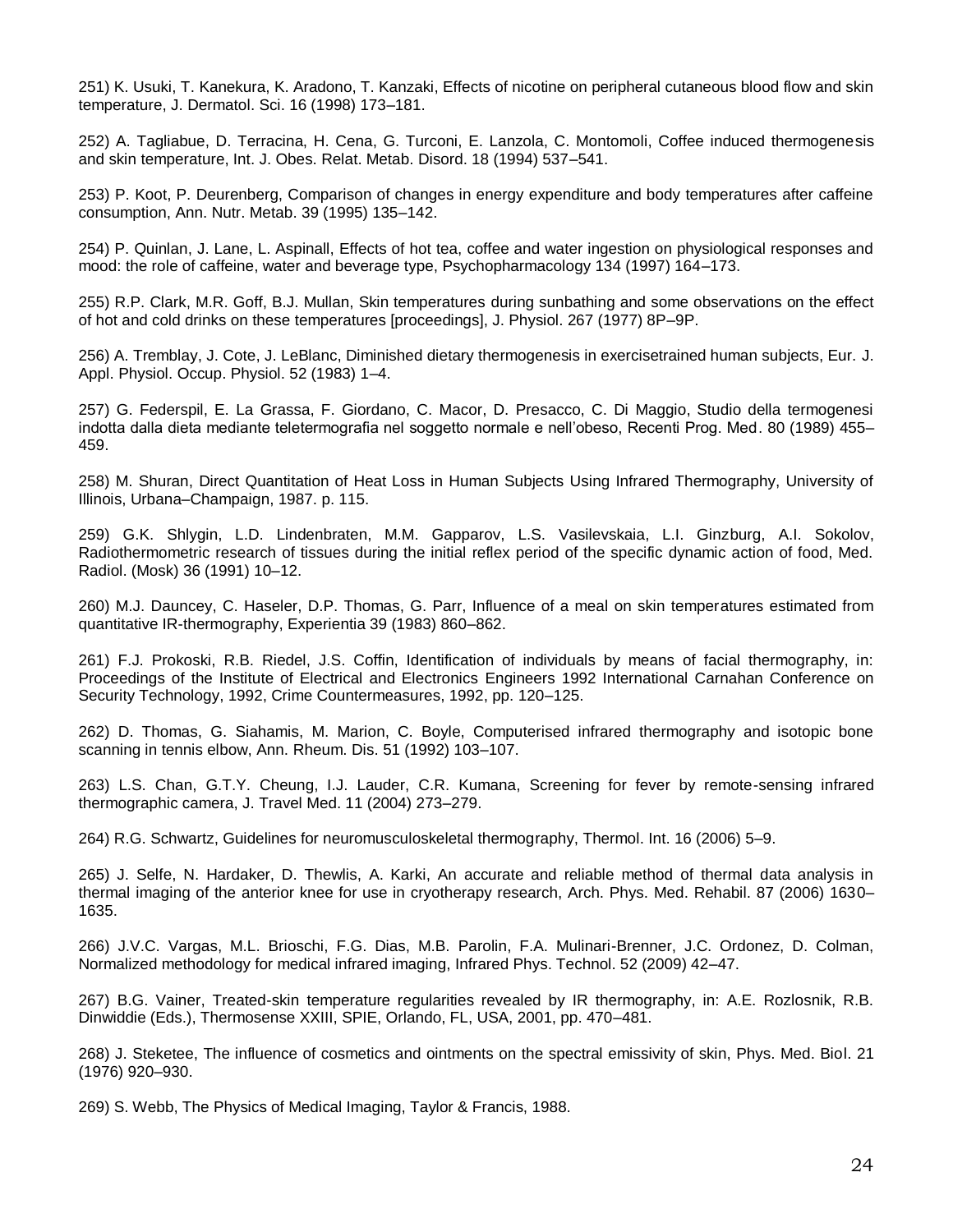251) K. Usuki, T. Kanekura, K. Aradono, T. Kanzaki, Effects of nicotine on peripheral cutaneous blood flow and skin temperature, J. Dermatol. Sci. 16 (1998) 173–181.

252) A. Tagliabue, D. Terracina, H. Cena, G. Turconi, E. Lanzola, C. Montomoli, Coffee induced thermogenesis and skin temperature, Int. J. Obes. Relat. Metab. Disord. 18 (1994) 537–541.

253) P. Koot, P. Deurenberg, Comparison of changes in energy expenditure and body temperatures after caffeine consumption, Ann. Nutr. Metab. 39 (1995) 135–142.

254) P. Quinlan, J. Lane, L. Aspinall, Effects of hot tea, coffee and water ingestion on physiological responses and mood: the role of caffeine, water and beverage type, Psychopharmacology 134 (1997) 164–173.

255) R.P. Clark, M.R. Goff, B.J. Mullan, Skin temperatures during sunbathing and some observations on the effect of hot and cold drinks on these temperatures [proceedings], J. Physiol. 267 (1977) 8P–9P.

256) A. Tremblay, J. Cote, J. LeBlanc, Diminished dietary thermogenesis in exercisetrained human subjects, Eur. J. Appl. Physiol. Occup. Physiol. 52 (1983) 1–4.

257) G. Federspil, E. La Grassa, F. Giordano, C. Macor, D. Presacco, C. Di Maggio, Studio della termogenesi indotta dalla dieta mediante teletermografia nel soggetto normale e nell'obeso, Recenti Prog. Med. 80 (1989) 455– 459.

258) M. Shuran, Direct Quantitation of Heat Loss in Human Subjects Using Infrared Thermography, University of Illinois, Urbana–Champaign, 1987. p. 115.

259) G.K. Shlygin, L.D. Lindenbraten, M.M. Gapparov, L.S. Vasilevskaia, L.I. Ginzburg, A.I. Sokolov, Radiothermometric research of tissues during the initial reflex period of the specific dynamic action of food, Med. Radiol. (Mosk) 36 (1991) 10–12.

260) M.J. Dauncey, C. Haseler, D.P. Thomas, G. Parr, Influence of a meal on skin temperatures estimated from quantitative IR-thermography, Experientia 39 (1983) 860–862.

261) F.J. Prokoski, R.B. Riedel, J.S. Coffin, Identification of individuals by means of facial thermography, in: Proceedings of the Institute of Electrical and Electronics Engineers 1992 International Carnahan Conference on Security Technology, 1992, Crime Countermeasures, 1992, pp. 120–125.

262) D. Thomas, G. Siahamis, M. Marion, C. Boyle, Computerised infrared thermography and isotopic bone scanning in tennis elbow, Ann. Rheum. Dis. 51 (1992) 103–107.

263) L.S. Chan, G.T.Y. Cheung, I.J. Lauder, C.R. Kumana, Screening for fever by remote-sensing infrared thermographic camera, J. Travel Med. 11 (2004) 273–279.

264) R.G. Schwartz, Guidelines for neuromusculoskeletal thermography, Thermol. Int. 16 (2006) 5–9.

265) J. Selfe, N. Hardaker, D. Thewlis, A. Karki, An accurate and reliable method of thermal data analysis in thermal imaging of the anterior knee for use in cryotherapy research, Arch. Phys. Med. Rehabil. 87 (2006) 1630– 1635.

266) J.V.C. Vargas, M.L. Brioschi, F.G. Dias, M.B. Parolin, F.A. Mulinari-Brenner, J.C. Ordonez, D. Colman, Normalized methodology for medical infrared imaging, Infrared Phys. Technol. 52 (2009) 42–47.

267) B.G. Vainer, Treated-skin temperature regularities revealed by IR thermography, in: A.E. Rozlosnik, R.B. Dinwiddie (Eds.), Thermosense XXIII, SPIE, Orlando, FL, USA, 2001, pp. 470–481.

268) J. Steketee, The influence of cosmetics and ointments on the spectral emissivity of skin, Phys. Med. Biol. 21 (1976) 920–930.

269) S. Webb, The Physics of Medical Imaging, Taylor & Francis, 1988.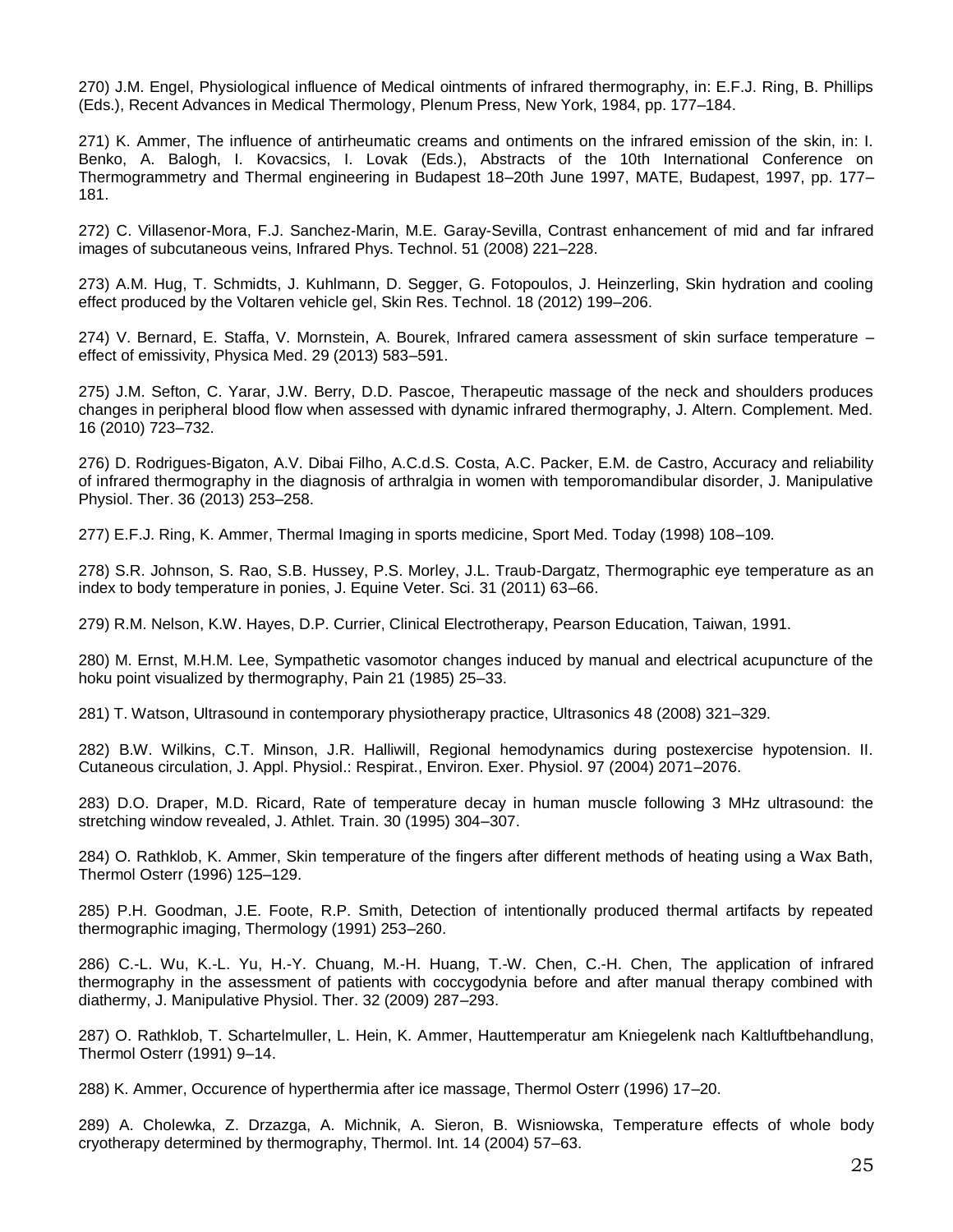270) J.M. Engel, Physiological influence of Medical ointments of infrared thermography, in: E.F.J. Ring, B. Phillips (Eds.), Recent Advances in Medical Thermology, Plenum Press, New York, 1984, pp. 177–184.

271) K. Ammer, The influence of antirheumatic creams and ontiments on the infrared emission of the skin, in: I. Benko, A. Balogh, I. Kovacsics, I. Lovak (Eds.), Abstracts of the 10th International Conference on Thermogrammetry and Thermal engineering in Budapest 18–20th June 1997, MATE, Budapest, 1997, pp. 177– 181.

272) C. Villasenor-Mora, F.J. Sanchez-Marin, M.E. Garay-Sevilla, Contrast enhancement of mid and far infrared images of subcutaneous veins, Infrared Phys. Technol. 51 (2008) 221–228.

273) A.M. Hug, T. Schmidts, J. Kuhlmann, D. Segger, G. Fotopoulos, J. Heinzerling, Skin hydration and cooling effect produced by the Voltaren vehicle gel, Skin Res. Technol. 18 (2012) 199–206.

274) V. Bernard, E. Staffa, V. Mornstein, A. Bourek, Infrared camera assessment of skin surface temperature – effect of emissivity, Physica Med. 29 (2013) 583–591.

275) J.M. Sefton, C. Yarar, J.W. Berry, D.D. Pascoe, Therapeutic massage of the neck and shoulders produces changes in peripheral blood flow when assessed with dynamic infrared thermography, J. Altern. Complement. Med. 16 (2010) 723–732.

276) D. Rodrigues-Bigaton, A.V. Dibai Filho, A.C.d.S. Costa, A.C. Packer, E.M. de Castro, Accuracy and reliability of infrared thermography in the diagnosis of arthralgia in women with temporomandibular disorder, J. Manipulative Physiol. Ther. 36 (2013) 253–258.

277) E.F.J. Ring, K. Ammer, Thermal Imaging in sports medicine, Sport Med. Today (1998) 108–109.

278) S.R. Johnson, S. Rao, S.B. Hussey, P.S. Morley, J.L. Traub-Dargatz, Thermographic eye temperature as an index to body temperature in ponies, J. Equine Veter. Sci. 31 (2011) 63–66.

279) R.M. Nelson, K.W. Hayes, D.P. Currier, Clinical Electrotherapy, Pearson Education, Taiwan, 1991.

280) M. Ernst, M.H.M. Lee, Sympathetic vasomotor changes induced by manual and electrical acupuncture of the hoku point visualized by thermography, Pain 21 (1985) 25–33.

281) T. Watson, Ultrasound in contemporary physiotherapy practice, Ultrasonics 48 (2008) 321–329.

282) B.W. Wilkins, C.T. Minson, J.R. Halliwill, Regional hemodynamics during postexercise hypotension. II. Cutaneous circulation, J. Appl. Physiol.: Respirat., Environ. Exer. Physiol. 97 (2004) 2071–2076.

283) D.O. Draper, M.D. Ricard, Rate of temperature decay in human muscle following 3 MHz ultrasound: the stretching window revealed, J. Athlet. Train. 30 (1995) 304–307.

284) O. Rathklob, K. Ammer, Skin temperature of the fingers after different methods of heating using a Wax Bath, Thermol Osterr (1996) 125–129.

285) P.H. Goodman, J.E. Foote, R.P. Smith, Detection of intentionally produced thermal artifacts by repeated thermographic imaging, Thermology (1991) 253–260.

286) C.-L. Wu, K.-L. Yu, H.-Y. Chuang, M.-H. Huang, T.-W. Chen, C.-H. Chen, The application of infrared thermography in the assessment of patients with coccygodynia before and after manual therapy combined with diathermy, J. Manipulative Physiol. Ther. 32 (2009) 287–293.

287) O. Rathklob, T. Schartelmuller, L. Hein, K. Ammer, Hauttemperatur am Kniegelenk nach Kaltluftbehandlung, Thermol Osterr (1991) 9–14.

288) K. Ammer, Occurence of hyperthermia after ice massage, Thermol Osterr (1996) 17–20.

289) A. Cholewka, Z. Drzazga, A. Michnik, A. Sieron, B. Wisniowska, Temperature effects of whole body cryotherapy determined by thermography, Thermol. Int. 14 (2004) 57–63.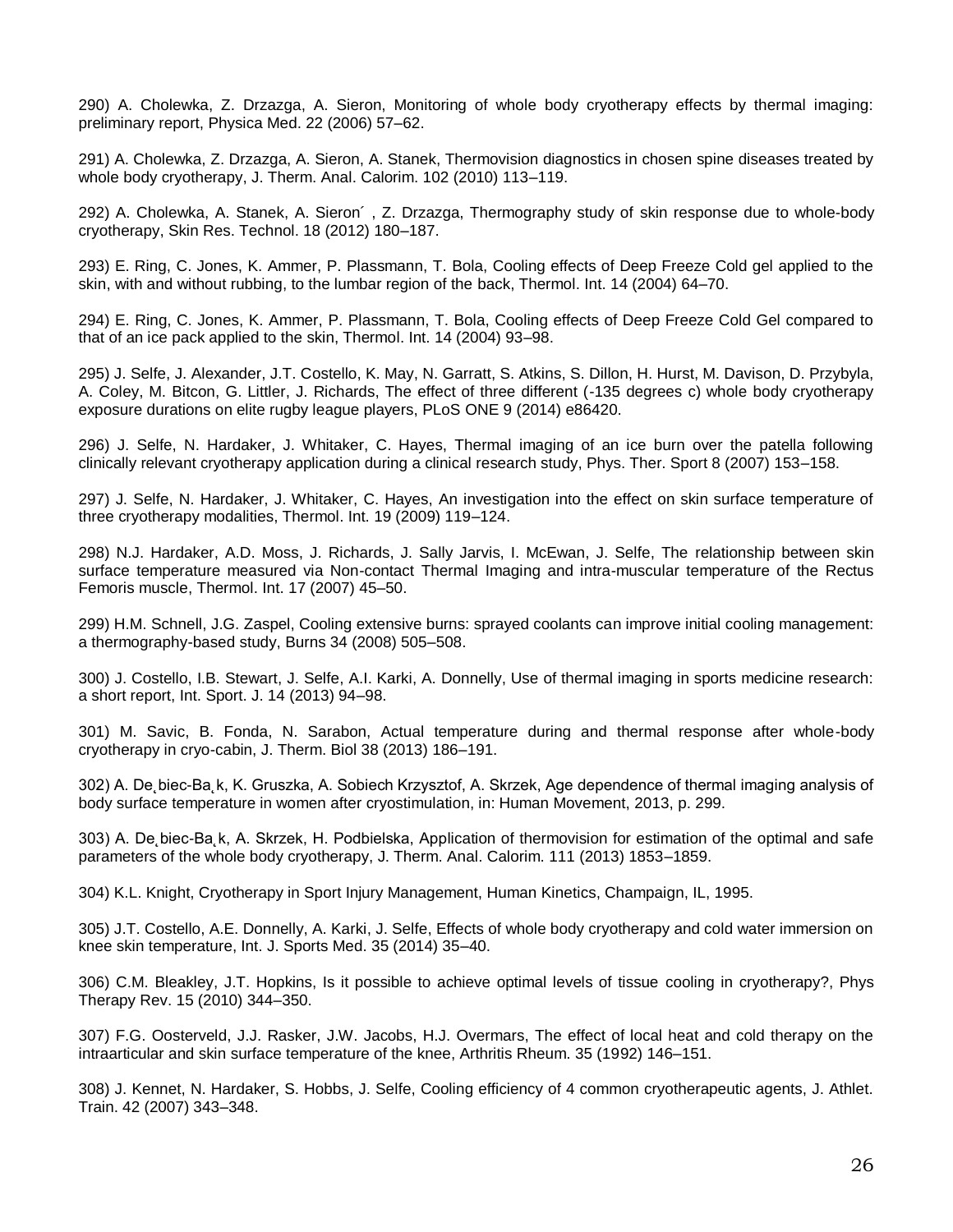290) A. Cholewka, Z. Drzazga, A. Sieron, Monitoring of whole body cryotherapy effects by thermal imaging: preliminary report, Physica Med. 22 (2006) 57–62.

291) A. Cholewka, Z. Drzazga, A. Sieron, A. Stanek, Thermovision diagnostics in chosen spine diseases treated by whole body cryotherapy, J. Therm. Anal. Calorim. 102 (2010) 113–119.

292) A. Cholewka, A. Stanek, A. Sieron´ , Z. Drzazga, Thermography study of skin response due to whole-body cryotherapy, Skin Res. Technol. 18 (2012) 180–187.

293) E. Ring, C. Jones, K. Ammer, P. Plassmann, T. Bola, Cooling effects of Deep Freeze Cold gel applied to the skin, with and without rubbing, to the lumbar region of the back, Thermol. Int. 14 (2004) 64–70.

294) E. Ring, C. Jones, K. Ammer, P. Plassmann, T. Bola, Cooling effects of Deep Freeze Cold Gel compared to that of an ice pack applied to the skin, Thermol. Int. 14 (2004) 93–98.

295) J. Selfe, J. Alexander, J.T. Costello, K. May, N. Garratt, S. Atkins, S. Dillon, H. Hurst, M. Davison, D. Przybyla, A. Coley, M. Bitcon, G. Littler, J. Richards, The effect of three different (-135 degrees c) whole body cryotherapy exposure durations on elite rugby league players, PLoS ONE 9 (2014) e86420.

296) J. Selfe, N. Hardaker, J. Whitaker, C. Hayes, Thermal imaging of an ice burn over the patella following clinically relevant cryotherapy application during a clinical research study, Phys. Ther. Sport 8 (2007) 153–158.

297) J. Selfe, N. Hardaker, J. Whitaker, C. Hayes, An investigation into the effect on skin surface temperature of three cryotherapy modalities, Thermol. Int. 19 (2009) 119–124.

298) N.J. Hardaker, A.D. Moss, J. Richards, J. Sally Jarvis, I. McEwan, J. Selfe, The relationship between skin surface temperature measured via Non-contact Thermal Imaging and intra-muscular temperature of the Rectus Femoris muscle, Thermol. Int. 17 (2007) 45–50.

299) H.M. Schnell, J.G. Zaspel, Cooling extensive burns: sprayed coolants can improve initial cooling management: a thermography-based study, Burns 34 (2008) 505–508.

300) J. Costello, I.B. Stewart, J. Selfe, A.I. Karki, A. Donnelly, Use of thermal imaging in sports medicine research: a short report, Int. Sport. J. 14 (2013) 94–98.

301) M. Savic, B. Fonda, N. Sarabon, Actual temperature during and thermal response after whole-body cryotherapy in cryo-cabin, J. Therm. Biol 38 (2013) 186–191.

302) A. De˛biec-Ba˛k, K. Gruszka, A. Sobiech Krzysztof, A. Skrzek, Age dependence of thermal imaging analysis of body surface temperature in women after cryostimulation, in: Human Movement, 2013, p. 299.

303) A. De biec-Ba k, A. Skrzek, H. Podbielska, Application of thermovision for estimation of the optimal and safe parameters of the whole body cryotherapy, J. Therm. Anal. Calorim. 111 (2013) 1853–1859.

304) K.L. Knight, Cryotherapy in Sport Injury Management, Human Kinetics, Champaign, IL, 1995.

305) J.T. Costello, A.E. Donnelly, A. Karki, J. Selfe, Effects of whole body cryotherapy and cold water immersion on knee skin temperature, Int. J. Sports Med. 35 (2014) 35–40.

306) C.M. Bleakley, J.T. Hopkins, Is it possible to achieve optimal levels of tissue cooling in cryotherapy?, Phys Therapy Rev. 15 (2010) 344–350.

307) F.G. Oosterveld, J.J. Rasker, J.W. Jacobs, H.J. Overmars, The effect of local heat and cold therapy on the intraarticular and skin surface temperature of the knee, Arthritis Rheum. 35 (1992) 146–151.

308) J. Kennet, N. Hardaker, S. Hobbs, J. Selfe, Cooling efficiency of 4 common cryotherapeutic agents, J. Athlet. Train. 42 (2007) 343–348.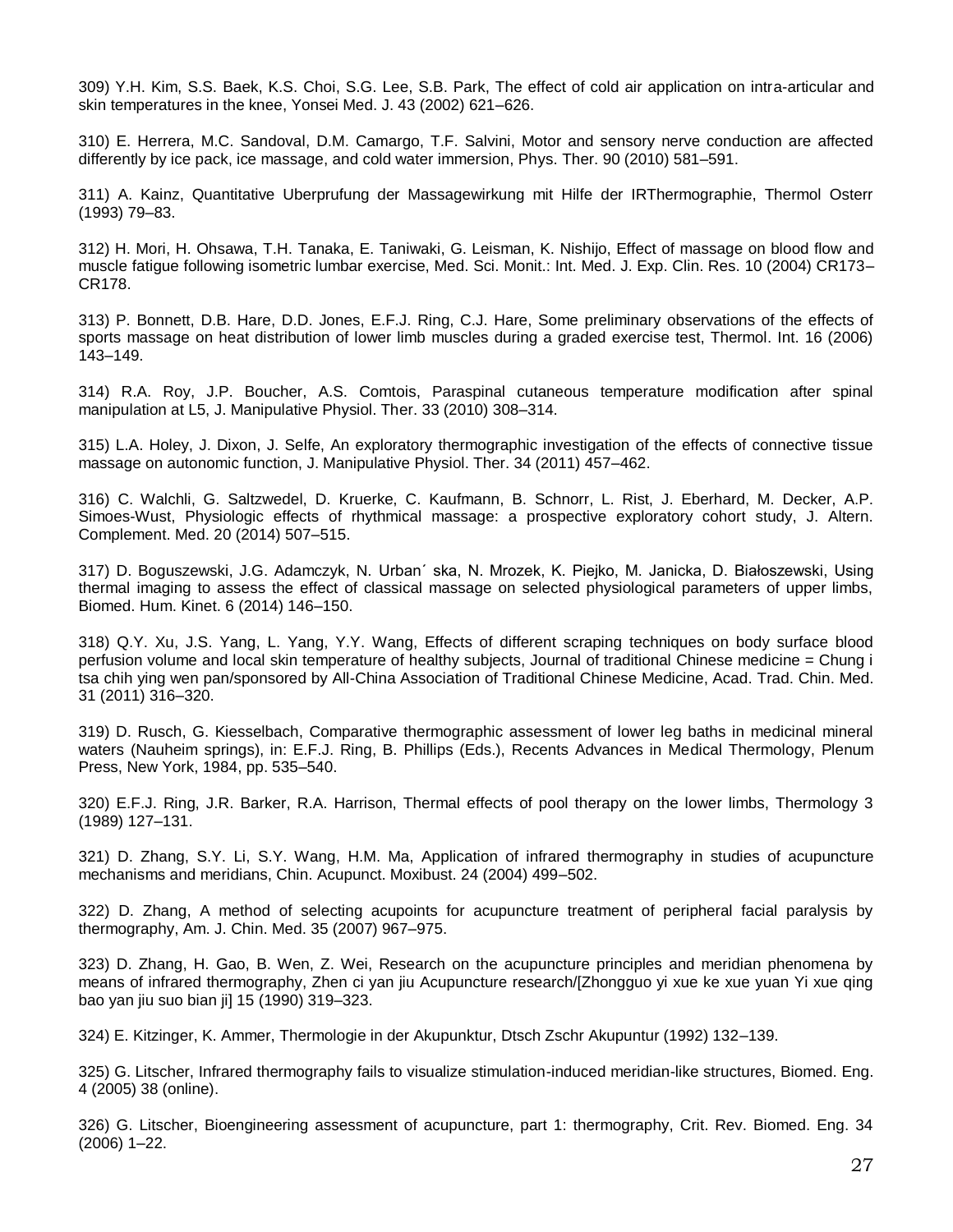309) Y.H. Kim, S.S. Baek, K.S. Choi, S.G. Lee, S.B. Park, The effect of cold air application on intra-articular and skin temperatures in the knee, Yonsei Med. J. 43 (2002) 621–626.

310) E. Herrera, M.C. Sandoval, D.M. Camargo, T.F. Salvini, Motor and sensory nerve conduction are affected differently by ice pack, ice massage, and cold water immersion, Phys. Ther. 90 (2010) 581–591.

311) A. Kainz, Quantitative Uberprufung der Massagewirkung mit Hilfe der IRThermographie, Thermol Osterr (1993) 79–83.

312) H. Mori, H. Ohsawa, T.H. Tanaka, E. Taniwaki, G. Leisman, K. Nishijo, Effect of massage on blood flow and muscle fatigue following isometric lumbar exercise, Med. Sci. Monit.: Int. Med. J. Exp. Clin. Res. 10 (2004) CR173– CR178.

313) P. Bonnett, D.B. Hare, D.D. Jones, E.F.J. Ring, C.J. Hare, Some preliminary observations of the effects of sports massage on heat distribution of lower limb muscles during a graded exercise test, Thermol. Int. 16 (2006) 143–149.

314) R.A. Roy, J.P. Boucher, A.S. Comtois, Paraspinal cutaneous temperature modification after spinal manipulation at L5, J. Manipulative Physiol. Ther. 33 (2010) 308–314.

315) L.A. Holey, J. Dixon, J. Selfe, An exploratory thermographic investigation of the effects of connective tissue massage on autonomic function, J. Manipulative Physiol. Ther. 34 (2011) 457–462.

316) C. Walchli, G. Saltzwedel, D. Kruerke, C. Kaufmann, B. Schnorr, L. Rist, J. Eberhard, M. Decker, A.P. Simoes-Wust, Physiologic effects of rhythmical massage: a prospective exploratory cohort study, J. Altern. Complement. Med. 20 (2014) 507–515.

317) D. Boguszewski, J.G. Adamczyk, N. Urban´ ska, N. Mrozek, K. Piejko, M. Janicka, D. Białoszewski, Using thermal imaging to assess the effect of classical massage on selected physiological parameters of upper limbs, Biomed. Hum. Kinet. 6 (2014) 146–150.

318) Q.Y. Xu, J.S. Yang, L. Yang, Y.Y. Wang, Effects of different scraping techniques on body surface blood perfusion volume and local skin temperature of healthy subjects, Journal of traditional Chinese medicine = Chung i tsa chih ying wen pan/sponsored by All-China Association of Traditional Chinese Medicine, Acad. Trad. Chin. Med. 31 (2011) 316–320.

319) D. Rusch, G. Kiesselbach, Comparative thermographic assessment of lower leg baths in medicinal mineral waters (Nauheim springs), in: E.F.J. Ring, B. Phillips (Eds.), Recents Advances in Medical Thermology, Plenum Press, New York, 1984, pp. 535–540.

320) E.F.J. Ring, J.R. Barker, R.A. Harrison, Thermal effects of pool therapy on the lower limbs, Thermology 3 (1989) 127–131.

321) D. Zhang, S.Y. Li, S.Y. Wang, H.M. Ma, Application of infrared thermography in studies of acupuncture mechanisms and meridians, Chin. Acupunct. Moxibust. 24 (2004) 499–502.

322) D. Zhang, A method of selecting acupoints for acupuncture treatment of peripheral facial paralysis by thermography, Am. J. Chin. Med. 35 (2007) 967–975.

323) D. Zhang, H. Gao, B. Wen, Z. Wei, Research on the acupuncture principles and meridian phenomena by means of infrared thermography, Zhen ci yan jiu Acupuncture research/[Zhongguo yi xue ke xue yuan Yi xue qing bao yan jiu suo bian ji] 15 (1990) 319–323.

324) E. Kitzinger, K. Ammer, Thermologie in der Akupunktur, Dtsch Zschr Akupuntur (1992) 132–139.

325) G. Litscher, Infrared thermography fails to visualize stimulation-induced meridian-like structures, Biomed. Eng. 4 (2005) 38 (online).

326) G. Litscher, Bioengineering assessment of acupuncture, part 1: thermography, Crit. Rev. Biomed. Eng. 34 (2006) 1–22.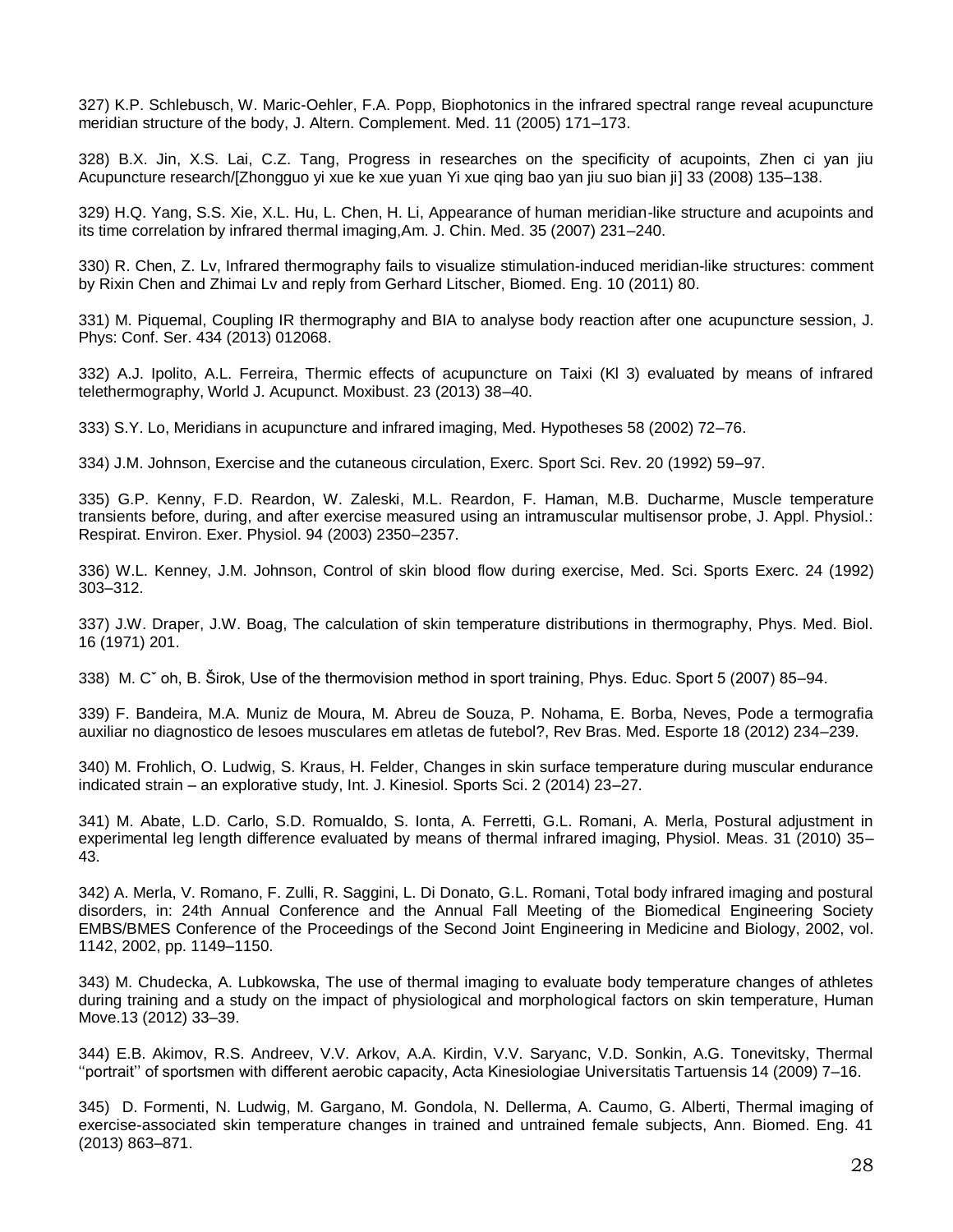327) K.P. Schlebusch, W. Maric-Oehler, F.A. Popp, Biophotonics in the infrared spectral range reveal acupuncture meridian structure of the body, J. Altern. Complement. Med. 11 (2005) 171–173.

328) B.X. Jin, X.S. Lai, C.Z. Tang, Progress in researches on the specificity of acupoints, Zhen ci yan jiu Acupuncture research/[Zhongguo yi xue ke xue yuan Yi xue qing bao yan jiu suo bian ji] 33 (2008) 135–138.

329) H.Q. Yang, S.S. Xie, X.L. Hu, L. Chen, H. Li, Appearance of human meridian-like structure and acupoints and its time correlation by infrared thermal imaging,Am. J. Chin. Med. 35 (2007) 231–240.

330) R. Chen, Z. Lv, Infrared thermography fails to visualize stimulation-induced meridian-like structures: comment by Rixin Chen and Zhimai Lv and reply from Gerhard Litscher, Biomed. Eng. 10 (2011) 80.

331) M. Piquemal, Coupling IR thermography and BIA to analyse body reaction after one acupuncture session, J. Phys: Conf. Ser. 434 (2013) 012068.

332) A.J. Ipolito, A.L. Ferreira, Thermic effects of acupuncture on Taixi (Kl 3) evaluated by means of infrared telethermography, World J. Acupunct. Moxibust. 23 (2013) 38–40.

333) S.Y. Lo, Meridians in acupuncture and infrared imaging, Med. Hypotheses 58 (2002) 72–76.

334) J.M. Johnson, Exercise and the cutaneous circulation, Exerc. Sport Sci. Rev. 20 (1992) 59–97.

335) G.P. Kenny, F.D. Reardon, W. Zaleski, M.L. Reardon, F. Haman, M.B. Ducharme, Muscle temperature transients before, during, and after exercise measured using an intramuscular multisensor probe, J. Appl. Physiol.: Respirat. Environ. Exer. Physiol. 94 (2003) 2350–2357.

336) W.L. Kenney, J.M. Johnson, Control of skin blood flow during exercise, Med. Sci. Sports Exerc. 24 (1992) 303–312.

337) J.W. Draper, J.W. Boag, The calculation of skin temperature distributions in thermography, Phys. Med. Biol. 16 (1971) 201.

338) M. Cˇ oh, B. Širok, Use of the thermovision method in sport training, Phys. Educ. Sport 5 (2007) 85–94.

339) F. Bandeira, M.A. Muniz de Moura, M. Abreu de Souza, P. Nohama, E. Borba, Neves, Pode a termografia auxiliar no diagnostico de lesoes musculares em atletas de futebol?, Rev Bras. Med. Esporte 18 (2012) 234–239.

340) M. Frohlich, O. Ludwig, S. Kraus, H. Felder, Changes in skin surface temperature during muscular endurance indicated strain – an explorative study, Int. J. Kinesiol. Sports Sci. 2 (2014) 23–27.

341) M. Abate, L.D. Carlo, S.D. Romualdo, S. Ionta, A. Ferretti, G.L. Romani, A. Merla, Postural adjustment in experimental leg length difference evaluated by means of thermal infrared imaging, Physiol. Meas. 31 (2010) 35– 43.

342) A. Merla, V. Romano, F. Zulli, R. Saggini, L. Di Donato, G.L. Romani, Total body infrared imaging and postural disorders, in: 24th Annual Conference and the Annual Fall Meeting of the Biomedical Engineering Society EMBS/BMES Conference of the Proceedings of the Second Joint Engineering in Medicine and Biology, 2002, vol. 1142, 2002, pp. 1149–1150.

343) M. Chudecka, A. Lubkowska, The use of thermal imaging to evaluate body temperature changes of athletes during training and a study on the impact of physiological and morphological factors on skin temperature, Human Move.13 (2012) 33–39.

344) E.B. Akimov, R.S. Andreev, V.V. Arkov, A.A. Kirdin, V.V. Saryanc, V.D. Sonkin, A.G. Tonevitsky, Thermal ''portrait'' of sportsmen with different aerobic capacity, Acta Kinesiologiae Universitatis Tartuensis 14 (2009) 7–16.

345) D. Formenti, N. Ludwig, M. Gargano, M. Gondola, N. Dellerma, A. Caumo, G. Alberti, Thermal imaging of exercise-associated skin temperature changes in trained and untrained female subjects, Ann. Biomed. Eng. 41 (2013) 863–871.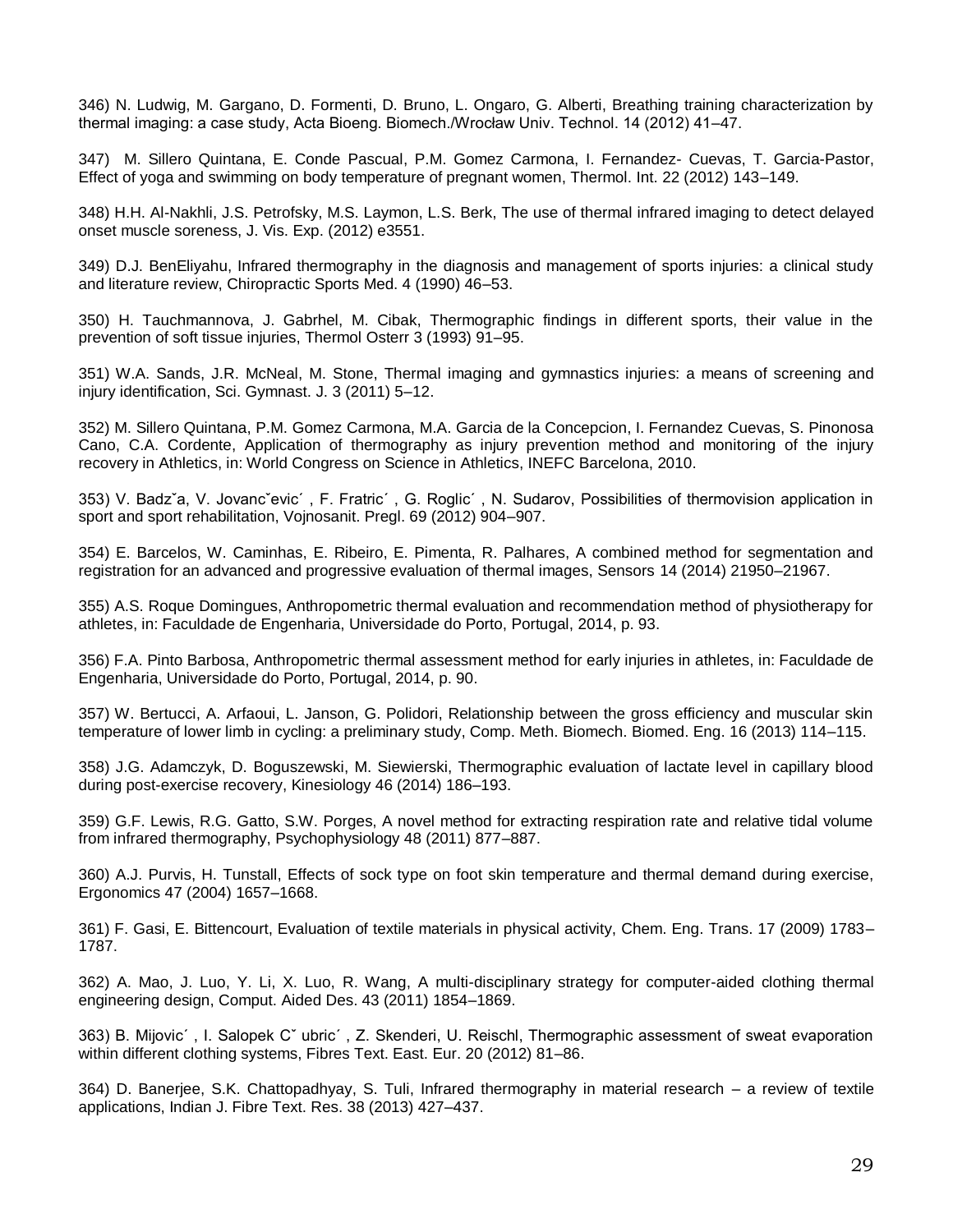346) N. Ludwig, M. Gargano, D. Formenti, D. Bruno, L. Ongaro, G. Alberti, Breathing training characterization by thermal imaging: a case study, Acta Bioeng. Biomech./Wrocław Univ. Technol. 14 (2012) 41–47.

347) M. Sillero Quintana, E. Conde Pascual, P.M. Gomez Carmona, I. Fernandez- Cuevas, T. Garcia-Pastor, Effect of yoga and swimming on body temperature of pregnant women, Thermol. Int. 22 (2012) 143–149.

348) H.H. Al-Nakhli, J.S. Petrofsky, M.S. Laymon, L.S. Berk, The use of thermal infrared imaging to detect delayed onset muscle soreness, J. Vis. Exp. (2012) e3551.

349) D.J. BenEliyahu, Infrared thermography in the diagnosis and management of sports injuries: a clinical study and literature review, Chiropractic Sports Med. 4 (1990) 46–53.

350) H. Tauchmannova, J. Gabrhel, M. Cibak, Thermographic findings in different sports, their value in the prevention of soft tissue injuries, Thermol Osterr 3 (1993) 91–95.

351) W.A. Sands, J.R. McNeal, M. Stone, Thermal imaging and gymnastics injuries: a means of screening and injury identification, Sci. Gymnast. J. 3 (2011) 5–12.

352) M. Sillero Quintana, P.M. Gomez Carmona, M.A. Garcia de la Concepcion, I. Fernandez Cuevas, S. Pinonosa Cano, C.A. Cordente, Application of thermography as injury prevention method and monitoring of the injury recovery in Athletics, in: World Congress on Science in Athletics, INEFC Barcelona, 2010.

353) V. Badzˇa, V. Jovancˇevic´ , F. Fratric´ , G. Roglic´ , N. Sudarov, Possibilities of thermovision application in sport and sport rehabilitation, Vojnosanit. Pregl. 69 (2012) 904–907.

354) E. Barcelos, W. Caminhas, E. Ribeiro, E. Pimenta, R. Palhares, A combined method for segmentation and registration for an advanced and progressive evaluation of thermal images, Sensors 14 (2014) 21950–21967.

355) A.S. Roque Domingues, Anthropometric thermal evaluation and recommendation method of physiotherapy for athletes, in: Faculdade de Engenharia, Universidade do Porto, Portugal, 2014, p. 93.

356) F.A. Pinto Barbosa, Anthropometric thermal assessment method for early injuries in athletes, in: Faculdade de Engenharia, Universidade do Porto, Portugal, 2014, p. 90.

357) W. Bertucci, A. Arfaoui, L. Janson, G. Polidori, Relationship between the gross efficiency and muscular skin temperature of lower limb in cycling: a preliminary study, Comp. Meth. Biomech. Biomed. Eng. 16 (2013) 114–115.

358) J.G. Adamczyk, D. Boguszewski, M. Siewierski, Thermographic evaluation of lactate level in capillary blood during post-exercise recovery, Kinesiology 46 (2014) 186–193.

359) G.F. Lewis, R.G. Gatto, S.W. Porges, A novel method for extracting respiration rate and relative tidal volume from infrared thermography, Psychophysiology 48 (2011) 877–887.

360) A.J. Purvis, H. Tunstall, Effects of sock type on foot skin temperature and thermal demand during exercise, Ergonomics 47 (2004) 1657–1668.

361) F. Gasi, E. Bittencourt, Evaluation of textile materials in physical activity, Chem. Eng. Trans. 17 (2009) 1783– 1787.

362) A. Mao, J. Luo, Y. Li, X. Luo, R. Wang, A multi-disciplinary strategy for computer-aided clothing thermal engineering design, Comput. Aided Des. 43 (2011) 1854–1869.

363) B. Mijovic´ , I. Salopek Cˇ ubric´ , Z. Skenderi, U. Reischl, Thermographic assessment of sweat evaporation within different clothing systems, Fibres Text. East. Eur. 20 (2012) 81–86.

364) D. Banerjee, S.K. Chattopadhyay, S. Tuli, Infrared thermography in material research – a review of textile applications, Indian J. Fibre Text. Res. 38 (2013) 427–437.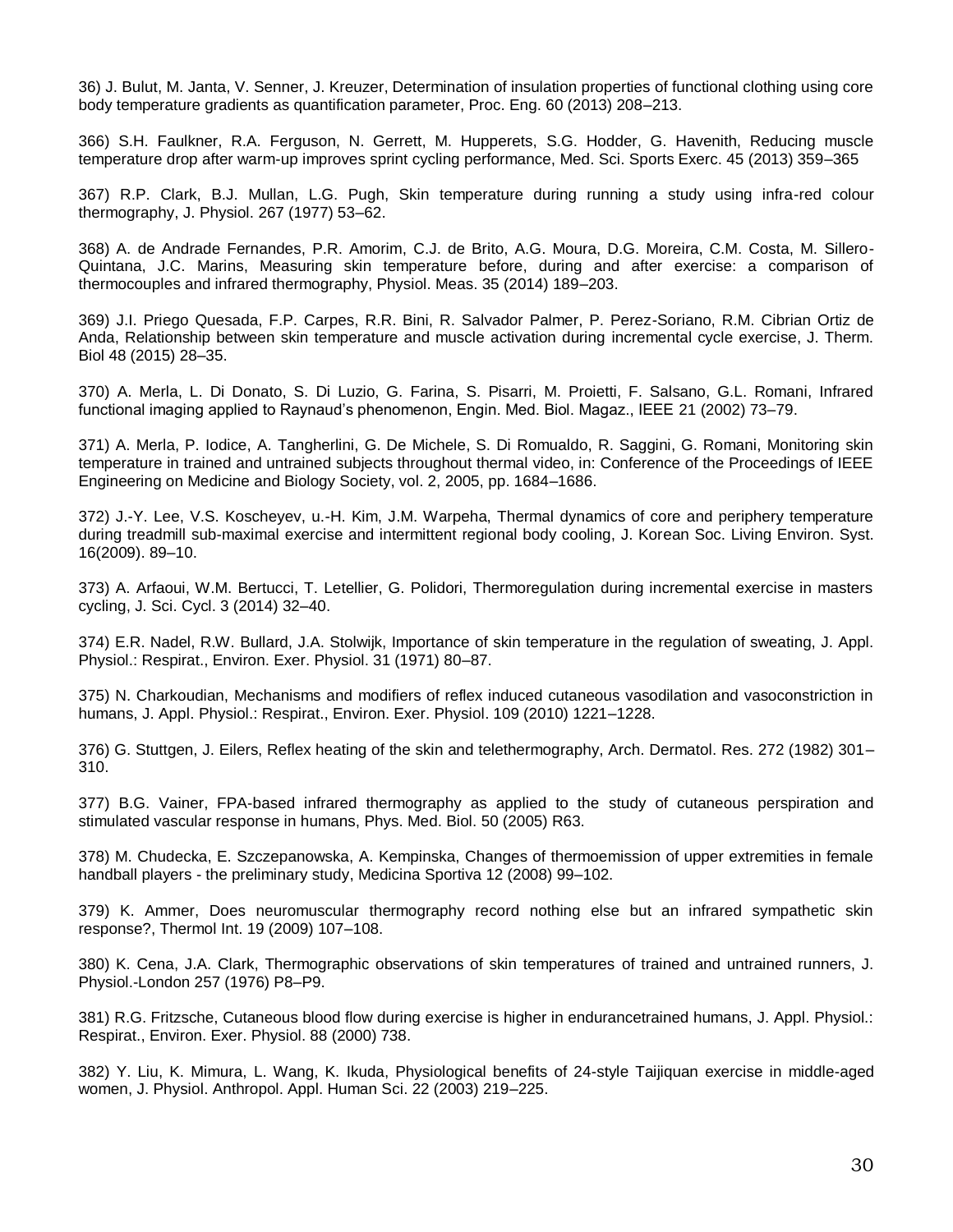36) J. Bulut, M. Janta, V. Senner, J. Kreuzer, Determination of insulation properties of functional clothing using core body temperature gradients as quantification parameter, Proc. Eng. 60 (2013) 208–213.

366) S.H. Faulkner, R.A. Ferguson, N. Gerrett, M. Hupperets, S.G. Hodder, G. Havenith, Reducing muscle temperature drop after warm-up improves sprint cycling performance, Med. Sci. Sports Exerc. 45 (2013) 359–365

367) R.P. Clark, B.J. Mullan, L.G. Pugh, Skin temperature during running a study using infra-red colour thermography, J. Physiol. 267 (1977) 53–62.

368) A. de Andrade Fernandes, P.R. Amorim, C.J. de Brito, A.G. Moura, D.G. Moreira, C.M. Costa, M. Sillero-Quintana, J.C. Marins, Measuring skin temperature before, during and after exercise: a comparison of thermocouples and infrared thermography, Physiol. Meas. 35 (2014) 189–203.

369) J.I. Priego Quesada, F.P. Carpes, R.R. Bini, R. Salvador Palmer, P. Perez-Soriano, R.M. Cibrian Ortiz de Anda, Relationship between skin temperature and muscle activation during incremental cycle exercise, J. Therm. Biol 48 (2015) 28–35.

370) A. Merla, L. Di Donato, S. Di Luzio, G. Farina, S. Pisarri, M. Proietti, F. Salsano, G.L. Romani, Infrared functional imaging applied to Raynaud's phenomenon, Engin. Med. Biol. Magaz., IEEE 21 (2002) 73–79.

371) A. Merla, P. Iodice, A. Tangherlini, G. De Michele, S. Di Romualdo, R. Saggini, G. Romani, Monitoring skin temperature in trained and untrained subjects throughout thermal video, in: Conference of the Proceedings of IEEE Engineering on Medicine and Biology Society, vol. 2, 2005, pp. 1684–1686.

372) J.-Y. Lee, V.S. Koscheyev, u.-H. Kim, J.M. Warpeha, Thermal dynamics of core and periphery temperature during treadmill sub-maximal exercise and intermittent regional body cooling, J. Korean Soc. Living Environ. Syst. 16(2009). 89–10.

373) A. Arfaoui, W.M. Bertucci, T. Letellier, G. Polidori, Thermoregulation during incremental exercise in masters cycling, J. Sci. Cycl. 3 (2014) 32–40.

374) E.R. Nadel, R.W. Bullard, J.A. Stolwijk, Importance of skin temperature in the regulation of sweating, J. Appl. Physiol.: Respirat., Environ. Exer. Physiol. 31 (1971) 80–87.

375) N. Charkoudian, Mechanisms and modifiers of reflex induced cutaneous vasodilation and vasoconstriction in humans, J. Appl. Physiol.: Respirat., Environ. Exer. Physiol. 109 (2010) 1221–1228.

376) G. Stuttgen, J. Eilers, Reflex heating of the skin and telethermography, Arch. Dermatol. Res. 272 (1982) 301– 310.

377) B.G. Vainer, FPA-based infrared thermography as applied to the study of cutaneous perspiration and stimulated vascular response in humans, Phys. Med. Biol. 50 (2005) R63.

378) M. Chudecka, E. Szczepanowska, A. Kempinska, Changes of thermoemission of upper extremities in female handball players - the preliminary study, Medicina Sportiva 12 (2008) 99–102.

379) K. Ammer, Does neuromuscular thermography record nothing else but an infrared sympathetic skin response?, Thermol Int. 19 (2009) 107–108.

380) K. Cena, J.A. Clark, Thermographic observations of skin temperatures of trained and untrained runners, J. Physiol.-London 257 (1976) P8–P9.

381) R.G. Fritzsche, Cutaneous blood flow during exercise is higher in endurancetrained humans, J. Appl. Physiol.: Respirat., Environ. Exer. Physiol. 88 (2000) 738.

382) Y. Liu, K. Mimura, L. Wang, K. Ikuda, Physiological benefits of 24-style Taijiquan exercise in middle-aged women, J. Physiol. Anthropol. Appl. Human Sci. 22 (2003) 219–225.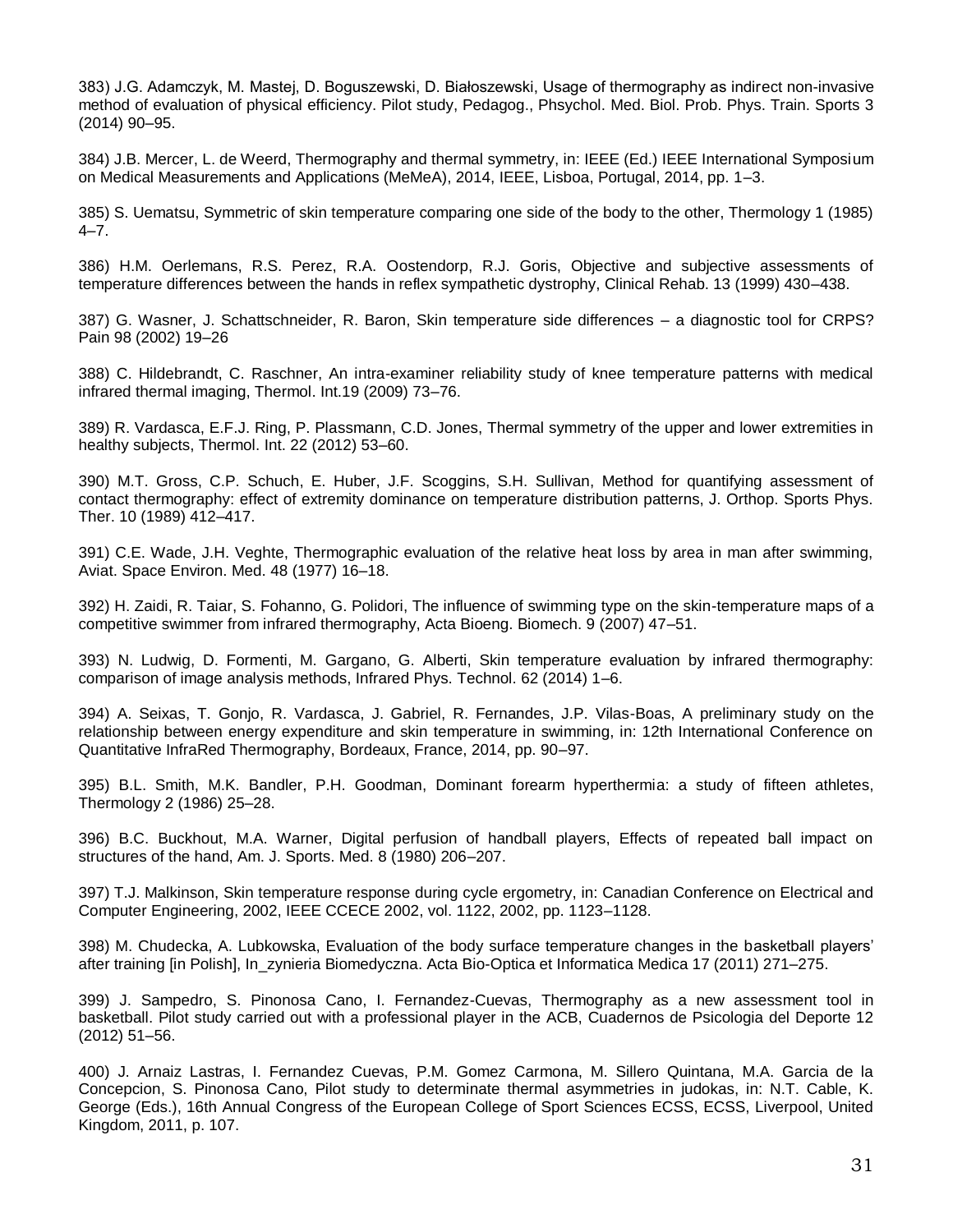383) J.G. Adamczyk, M. Mastej, D. Boguszewski, D. Białoszewski, Usage of thermography as indirect non-invasive method of evaluation of physical efficiency. Pilot study, Pedagog., Phsychol. Med. Biol. Prob. Phys. Train. Sports 3 (2014) 90–95.

384) J.B. Mercer, L. de Weerd, Thermography and thermal symmetry, in: IEEE (Ed.) IEEE International Symposium on Medical Measurements and Applications (MeMeA), 2014, IEEE, Lisboa, Portugal, 2014, pp. 1–3.

385) S. Uematsu, Symmetric of skin temperature comparing one side of the body to the other, Thermology 1 (1985) 4–7.

386) H.M. Oerlemans, R.S. Perez, R.A. Oostendorp, R.J. Goris, Objective and subjective assessments of temperature differences between the hands in reflex sympathetic dystrophy, Clinical Rehab. 13 (1999) 430–438.

387) G. Wasner, J. Schattschneider, R. Baron, Skin temperature side differences – a diagnostic tool for CRPS? Pain 98 (2002) 19–26

388) C. Hildebrandt, C. Raschner, An intra-examiner reliability study of knee temperature patterns with medical infrared thermal imaging, Thermol. Int.19 (2009) 73–76.

389) R. Vardasca, E.F.J. Ring, P. Plassmann, C.D. Jones, Thermal symmetry of the upper and lower extremities in healthy subjects, Thermol. Int. 22 (2012) 53–60.

390) M.T. Gross, C.P. Schuch, E. Huber, J.F. Scoggins, S.H. Sullivan, Method for quantifying assessment of contact thermography: effect of extremity dominance on temperature distribution patterns, J. Orthop. Sports Phys. Ther. 10 (1989) 412–417.

391) C.E. Wade, J.H. Veghte, Thermographic evaluation of the relative heat loss by area in man after swimming, Aviat. Space Environ. Med. 48 (1977) 16–18.

392) H. Zaidi, R. Taiar, S. Fohanno, G. Polidori, The influence of swimming type on the skin-temperature maps of a competitive swimmer from infrared thermography, Acta Bioeng. Biomech. 9 (2007) 47–51.

393) N. Ludwig, D. Formenti, M. Gargano, G. Alberti, Skin temperature evaluation by infrared thermography: comparison of image analysis methods, Infrared Phys. Technol. 62 (2014) 1–6.

394) A. Seixas, T. Gonjo, R. Vardasca, J. Gabriel, R. Fernandes, J.P. Vilas-Boas, A preliminary study on the relationship between energy expenditure and skin temperature in swimming, in: 12th International Conference on Quantitative InfraRed Thermography, Bordeaux, France, 2014, pp. 90–97.

395) B.L. Smith, M.K. Bandler, P.H. Goodman, Dominant forearm hyperthermia: a study of fifteen athletes, Thermology 2 (1986) 25–28.

396) B.C. Buckhout, M.A. Warner, Digital perfusion of handball players, Effects of repeated ball impact on structures of the hand, Am. J. Sports. Med. 8 (1980) 206–207.

397) T.J. Malkinson, Skin temperature response during cycle ergometry, in: Canadian Conference on Electrical and Computer Engineering, 2002, IEEE CCECE 2002, vol. 1122, 2002, pp. 1123–1128.

398) M. Chudecka, A. Lubkowska, Evaluation of the body surface temperature changes in the basketball players' after training [in Polish], In\_zynieria Biomedyczna. Acta Bio-Optica et Informatica Medica 17 (2011) 271–275.

399) J. Sampedro, S. Pinonosa Cano, I. Fernandez-Cuevas, Thermography as a new assessment tool in basketball. Pilot study carried out with a professional player in the ACB, Cuadernos de Psicologia del Deporte 12 (2012) 51–56.

400) J. Arnaiz Lastras, I. Fernandez Cuevas, P.M. Gomez Carmona, M. Sillero Quintana, M.A. Garcia de la Concepcion, S. Pinonosa Cano, Pilot study to determinate thermal asymmetries in judokas, in: N.T. Cable, K. George (Eds.), 16th Annual Congress of the European College of Sport Sciences ECSS, ECSS, Liverpool, United Kingdom, 2011, p. 107.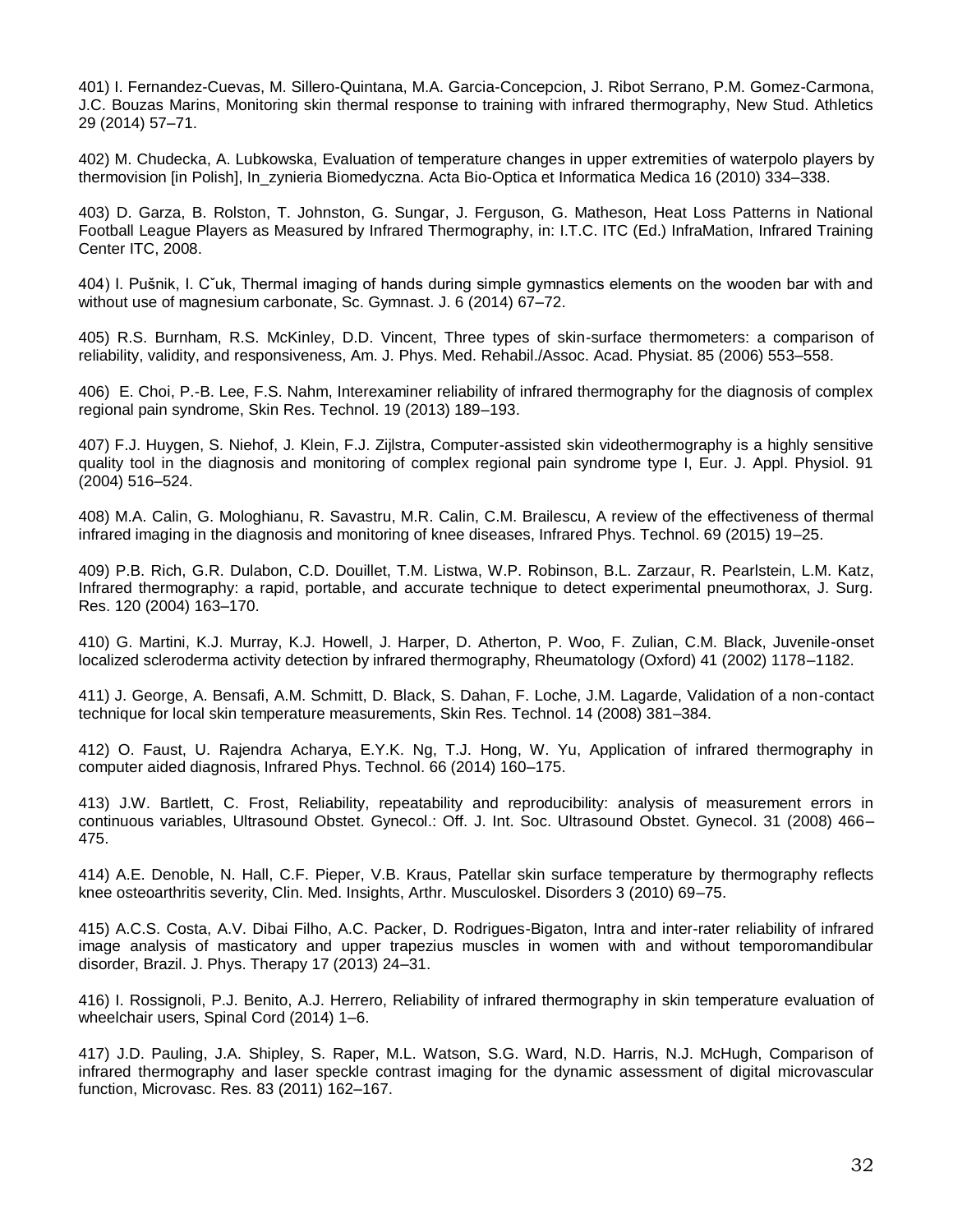401) I. Fernandez-Cuevas, M. Sillero-Quintana, M.A. Garcia-Concepcion, J. Ribot Serrano, P.M. Gomez-Carmona, J.C. Bouzas Marins, Monitoring skin thermal response to training with infrared thermography, New Stud. Athletics 29 (2014) 57–71.

402) M. Chudecka, A. Lubkowska, Evaluation of temperature changes in upper extremities of waterpolo players by thermovision [in Polish], In\_zynieria Biomedyczna. Acta Bio-Optica et Informatica Medica 16 (2010) 334–338.

403) D. Garza, B. Rolston, T. Johnston, G. Sungar, J. Ferguson, G. Matheson, Heat Loss Patterns in National Football League Players as Measured by Infrared Thermography, in: I.T.C. ITC (Ed.) InfraMation, Infrared Training Center ITC, 2008.

404) I. Pušnik, I. Cˇuk, Thermal imaging of hands during simple gymnastics elements on the wooden bar with and without use of magnesium carbonate, Sc. Gymnast. J. 6 (2014) 67–72.

405) R.S. Burnham, R.S. McKinley, D.D. Vincent, Three types of skin-surface thermometers: a comparison of reliability, validity, and responsiveness, Am. J. Phys. Med. Rehabil./Assoc. Acad. Physiat. 85 (2006) 553–558.

406) E. Choi, P.-B. Lee, F.S. Nahm, Interexaminer reliability of infrared thermography for the diagnosis of complex regional pain syndrome, Skin Res. Technol. 19 (2013) 189–193.

407) F.J. Huygen, S. Niehof, J. Klein, F.J. Zijlstra, Computer-assisted skin videothermography is a highly sensitive quality tool in the diagnosis and monitoring of complex regional pain syndrome type I, Eur. J. Appl. Physiol. 91 (2004) 516–524.

408) M.A. Calin, G. Mologhianu, R. Savastru, M.R. Calin, C.M. Brailescu, A review of the effectiveness of thermal infrared imaging in the diagnosis and monitoring of knee diseases, Infrared Phys. Technol. 69 (2015) 19–25.

409) P.B. Rich, G.R. Dulabon, C.D. Douillet, T.M. Listwa, W.P. Robinson, B.L. Zarzaur, R. Pearlstein, L.M. Katz, Infrared thermography: a rapid, portable, and accurate technique to detect experimental pneumothorax, J. Surg. Res. 120 (2004) 163–170.

410) G. Martini, K.J. Murray, K.J. Howell, J. Harper, D. Atherton, P. Woo, F. Zulian, C.M. Black, Juvenile-onset localized scleroderma activity detection by infrared thermography, Rheumatology (Oxford) 41 (2002) 1178–1182.

411) J. George, A. Bensafi, A.M. Schmitt, D. Black, S. Dahan, F. Loche, J.M. Lagarde, Validation of a non-contact technique for local skin temperature measurements, Skin Res. Technol. 14 (2008) 381–384.

412) O. Faust, U. Rajendra Acharya, E.Y.K. Ng, T.J. Hong, W. Yu, Application of infrared thermography in computer aided diagnosis, Infrared Phys. Technol. 66 (2014) 160–175.

413) J.W. Bartlett, C. Frost, Reliability, repeatability and reproducibility: analysis of measurement errors in continuous variables, Ultrasound Obstet. Gynecol.: Off. J. Int. Soc. Ultrasound Obstet. Gynecol. 31 (2008) 466– 475.

414) A.E. Denoble, N. Hall, C.F. Pieper, V.B. Kraus, Patellar skin surface temperature by thermography reflects knee osteoarthritis severity, Clin. Med. Insights, Arthr. Musculoskel. Disorders 3 (2010) 69–75.

415) A.C.S. Costa, A.V. Dibai Filho, A.C. Packer, D. Rodrigues-Bigaton, Intra and inter-rater reliability of infrared image analysis of masticatory and upper trapezius muscles in women with and without temporomandibular disorder, Brazil. J. Phys. Therapy 17 (2013) 24–31.

416) I. Rossignoli, P.J. Benito, A.J. Herrero, Reliability of infrared thermography in skin temperature evaluation of wheelchair users, Spinal Cord (2014) 1–6.

417) J.D. Pauling, J.A. Shipley, S. Raper, M.L. Watson, S.G. Ward, N.D. Harris, N.J. McHugh, Comparison of infrared thermography and laser speckle contrast imaging for the dynamic assessment of digital microvascular function, Microvasc. Res. 83 (2011) 162–167.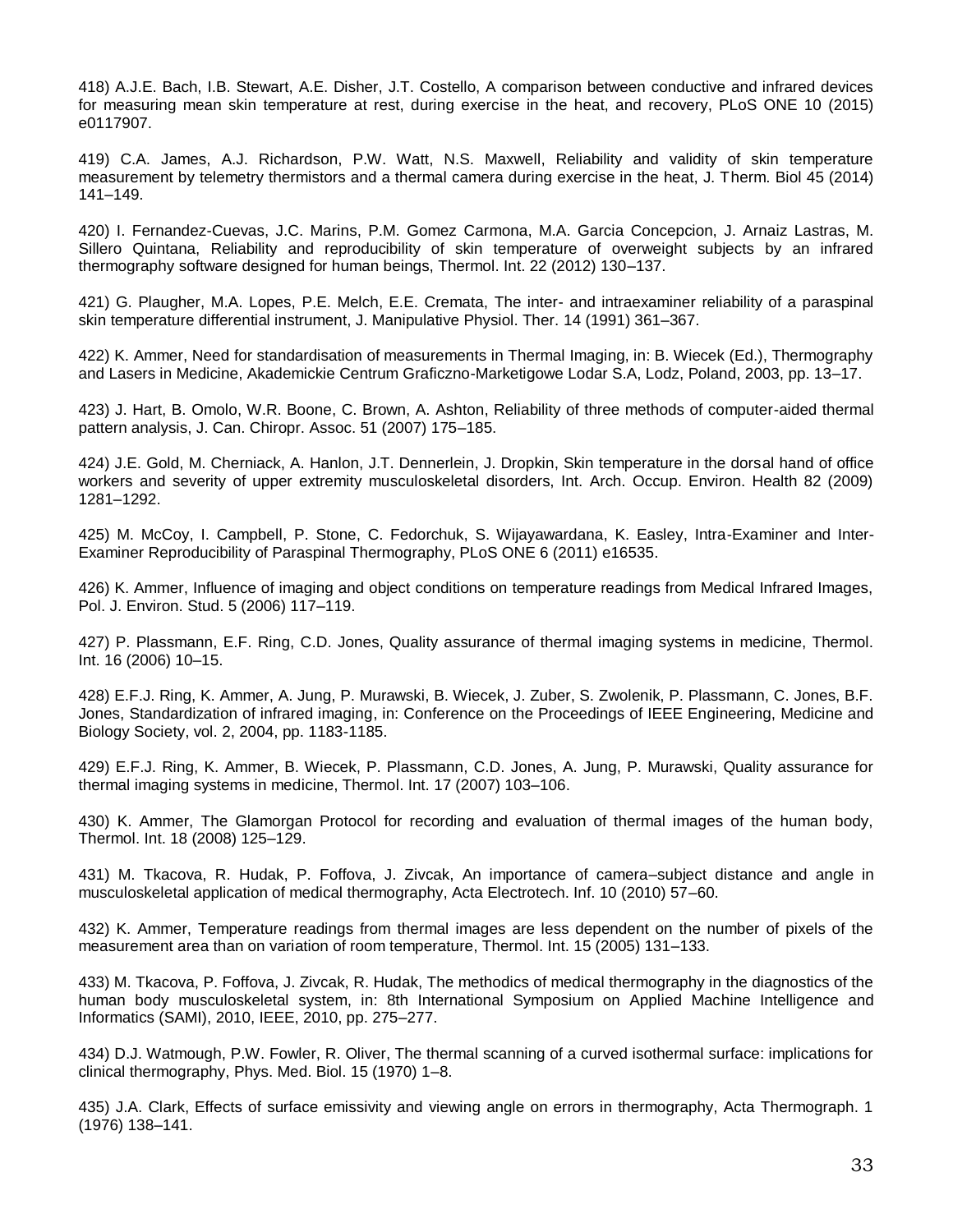418) A.J.E. Bach, I.B. Stewart, A.E. Disher, J.T. Costello, A comparison between conductive and infrared devices for measuring mean skin temperature at rest, during exercise in the heat, and recovery, PLoS ONE 10 (2015) e0117907.

419) C.A. James, A.J. Richardson, P.W. Watt, N.S. Maxwell, Reliability and validity of skin temperature measurement by telemetry thermistors and a thermal camera during exercise in the heat, J. Therm. Biol 45 (2014) 141–149.

420) I. Fernandez-Cuevas, J.C. Marins, P.M. Gomez Carmona, M.A. Garcia Concepcion, J. Arnaiz Lastras, M. Sillero Quintana, Reliability and reproducibility of skin temperature of overweight subjects by an infrared thermography software designed for human beings, Thermol. Int. 22 (2012) 130–137.

421) G. Plaugher, M.A. Lopes, P.E. Melch, E.E. Cremata, The inter- and intraexaminer reliability of a paraspinal skin temperature differential instrument, J. Manipulative Physiol. Ther. 14 (1991) 361–367.

422) K. Ammer, Need for standardisation of measurements in Thermal Imaging, in: B. Wiecek (Ed.), Thermography and Lasers in Medicine, Akademickie Centrum Graficzno-Marketigowe Lodar S.A, Lodz, Poland, 2003, pp. 13–17.

423) J. Hart, B. Omolo, W.R. Boone, C. Brown, A. Ashton, Reliability of three methods of computer-aided thermal pattern analysis, J. Can. Chiropr. Assoc. 51 (2007) 175–185.

424) J.E. Gold, M. Cherniack, A. Hanlon, J.T. Dennerlein, J. Dropkin, Skin temperature in the dorsal hand of office workers and severity of upper extremity musculoskeletal disorders, Int. Arch. Occup. Environ. Health 82 (2009) 1281–1292.

425) M. McCoy, I. Campbell, P. Stone, C. Fedorchuk, S. Wijayawardana, K. Easley, Intra-Examiner and Inter-Examiner Reproducibility of Paraspinal Thermography, PLoS ONE 6 (2011) e16535.

426) K. Ammer, Influence of imaging and object conditions on temperature readings from Medical Infrared Images, Pol. J. Environ. Stud. 5 (2006) 117–119.

427) P. Plassmann, E.F. Ring, C.D. Jones, Quality assurance of thermal imaging systems in medicine, Thermol. Int. 16 (2006) 10–15.

428) E.F.J. Ring, K. Ammer, A. Jung, P. Murawski, B. Wiecek, J. Zuber, S. Zwolenik, P. Plassmann, C. Jones, B.F. Jones, Standardization of infrared imaging, in: Conference on the Proceedings of IEEE Engineering, Medicine and Biology Society, vol. 2, 2004, pp. 1183-1185.

429) E.F.J. Ring, K. Ammer, B. Wiecek, P. Plassmann, C.D. Jones, A. Jung, P. Murawski, Quality assurance for thermal imaging systems in medicine, Thermol. Int. 17 (2007) 103–106.

430) K. Ammer, The Glamorgan Protocol for recording and evaluation of thermal images of the human body, Thermol. Int. 18 (2008) 125–129.

431) M. Tkacova, R. Hudak, P. Foffova, J. Zivcak, An importance of camera–subject distance and angle in musculoskeletal application of medical thermography, Acta Electrotech. Inf. 10 (2010) 57–60.

432) K. Ammer, Temperature readings from thermal images are less dependent on the number of pixels of the measurement area than on variation of room temperature, Thermol. Int. 15 (2005) 131–133.

433) M. Tkacova, P. Foffova, J. Zivcak, R. Hudak, The methodics of medical thermography in the diagnostics of the human body musculoskeletal system, in: 8th International Symposium on Applied Machine Intelligence and Informatics (SAMI), 2010, IEEE, 2010, pp. 275–277.

434) D.J. Watmough, P.W. Fowler, R. Oliver, The thermal scanning of a curved isothermal surface: implications for clinical thermography, Phys. Med. Biol. 15 (1970) 1–8.

435) J.A. Clark, Effects of surface emissivity and viewing angle on errors in thermography, Acta Thermograph. 1 (1976) 138–141.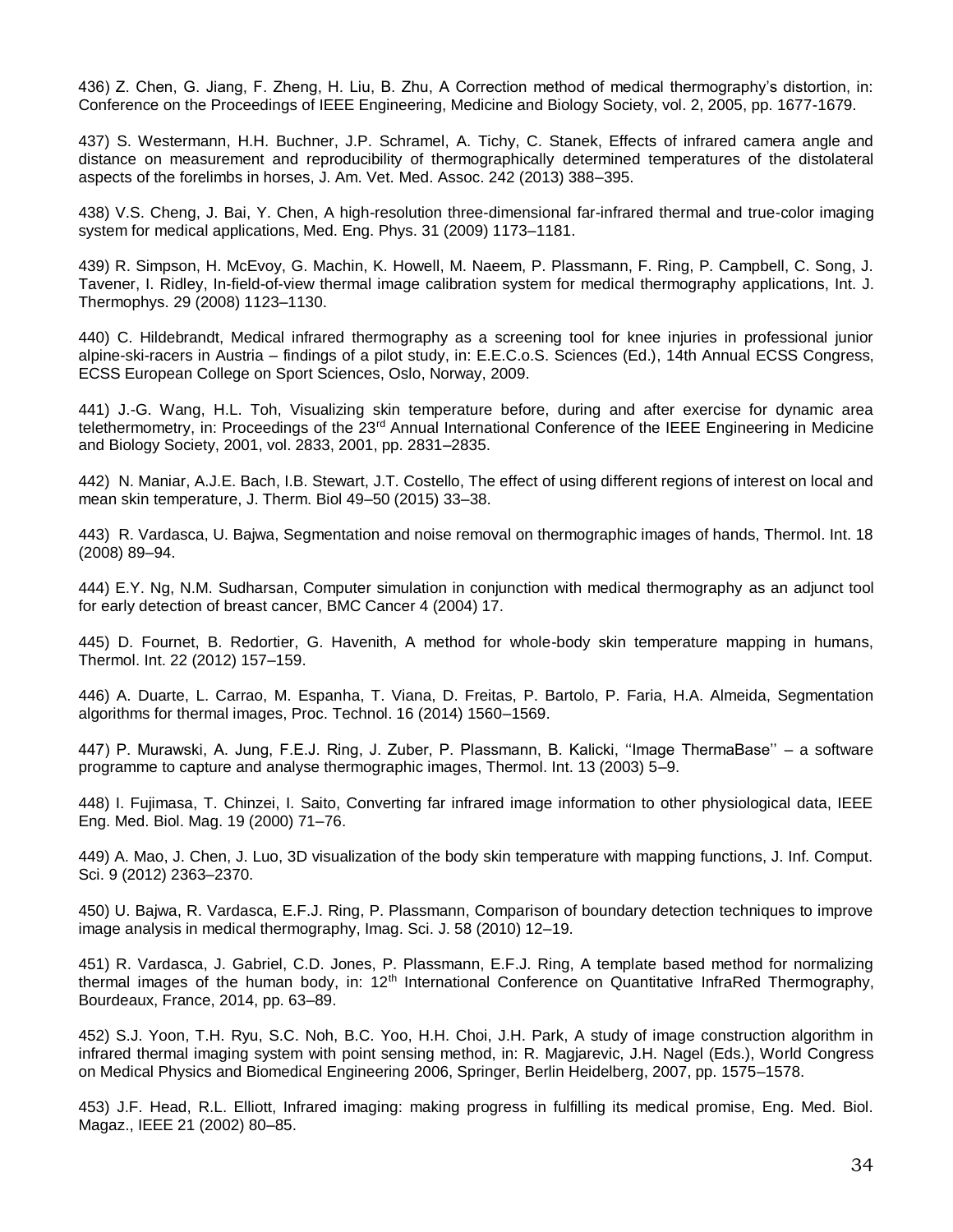436) Z. Chen, G. Jiang, F. Zheng, H. Liu, B. Zhu, A Correction method of medical thermography's distortion, in: Conference on the Proceedings of IEEE Engineering, Medicine and Biology Society, vol. 2, 2005, pp. 1677-1679.

437) S. Westermann, H.H. Buchner, J.P. Schramel, A. Tichy, C. Stanek, Effects of infrared camera angle and distance on measurement and reproducibility of thermographically determined temperatures of the distolateral aspects of the forelimbs in horses, J. Am. Vet. Med. Assoc. 242 (2013) 388–395.

438) V.S. Cheng, J. Bai, Y. Chen, A high-resolution three-dimensional far-infrared thermal and true-color imaging system for medical applications, Med. Eng. Phys. 31 (2009) 1173–1181.

439) R. Simpson, H. McEvoy, G. Machin, K. Howell, M. Naeem, P. Plassmann, F. Ring, P. Campbell, C. Song, J. Tavener, I. Ridley, In-field-of-view thermal image calibration system for medical thermography applications, Int. J. Thermophys. 29 (2008) 1123–1130.

440) C. Hildebrandt, Medical infrared thermography as a screening tool for knee injuries in professional junior alpine-ski-racers in Austria – findings of a pilot study, in: E.E.C.o.S. Sciences (Ed.), 14th Annual ECSS Congress, ECSS European College on Sport Sciences, Oslo, Norway, 2009.

441) J.-G. Wang, H.L. Toh, Visualizing skin temperature before, during and after exercise for dynamic area telethermometry, in: Proceedings of the 23<sup>rd</sup> Annual International Conference of the IEEE Engineering in Medicine and Biology Society, 2001, vol. 2833, 2001, pp. 2831–2835.

442) N. Maniar, A.J.E. Bach, I.B. Stewart, J.T. Costello, The effect of using different regions of interest on local and mean skin temperature, J. Therm. Biol 49–50 (2015) 33–38.

443) R. Vardasca, U. Bajwa, Segmentation and noise removal on thermographic images of hands, Thermol. Int. 18 (2008) 89–94.

444) E.Y. Ng, N.M. Sudharsan, Computer simulation in conjunction with medical thermography as an adjunct tool for early detection of breast cancer, BMC Cancer 4 (2004) 17.

445) D. Fournet, B. Redortier, G. Havenith, A method for whole-body skin temperature mapping in humans, Thermol. Int. 22 (2012) 157–159.

446) A. Duarte, L. Carrao, M. Espanha, T. Viana, D. Freitas, P. Bartolo, P. Faria, H.A. Almeida, Segmentation algorithms for thermal images, Proc. Technol. 16 (2014) 1560–1569.

447) P. Murawski, A. Jung, F.E.J. Ring, J. Zuber, P. Plassmann, B. Kalicki, ''Image ThermaBase'' – a software programme to capture and analyse thermographic images, Thermol. Int. 13 (2003) 5–9.

448) I. Fujimasa, T. Chinzei, I. Saito, Converting far infrared image information to other physiological data, IEEE Eng. Med. Biol. Mag. 19 (2000) 71–76.

449) A. Mao, J. Chen, J. Luo, 3D visualization of the body skin temperature with mapping functions, J. Inf. Comput. Sci. 9 (2012) 2363–2370.

450) U. Bajwa, R. Vardasca, E.F.J. Ring, P. Plassmann, Comparison of boundary detection techniques to improve image analysis in medical thermography, Imag. Sci. J. 58 (2010) 12–19.

451) R. Vardasca, J. Gabriel, C.D. Jones, P. Plassmann, E.F.J. Ring, A template based method for normalizing thermal images of the human body, in:  $12<sup>th</sup>$  International Conference on Quantitative InfraRed Thermography, Bourdeaux, France, 2014, pp. 63–89.

452) S.J. Yoon, T.H. Ryu, S.C. Noh, B.C. Yoo, H.H. Choi, J.H. Park, A study of image construction algorithm in infrared thermal imaging system with point sensing method, in: R. Magjarevic, J.H. Nagel (Eds.), World Congress on Medical Physics and Biomedical Engineering 2006, Springer, Berlin Heidelberg, 2007, pp. 1575–1578.

453) J.F. Head, R.L. Elliott, Infrared imaging: making progress in fulfilling its medical promise, Eng. Med. Biol. Magaz., IEEE 21 (2002) 80–85.